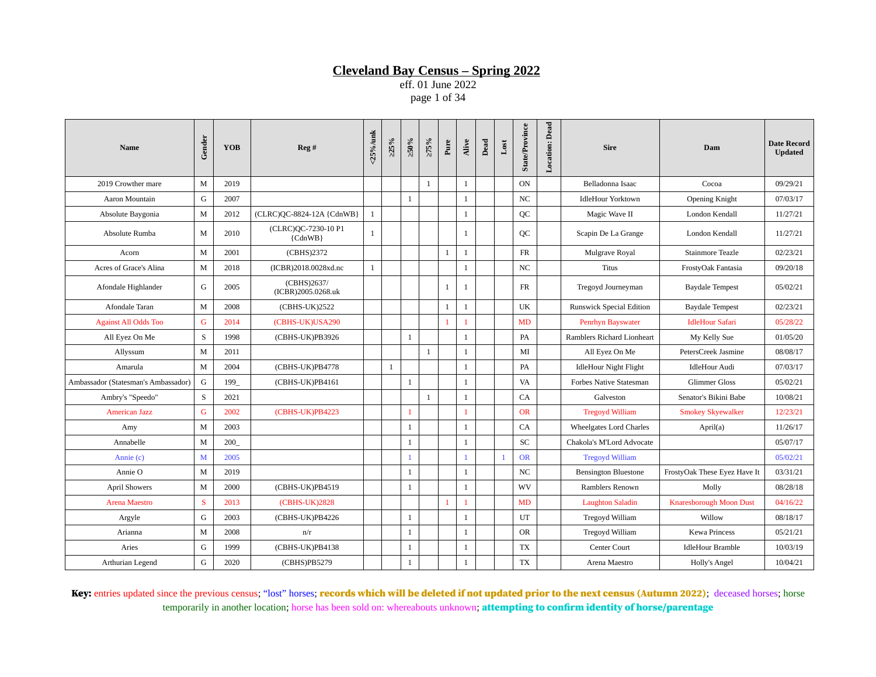eff. 01 June 2022 page 1 of 34

| <b>Name</b>                         | Gender       | <b>YOB</b> | Reg#                              | <25%/unk     | >25% | $\approx 0.95$ | $>75\%$      | Pure         | Alive        | Dead | $_{\rm Lost}$  | <b>State/Province</b> | <b>Location: Dead</b> | <b>Sire</b>                     | Dam                            | <b>Date Record</b><br><b>Updated</b> |
|-------------------------------------|--------------|------------|-----------------------------------|--------------|------|----------------|--------------|--------------|--------------|------|----------------|-----------------------|-----------------------|---------------------------------|--------------------------------|--------------------------------------|
| 2019 Crowther mare                  | M            | 2019       |                                   |              |      |                | $\mathbf{1}$ |              | $\mathbf{1}$ |      |                | ON                    |                       | Belladonna Isaac                | Cocoa                          | 09/29/21                             |
| Aaron Mountain                      | G            | 2007       |                                   |              |      | 1              |              |              | $\mathbf{1}$ |      |                | NC                    |                       | <b>IdleHour Yorktown</b>        | <b>Opening Knight</b>          | 07/03/17                             |
| Absolute Baygonia                   | M            | 2012       | (CLRC)QC-8824-12A {CdnWB}         | 1            |      |                |              |              | $\mathbf{1}$ |      |                | QC                    |                       | Magic Wave II                   | London Kendall                 | 11/27/21                             |
| Absolute Rumba                      | M            | 2010       | (CLRC)QC-7230-10 P1<br>${CdnWB}$  | 1            |      |                |              |              | 1            |      |                | <b>QC</b>             |                       | Scapin De La Grange             | London Kendall                 | 11/27/21                             |
| Acorn                               | M            | 2001       | (CBHS)2372                        |              |      |                |              | 1            | 1            |      |                | <b>FR</b>             |                       | Mulgrave Royal                  | <b>Stainmore Teazle</b>        | 02/23/21                             |
| Acres of Grace's Alina              | M            | 2018       | (ICBR)2018.0028xd.nc              | $\mathbf{1}$ |      |                |              |              | $\mathbf{1}$ |      |                | NC                    |                       | <b>Titus</b>                    | FrostyOak Fantasia             | 09/20/18                             |
| Afondale Highlander                 | G            | 2005       | (CBHS)2637/<br>(ICBR)2005.0268.uk |              |      |                |              | $\mathbf{1}$ | 1            |      |                | FR                    |                       | Tregoyd Journeyman              | <b>Baydale Tempest</b>         | 05/02/21                             |
| Afondale Taran                      | M            | 2008       | (CBHS-UK)2522                     |              |      |                |              | 1            | $\mathbf{1}$ |      |                | UK                    |                       | <b>Runswick Special Edition</b> | <b>Baydale Tempest</b>         | 02/23/21                             |
| <b>Against All Odds Too</b>         | G            | 2014       | (CBHS-UK)USA290                   |              |      |                |              | $\mathbf{1}$ | $\mathbf{1}$ |      |                | MD                    |                       | Penrhyn Bayswater               | <b>IdleHour Safari</b>         | 05/28/22                             |
| All Eyez On Me                      | S            | 1998       | (CBHS-UK)PB3926                   |              |      | 1              |              |              | $\mathbf{1}$ |      |                | PA                    |                       | Ramblers Richard Lionheart      | My Kelly Sue                   | 01/05/20                             |
| Allyssum                            | M            | 2011       |                                   |              |      |                | $\mathbf{1}$ |              | 1            |      |                | MI                    |                       | All Eyez On Me                  | PetersCreek Jasmine            | 08/08/17                             |
| Amarula                             | M            | 2004       | (CBHS-UK)PB4778                   |              | 1    |                |              |              | $\mathbf{1}$ |      |                | PA                    |                       | <b>IdleHour Night Flight</b>    | <b>IdleHour Audi</b>           | 07/03/17                             |
| Ambassador (Statesman's Ambassador) | G            | 199        | (CBHS-UK)PB4161                   |              |      | 1              |              |              | 1            |      |                | VA                    |                       | <b>Forbes Native Statesman</b>  | <b>Glimmer Gloss</b>           | 05/02/21                             |
| Ambry's "Speedo"                    | S            | 2021       |                                   |              |      |                | $\mathbf{1}$ |              | $\mathbf{1}$ |      |                | CA                    |                       | Galveston                       | Senator's Bikini Babe          | 10/08/21                             |
| <b>American Jazz</b>                | $\mathsf G$  | 2002       | (CBHS-UK)PB4223                   |              |      | 1              |              |              | $\mathbf{1}$ |      |                | <b>OR</b>             |                       | <b>Tregoyd William</b>          | <b>Smokey Skyewalker</b>       | 12/23/21                             |
| Amy                                 | M            | 2003       |                                   |              |      | 1              |              |              | $\mathbf{1}$ |      |                | CA                    |                       | Wheelgates Lord Charles         | April(a)                       | 11/26/17                             |
| Annabelle                           | M            | 200        |                                   |              |      | $\mathbf{1}$   |              |              | $\mathbf{1}$ |      |                | SC                    |                       | Chakola's M'Lord Advocate       |                                | 05/07/17                             |
| Annie (c)                           | $\mathbf{M}$ | 2005       |                                   |              |      | $\mathbf{1}$   |              |              | 1            |      | $\overline{1}$ | <b>OR</b>             |                       | <b>Tregoyd William</b>          |                                | 05/02/21                             |
| Annie O                             | M            | 2019       |                                   |              |      | $\mathbf{1}$   |              |              | $\mathbf{1}$ |      |                | <b>NC</b>             |                       | <b>Bensington Bluestone</b>     | FrostyOak These Eyez Have It   | 03/31/21                             |
| <b>April Showers</b>                | M            | 2000       | (CBHS-UK)PB4519                   |              |      | 1              |              |              | $\mathbf{1}$ |      |                | WV                    |                       | Ramblers Renown                 | Molly                          | 08/28/18                             |
| <b>Arena Maestro</b>                | S            | 2013       | (CBHS-UK)2828                     |              |      |                |              | $\mathbf{1}$ | $\mathbf{1}$ |      |                | MD                    |                       | <b>Laughton Saladin</b>         | <b>Knaresborough Moon Dust</b> | 04/16/22                             |
| Argyle                              | G            | 2003       | (CBHS-UK)PB4226                   |              |      | 1              |              |              | $\mathbf{1}$ |      |                | UT                    |                       | Tregoyd William                 | Willow                         | 08/18/17                             |
| Arianna                             | M            | 2008       | n/r                               |              |      | 1              |              |              | $\mathbf{1}$ |      |                | <b>OR</b>             |                       | Tregoyd William                 | <b>Kewa Princess</b>           | 05/21/21                             |
| Aries                               | G            | 1999       | (CBHS-UK)PB4138                   |              |      | 1              |              |              | $\mathbf{1}$ |      |                | TX                    |                       | <b>Center Court</b>             | <b>IdleHour Bramble</b>        | 10/03/19                             |
| Arthurian Legend                    | G            | 2020       | (CBHS)PB5279                      |              |      | 1              |              |              | $\mathbf{1}$ |      |                | TX                    |                       | Arena Maestro                   | Holly's Angel                  | 10/04/21                             |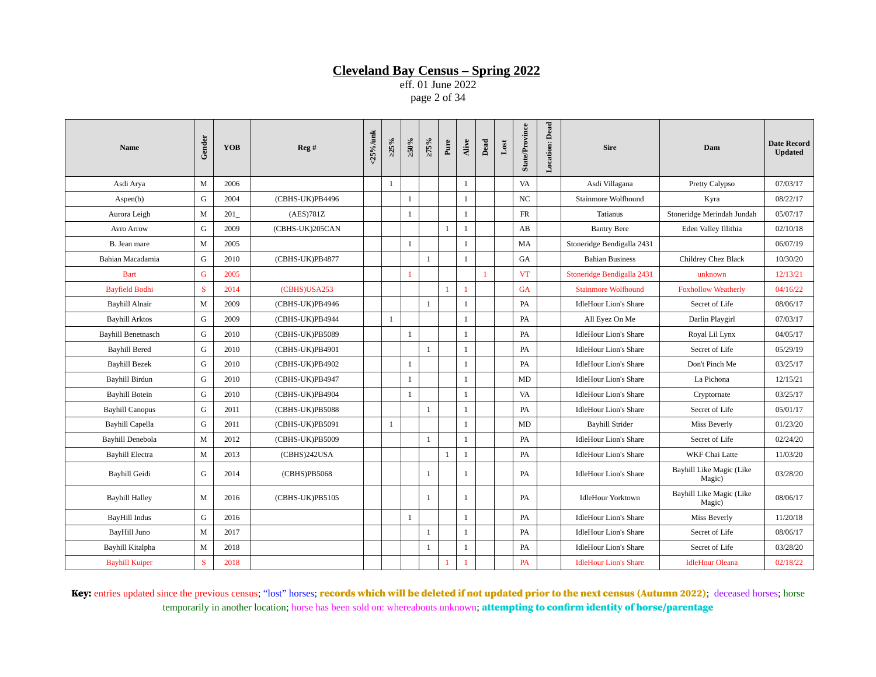eff. 01 June 2022 page 2 of 34

| <b>Name</b>               | Gender | <b>YOB</b> | Reg #           | <25%/unk | >25%         | $\approx 0.95$ | $>75\%$      | Pure         | Alive        | Dead         | $_{\text{Lost}}$ | <b>State/Province</b> | Location: Dead | <b>Sire</b>                  | Dam                                | <b>Date Record</b><br><b>Updated</b> |
|---------------------------|--------|------------|-----------------|----------|--------------|----------------|--------------|--------------|--------------|--------------|------------------|-----------------------|----------------|------------------------------|------------------------------------|--------------------------------------|
| Asdi Arya                 | M      | 2006       |                 |          | $\mathbf{1}$ |                |              |              | $\mathbf{1}$ |              |                  | VA                    |                | Asdi Villagana               | Pretty Calypso                     | 07/03/17                             |
| Aspen(b)                  | G      | 2004       | (CBHS-UK)PB4496 |          |              | 1              |              |              | $\mathbf{1}$ |              |                  | $_{\rm NC}$           |                | Stainmore Wolfhound          | Kyra                               | 08/22/17                             |
| Aurora Leigh              | M      | 201        | (AES)781Z       |          |              | 1              |              |              | $\mathbf{1}$ |              |                  | ${\rm FR}$            |                | <b>Tatianus</b>              | Stoneridge Merindah Jundah         | 05/07/17                             |
| Avro Arrow                | G      | 2009       | (CBHS-UK)205CAN |          |              |                |              | $\mathbf{1}$ | $\mathbf{1}$ |              |                  | AB                    |                | <b>Bantry Bere</b>           | Eden Valley Illithia               | 02/10/18                             |
| B. Jean mare              | M      | 2005       |                 |          |              | 1              |              |              | 1            |              |                  | MA                    |                | Stoneridge Bendigalla 2431   |                                    | 06/07/19                             |
| Bahian Macadamia          | G      | 2010       | (CBHS-UK)PB4877 |          |              |                | $\mathbf{1}$ |              | $\mathbf{1}$ |              |                  | GA                    |                | <b>Bahian Business</b>       | Childrey Chez Black                | 10/30/20                             |
| <b>Bart</b>               | G      | 2005       |                 |          |              | $\overline{1}$ |              |              |              | $\mathbf{1}$ |                  | <b>VT</b>             |                | Stoneridge Bendigalla 2431   | unknown                            | 12/13/21                             |
| <b>Bayfield Bodhi</b>     | S      | 2014       | (CBHS)USA253    |          |              |                |              | 1            | 1            |              |                  | <b>GA</b>             |                | <b>Stainmore Wolfhound</b>   | <b>Foxhollow Weatherly</b>         | 04/16/22                             |
| <b>Bayhill Alnair</b>     | M      | 2009       | (CBHS-UK)PB4946 |          |              |                | $\mathbf{1}$ |              | 1            |              |                  | PA                    |                | <b>IdleHour Lion's Share</b> | Secret of Life                     | 08/06/17                             |
| <b>Bayhill Arktos</b>     | G      | 2009       | (CBHS-UK)PB4944 |          | $\mathbf{1}$ |                |              |              | $\mathbf{1}$ |              |                  | PA                    |                | All Eyez On Me               | Darlin Playgirl                    | 07/03/17                             |
| <b>Bayhill Benetnasch</b> | G      | 2010       | (CBHS-UK)PB5089 |          |              | -1             |              |              | 1            |              |                  | PA                    |                | <b>IdleHour Lion's Share</b> | Royal Lil Lynx                     | 04/05/17                             |
| <b>Bayhill Bered</b>      | G      | 2010       | (CBHS-UK)PB4901 |          |              |                | 1            |              | $\mathbf{1}$ |              |                  | PA                    |                | <b>IdleHour Lion's Share</b> | Secret of Life                     | 05/29/19                             |
| <b>Bayhill Bezek</b>      | G      | 2010       | (CBHS-UK)PB4902 |          |              | $\mathbf{1}$   |              |              | $\mathbf{1}$ |              |                  | PA                    |                | <b>IdleHour Lion's Share</b> | Don't Pinch Me                     | 03/25/17                             |
| Bayhill Birdun            | G      | 2010       | (CBHS-UK)PB4947 |          |              | $\mathbf{1}$   |              |              | $\mathbf{1}$ |              |                  | MD                    |                | <b>IdleHour Lion's Share</b> | La Pichona                         | 12/15/21                             |
| <b>Bayhill Botein</b>     | G      | 2010       | (CBHS-UK)PB4904 |          |              | 1              |              |              | $\mathbf{1}$ |              |                  | VA                    |                | <b>IdleHour Lion's Share</b> | Cryptornate                        | 03/25/17                             |
| <b>Bayhill Canopus</b>    | G      | 2011       | (CBHS-UK)PB5088 |          |              |                | $\mathbf{1}$ |              | 1            |              |                  | PA                    |                | <b>IdleHour Lion's Share</b> | Secret of Life                     | 05/01/17                             |
| <b>Bayhill Capella</b>    | G      | 2011       | (CBHS-UK)PB5091 |          | $\mathbf{1}$ |                |              |              | $\mathbf{1}$ |              |                  | MD                    |                | <b>Bayhill Strider</b>       | Miss Beverly                       | 01/23/20                             |
| <b>Bayhill Denebola</b>   | M      | 2012       | (CBHS-UK)PB5009 |          |              |                | 1            |              | $\mathbf{1}$ |              |                  | PA                    |                | <b>IdleHour Lion's Share</b> | Secret of Life                     | 02/24/20                             |
| Bayhill Electra           | M      | 2013       | (CBHS)242USA    |          |              |                |              | $\mathbf{1}$ | $\mathbf{1}$ |              |                  | PA                    |                | <b>IdleHour Lion's Share</b> | WKF Chai Latte                     | 11/03/20                             |
| Bayhill Geidi             | G      | 2014       | (CBHS)PB5068    |          |              |                | $\mathbf{1}$ |              | 1            |              |                  | PA                    |                | <b>IdleHour Lion's Share</b> | Bayhill Like Magic (Like<br>Magic) | 03/28/20                             |
| <b>Bayhill Halley</b>     | M      | 2016       | (CBHS-UK)PB5105 |          |              |                | $\mathbf{1}$ |              | 1            |              |                  | PA                    |                | <b>IdleHour Yorktown</b>     | Bayhill Like Magic (Like<br>Magic) | 08/06/17                             |
| BayHill Indus             | G      | 2016       |                 |          |              | 1              |              |              | $\mathbf{1}$ |              |                  | PA                    |                | <b>IdleHour Lion's Share</b> | Miss Beverly                       | 11/20/18                             |
| BayHill Juno              | M      | 2017       |                 |          |              |                | 1            |              | 1            |              |                  | PA                    |                | <b>IdleHour Lion's Share</b> | Secret of Life                     | 08/06/17                             |
| Bayhill Kitalpha          | M      | 2018       |                 |          |              |                | $\mathbf{1}$ |              | $\mathbf{1}$ |              |                  | PA                    |                | <b>IdleHour Lion's Share</b> | Secret of Life                     | 03/28/20                             |
| <b>Bayhill Kuiper</b>     | S      | 2018       |                 |          |              |                |              |              | $\mathbf{1}$ |              |                  | <b>PA</b>             |                | <b>IdleHour Lion's Share</b> | <b>IdleHour Oleana</b>             | 02/18/22                             |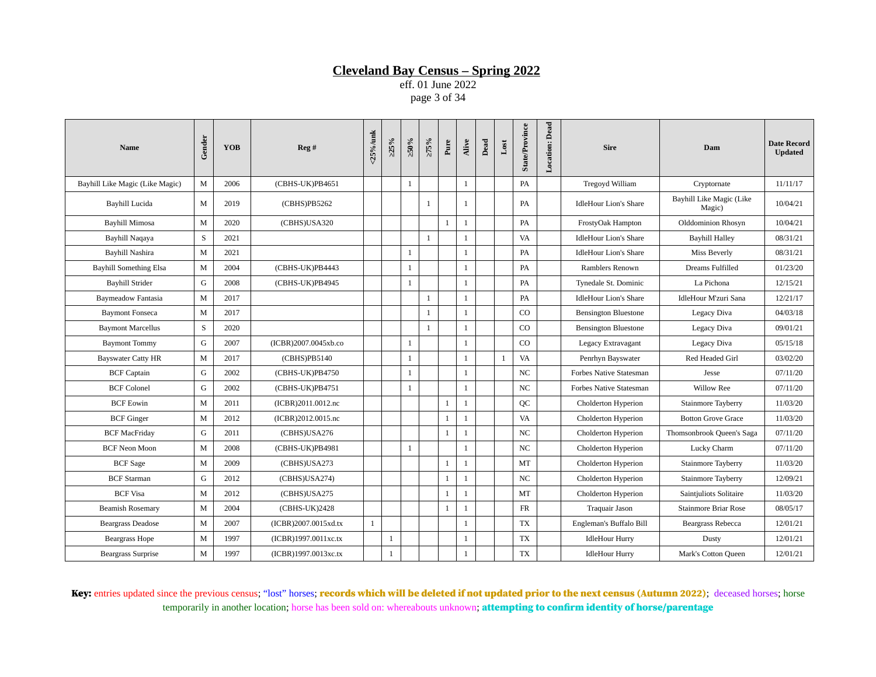eff. 01 June 2022 page 3 of 34

| <b>Name</b>                     | Gender | YOB  | Reg #                | <25%/unk | >25% | $>50\%$      | $>75\%$      | Pure         | Alive        | Dead | $_{\rm Lost}$ | <b>State/Province</b> | <b>Location:</b> Dead | <b>Sire</b>                  | Dam                                | <b>Date Record</b><br><b>Updated</b> |
|---------------------------------|--------|------|----------------------|----------|------|--------------|--------------|--------------|--------------|------|---------------|-----------------------|-----------------------|------------------------------|------------------------------------|--------------------------------------|
| Bayhill Like Magic (Like Magic) | M      | 2006 | (CBHS-UK)PB4651      |          |      | $\mathbf{1}$ |              |              | $\mathbf{1}$ |      |               | PA                    |                       | Tregoyd William              | Cryptornate                        | 11/11/17                             |
| Bayhill Lucida                  | M      | 2019 | (CBHS)PB5262         |          |      |              | 1            |              | 1            |      |               | PA                    |                       | <b>IdleHour Lion's Share</b> | Bayhill Like Magic (Like<br>Magic) | 10/04/21                             |
| <b>Bayhill Mimosa</b>           | M      | 2020 | (CBHS)USA320         |          |      |              |              | $\mathbf{1}$ | $\mathbf{1}$ |      |               | PA                    |                       | FrostyOak Hampton            | Olddominion Rhosyn                 | 10/04/21                             |
| Bayhill Naqaya                  | S      | 2021 |                      |          |      |              | $\,1\,$      |              | $\mathbf{1}$ |      |               | VA                    |                       | <b>IdleHour Lion's Share</b> | <b>Bayhill Halley</b>              | 08/31/21                             |
| <b>Bayhill Nashira</b>          | M      | 2021 |                      |          |      | 1            |              |              | 1            |      |               | PA                    |                       | <b>IdleHour Lion's Share</b> | Miss Beverly                       | 08/31/21                             |
| <b>Bayhill Something Elsa</b>   | M      | 2004 | (CBHS-UK)PB4443      |          |      | 1            |              |              | $\mathbf{1}$ |      |               | PA                    |                       | Ramblers Renown              | Dreams Fulfilled                   | 01/23/20                             |
| <b>Bayhill Strider</b>          | G      | 2008 | (CBHS-UK)PB4945      |          |      | -1           |              |              | $\mathbf{1}$ |      |               | PA                    |                       | Tynedale St. Dominic         | La Pichona                         | 12/15/21                             |
| <b>Baymeadow Fantasia</b>       | M      | 2017 |                      |          |      |              | 1            |              | $\mathbf{1}$ |      |               | PA                    |                       | <b>IdleHour Lion's Share</b> | IdleHour M'zuri Sana               | 12/21/17                             |
| <b>Baymont Fonseca</b>          | M      | 2017 |                      |          |      |              | 1            |              | 1            |      |               | CO                    |                       | <b>Bensington Bluestone</b>  | Legacy Diva                        | 04/03/18                             |
| <b>Baymont Marcellus</b>        | S      | 2020 |                      |          |      |              | $\mathbf{1}$ |              | 1            |      |               | CO                    |                       | <b>Bensington Bluestone</b>  | Legacy Diva                        | 09/01/21                             |
| <b>Baymont Tommy</b>            | G      | 2007 | (ICBR)2007.0045xb.co |          |      | $\mathbf{1}$ |              |              | 1            |      |               | CO                    |                       | Legacy Extravagant           | Legacy Diva                        | 05/15/18                             |
| <b>Bayswater Catty HR</b>       | M      | 2017 | (CBHS)PB5140         |          |      | 1            |              |              | $\mathbf{1}$ |      | $\mathbf{1}$  | VA                    |                       | Penrhyn Bayswater            | Red Headed Girl                    | 03/02/20                             |
| <b>BCF Captain</b>              | G      | 2002 | (CBHS-UK)PB4750      |          |      | -1           |              |              | 1            |      |               | $_{\rm NC}$           |                       | Forbes Native Statesman      | Jesse                              | 07/11/20                             |
| <b>BCF Colonel</b>              | G      | 2002 | (CBHS-UK)PB4751      |          |      | 1            |              |              | $\mathbf{1}$ |      |               | NC                    |                       | Forbes Native Statesman      | Willow Ree                         | 07/11/20                             |
| <b>BCF Eowin</b>                | M      | 2011 | (ICBR)2011.0012.nc   |          |      |              |              | $\mathbf{1}$ | $\mathbf{1}$ |      |               | QC                    |                       | Cholderton Hyperion          | Stainmore Tayberry                 | 11/03/20                             |
| <b>BCF</b> Ginger               | M      | 2012 | (ICBR)2012.0015.nc   |          |      |              |              | 1            | $\mathbf{1}$ |      |               | VA                    |                       | Cholderton Hyperion          | <b>Botton Grove Grace</b>          | 11/03/20                             |
| <b>BCF MacFriday</b>            | G      | 2011 | (CBHS)USA276         |          |      |              |              | $\mathbf{1}$ | 1            |      |               | $_{\rm NC}$           |                       | Cholderton Hyperion          | Thomsonbrook Queen's Saga          | 07/11/20                             |
| <b>BCF Neon Moon</b>            | M      | 2008 | (CBHS-UK)PB4981      |          |      | $\mathbf{1}$ |              |              | 1            |      |               | NC                    |                       | Cholderton Hyperion          | Lucky Charm                        | 07/11/20                             |
| <b>BCF</b> Sage                 | M      | 2009 | (CBHS)USA273         |          |      |              |              | 1            | 1            |      |               | MT                    |                       | Cholderton Hyperion          | Stainmore Tayberry                 | 11/03/20                             |
| <b>BCF</b> Starman              | G      | 2012 | (CBHS)USA274)        |          |      |              |              | $\mathbf{1}$ | $\mathbf{1}$ |      |               | $_{\rm NC}$           |                       | Cholderton Hyperion          | Stainmore Tayberry                 | 12/09/21                             |
| <b>BCF Visa</b>                 | M      | 2012 | (CBHS)USA275         |          |      |              |              | 1            | $\mathbf{1}$ |      |               | MT                    |                       | Cholderton Hyperion          | Saintjuliots Solitaire             | 11/03/20                             |
| <b>Beamish Rosemary</b>         | M      | 2004 | (CBHS-UK)2428        |          |      |              |              | $\mathbf{1}$ | $\mathbf{1}$ |      |               | FR                    |                       | <b>Traquair Jason</b>        | <b>Stainmore Briar Rose</b>        | 08/05/17                             |
| <b>Beargrass Deadose</b>        | M      | 2007 | (ICBR)2007.0015xd.tx | 1        |      |              |              |              | $\mathbf{1}$ |      |               | TX                    |                       | Engleman's Buffalo Bill      | <b>Beargrass Rebecca</b>           | 12/01/21                             |
| <b>Beargrass Hope</b>           | M      | 1997 | (ICBR)1997.0011xc.tx |          | 1    |              |              |              | 1            |      |               | <b>TX</b>             |                       | <b>IdleHour Hurry</b>        | Dusty                              | 12/01/21                             |
| <b>Beargrass Surprise</b>       | M      | 1997 | (ICBR)1997.0013xc.tx |          | 1    |              |              |              | 1            |      |               | TX                    |                       | <b>IdleHour Hurry</b>        | Mark's Cotton Queen                | 12/01/21                             |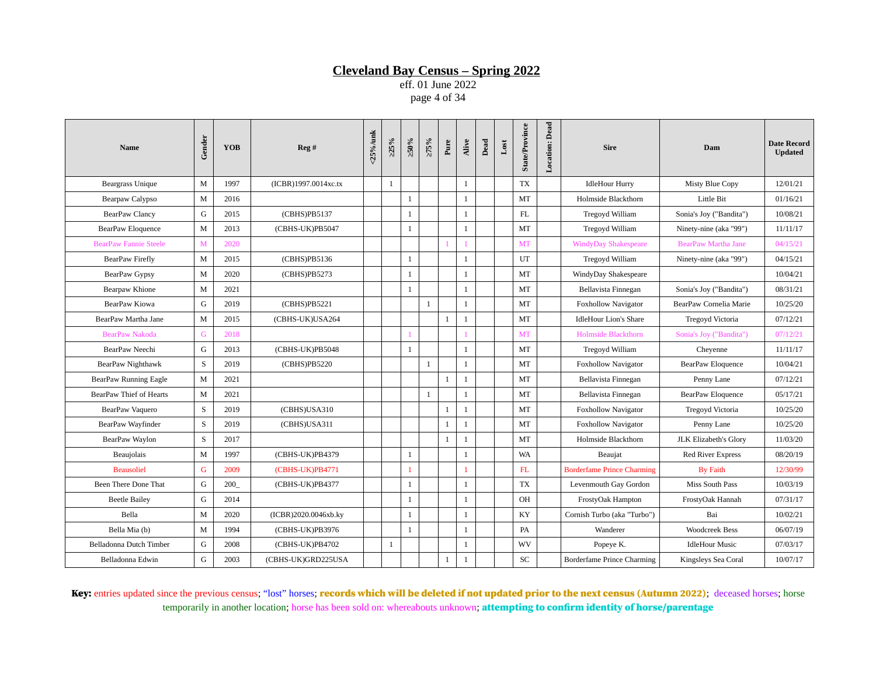eff. 01 June 2022 page 4 of 34

| <b>Name</b>                  | Gender      | <b>YOB</b> | Reg#                 | $<$ 25%/unk | $>25\%$      | $\approx 0.95$ | $>75\%$      | Pure         | Alive        | Dead | $_{\rm Lost}$ | <b>State/Province</b> | <b>Location: Dead</b> | <b>Sire</b>                       | Dam                        | <b>Date Record</b><br><b>Updated</b> |
|------------------------------|-------------|------------|----------------------|-------------|--------------|----------------|--------------|--------------|--------------|------|---------------|-----------------------|-----------------------|-----------------------------------|----------------------------|--------------------------------------|
| <b>Beargrass Unique</b>      | M           | 1997       | (ICBR)1997.0014xc.tx |             | 1            |                |              |              | $\mathbf{1}$ |      |               | TX                    |                       | <b>IdleHour Hurry</b>             | Misty Blue Copy            | 12/01/21                             |
| Bearpaw Calypso              | M           | 2016       |                      |             |              | 1              |              |              | $\mathbf{1}$ |      |               | MT                    |                       | Holmside Blackthorn               | Little Bit                 | 01/16/21                             |
| <b>BearPaw Clancy</b>        | G           | 2015       | (CBHS)PB5137         |             |              | 1              |              |              | $\mathbf{1}$ |      |               | FL                    |                       | Tregoyd William                   | Sonia's Joy ("Bandita")    | 10/08/21                             |
| <b>BearPaw Eloquence</b>     | M           | 2013       | (CBHS-UK)PB5047      |             |              | $\mathbf{1}$   |              |              | $\mathbf{1}$ |      |               | MT                    |                       | Tregoyd William                   | Ninety-nine (aka "99")     | 11/11/17                             |
| <b>BearPaw Fannie Steele</b> | M           | 2020       |                      |             |              |                |              |              |              |      |               | MT                    |                       | <b>WindyDay Shakespeare</b>       | <b>BearPaw Martha Jane</b> | 04/15/21                             |
| BearPaw Firefly              | M           | 2015       | (CBHS)PB5136         |             |              | 1              |              |              | $\mathbf{1}$ |      |               | UT                    |                       | Tregoyd William                   | Ninety-nine (aka "99")     | 04/15/21                             |
| BearPaw Gypsy                | M           | 2020       | (CBHS)PB5273         |             |              | -1             |              |              | 1            |      |               | MT                    |                       | WindyDay Shakespeare              |                            | 10/04/21                             |
| Bearpaw Khione               | M           | 2021       |                      |             |              | $\mathbf{1}$   |              |              | $\mathbf{1}$ |      |               | MT                    |                       | Bellavista Finnegan               | Sonia's Joy ("Bandita")    | 08/31/21                             |
| BearPaw Kiowa                | G           | 2019       | (CBHS)PB5221         |             |              |                | $\mathbf{1}$ |              | $\mathbf{1}$ |      |               | MT                    |                       | <b>Foxhollow Navigator</b>        | BearPaw Cornelia Marie     | 10/25/20                             |
| BearPaw Martha Jane          | M           | 2015       | (CBHS-UK)USA264      |             |              |                |              | $\mathbf{1}$ | 1            |      |               | MT                    |                       | <b>IdleHour Lion's Share</b>      | Tregoyd Victoria           | 07/12/21                             |
| <b>BearPaw Nakoda</b>        | G           | 2018       |                      |             |              |                |              |              |              |      |               | <b>MT</b>             |                       | <b>Holmside Blackthorn</b>        | Sonia's Joy ("Bandita")    | 07/12/21                             |
| BearPaw Neechi               | G           | 2013       | (CBHS-UK)PB5048      |             |              | $\mathbf{1}$   |              |              | $\mathbf{1}$ |      |               | MT                    |                       | Tregoyd William                   | Cheyenne                   | 11/11/17                             |
| BearPaw Nighthawk            | $\mathbf S$ | 2019       | (CBHS)PB5220         |             |              |                | $\mathbf{1}$ |              | $\mathbf{1}$ |      |               | MT                    |                       | <b>Foxhollow Navigator</b>        | <b>BearPaw Eloquence</b>   | 10/04/21                             |
| BearPaw Running Eagle        | M           | 2021       |                      |             |              |                |              | $\mathbf{1}$ | $\mathbf{1}$ |      |               | MT                    |                       | Bellavista Finnegan               | Penny Lane                 | 07/12/21                             |
| BearPaw Thief of Hearts      | M           | 2021       |                      |             |              |                | 1            |              | $\mathbf{1}$ |      |               | MT                    |                       | Bellavista Finnegan               | BearPaw Eloquence          | 05/17/21                             |
| BearPaw Vaquero              | S           | 2019       | (CBHS)USA310         |             |              |                |              | $\mathbf{1}$ | $\mathbf{1}$ |      |               | MT                    |                       | Foxhollow Navigator               | <b>Tregoyd Victoria</b>    | 10/25/20                             |
| BearPaw Wayfinder            | S           | 2019       | (CBHS)USA311         |             |              |                |              | $\mathbf{1}$ | $\mathbf{1}$ |      |               | MT                    |                       | <b>Foxhollow Navigator</b>        | Penny Lane                 | 10/25/20                             |
| BearPaw Waylon               | S           | 2017       |                      |             |              |                |              | $\mathbf{1}$ | $\mathbf{1}$ |      |               | MT                    |                       | Holmside Blackthorn               | JLK Elizabeth's Glory      | 11/03/20                             |
| Beaujolais                   | M           | 1997       | (CBHS-UK)PB4379      |             |              | 1              |              |              | $\mathbf{1}$ |      |               | WA                    |                       | Beaujat                           | <b>Red River Express</b>   | 08/20/19                             |
| <b>Beausoliel</b>            | G           | 2009       | (CBHS-UK)PB4771      |             |              | 1              |              |              | 1            |      |               | FL                    |                       | <b>Borderfame Prince Charming</b> | <b>By Faith</b>            | 12/30/99                             |
| Been There Done That         | G           | 200        | (CBHS-UK)PB4377      |             |              | -1             |              |              | $\mathbf{1}$ |      |               | <b>TX</b>             |                       | Levenmouth Gay Gordon             | Miss South Pass            | 10/03/19                             |
| <b>Beetle Bailey</b>         | G           | 2014       |                      |             |              | 1              |              |              | $\mathbf{1}$ |      |               | OH                    |                       | FrostyOak Hampton                 | FrostyOak Hannah           | 07/31/17                             |
| Bella                        | M           | 2020       | (ICBR)2020.0046xb.ky |             |              | 1              |              |              | $\mathbf{1}$ |      |               | KY                    |                       | Cornish Turbo (aka "Turbo")       | Bai                        | 10/02/21                             |
| Bella Mia (b)                | M           | 1994       | (CBHS-UK)PB3976      |             |              | $\mathbf{1}$   |              |              | $\mathbf{1}$ |      |               | PA                    |                       | Wanderer                          | <b>Woodcreek Bess</b>      | 06/07/19                             |
| Belladonna Dutch Timber      | G           | 2008       | (CBHS-UK)PB4702      |             | $\mathbf{1}$ |                |              |              | $\mathbf{1}$ |      |               | WV                    |                       | Popeye K.                         | <b>IdleHour Music</b>      | 07/03/17                             |
| Belladonna Edwin             | G           | 2003       | (CBHS-UK)GRD225USA   |             |              |                |              | $\mathbf{1}$ | 1            |      |               | <b>SC</b>             |                       | <b>Borderfame Prince Charming</b> | Kingsleys Sea Coral        | 10/07/17                             |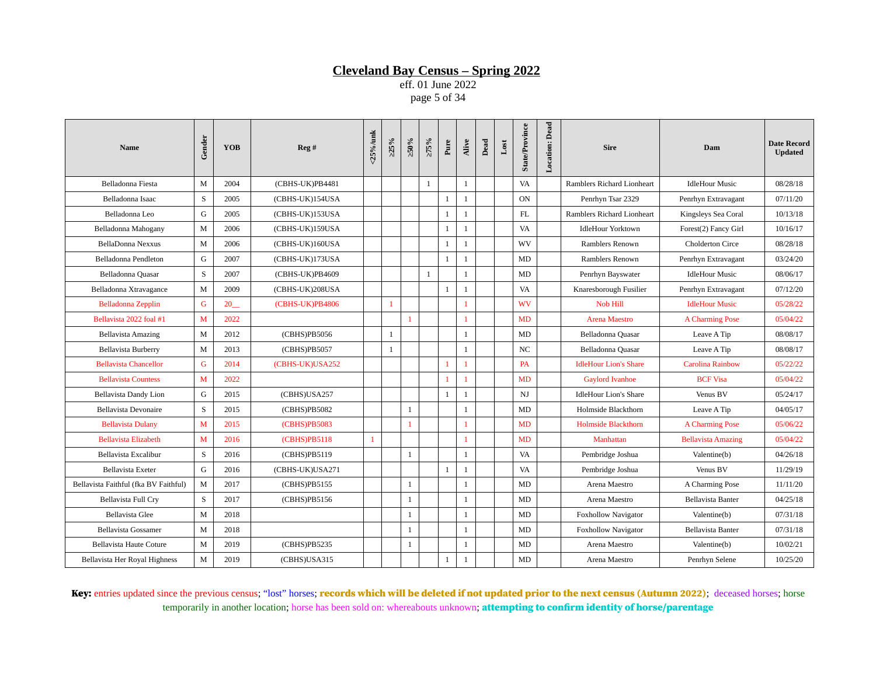eff. 01 June 2022 page 5 of 34

| <b>Name</b>                           | Gender | <b>YOB</b> | Reg#            | <25%/unk     | $>25\%$        | $\approx 0.95$ | $>75\%$      | Pure         | Alive        | Dead | $_{\rm Lost}$ | <b>State/Province</b> | <b>Location: Dead</b> | <b>Sire</b>                  | Dam                       | <b>Date Record</b><br><b>Updated</b> |
|---------------------------------------|--------|------------|-----------------|--------------|----------------|----------------|--------------|--------------|--------------|------|---------------|-----------------------|-----------------------|------------------------------|---------------------------|--------------------------------------|
| Belladonna Fiesta                     | M      | 2004       | (CBHS-UK)PB4481 |              |                |                | 1            |              | $\mathbf{1}$ |      |               | VA                    |                       | Ramblers Richard Lionheart   | <b>IdleHour Music</b>     | 08/28/18                             |
| Belladonna Isaac                      | S      | 2005       | (CBHS-UK)154USA |              |                |                |              | $\mathbf{1}$ | $\mathbf{1}$ |      |               | <b>ON</b>             |                       | Penrhyn Tsar 2329            | Penrhyn Extravagant       | 07/11/20                             |
| Belladonna Leo                        | G      | 2005       | (CBHS-UK)153USA |              |                |                |              | $\mathbf{1}$ | $\mathbf{1}$ |      |               | FL                    |                       | Ramblers Richard Lionheart   | Kingsleys Sea Coral       | 10/13/18                             |
| Belladonna Mahogany                   | M      | 2006       | (CBHS-UK)159USA |              |                |                |              | $\mathbf{1}$ | $\mathbf{1}$ |      |               | VA                    |                       | <b>IdleHour Yorktown</b>     | Forest(2) Fancy Girl      | 10/16/17                             |
| BellaDonna Nexxus                     | M      | 2006       | (CBHS-UK)160USA |              |                |                |              | $\mathbf{1}$ | $\mathbf{1}$ |      |               | WV                    |                       | Ramblers Renown              | <b>Cholderton Circe</b>   | 08/28/18                             |
| Belladonna Pendleton                  | G      | 2007       | (CBHS-UK)173USA |              |                |                |              | $\mathbf{1}$ | 1            |      |               | MD                    |                       | Ramblers Renown              | Penrhyn Extravagant       | 03/24/20                             |
| Belladonna Quasar                     | S      | 2007       | (CBHS-UK)PB4609 |              |                |                | $\mathbf{1}$ |              | $\mathbf{1}$ |      |               | MD                    |                       | Penrhyn Bayswater            | <b>IdleHour Music</b>     | 08/06/17                             |
| Belladonna Xtravagance                | M      | 2009       | (CBHS-UK)208USA |              |                |                |              | $\mathbf{1}$ | $\mathbf{1}$ |      |               | VA                    |                       | Knaresborough Fusilier       | Penrhyn Extravagant       | 07/12/20                             |
| Belladonna Zepplin                    | G      | 20         | (CBHS-UK)PB4806 |              | $\overline{1}$ |                |              |              | 1            |      |               | <b>WV</b>             |                       | Nob Hill                     | <b>IdleHour Music</b>     | 05/28/22                             |
| Bellavista 2022 foal #1               | M      | 2022       |                 |              |                | 1              |              |              | 1            |      |               | <b>MD</b>             |                       | Arena Maestro                | A Charming Pose           | 05/04/22                             |
| <b>Bellavista Amazing</b>             | M      | 2012       | (CBHS)PB5056    |              | 1              |                |              |              | $\mathbf{1}$ |      |               | MD                    |                       | Belladonna Quasar            | Leave A Tip               | 08/08/17                             |
| <b>Bellavista Burberry</b>            | M      | 2013       | (CBHS)PB5057    |              | 1              |                |              |              | $\mathbf{1}$ |      |               | $_{\rm NC}$           |                       | Belladonna Quasar            | Leave A Tip               | 08/08/17                             |
| <b>Bellavista Chancellor</b>          | G      | 2014       | (CBHS-UK)USA252 |              |                |                |              |              | $\mathbf{1}$ |      |               | <b>PA</b>             |                       | <b>IdleHour Lion's Share</b> | <b>Carolina Rainbow</b>   | 05/22/22                             |
| <b>Bellavista Countess</b>            | M      | 2022       |                 |              |                |                |              | 1            | 1            |      |               | MD                    |                       | <b>Gaylord Ivanhoe</b>       | <b>BCF Visa</b>           | 05/04/22                             |
| <b>Bellavista Dandy Lion</b>          | G      | 2015       | (CBHS)USA257    |              |                |                |              | $\mathbf{1}$ | $\mathbf{1}$ |      |               | N <sub>J</sub>        |                       | <b>IdleHour Lion's Share</b> | Venus BV                  | 05/24/17                             |
| <b>Bellavista Devonaire</b>           | S      | 2015       | (CBHS)PB5082    |              |                | 1              |              |              | $\mathbf{1}$ |      |               | MD                    |                       | Holmside Blackthorn          | Leave A Tip               | 04/05/17                             |
| <b>Bellavista Dulany</b>              | M      | 2015       | (CBHS)PB5083    |              |                | 1              |              |              | $\mathbf{1}$ |      |               | MD                    |                       | <b>Holmside Blackthorn</b>   | A Charming Pose           | 05/06/22                             |
| <b>Bellavista Elizabeth</b>           | M      | 2016       | (CBHS)PB5118    | $\mathbf{1}$ |                |                |              |              | 1            |      |               | MD                    |                       | Manhattan                    | <b>Bellavista Amazing</b> | 05/04/22                             |
| Bellavista Excalibur                  | S      | 2016       | (CBHS)PB5119    |              |                | -1             |              |              | $\mathbf{1}$ |      |               | VA                    |                       | Pembridge Joshua             | Valentine(b)              | 04/26/18                             |
| Bellavista Exeter                     | G      | 2016       | (CBHS-UK)USA271 |              |                |                |              | $\mathbf{1}$ | $\mathbf{1}$ |      |               | VA                    |                       | Pembridge Joshua             | Venus BV                  | 11/29/19                             |
| Bellavista Faithful (fka BV Faithful) | M      | 2017       | (CBHS)PB5155    |              |                | 1              |              |              | $\mathbf{1}$ |      |               | MD                    |                       | Arena Maestro                | A Charming Pose           | 11/11/20                             |
| Bellavista Full Cry                   | S      | 2017       | (CBHS)PB5156    |              |                | 1              |              |              | $\mathbf{1}$ |      |               | MD                    |                       | Arena Maestro                | <b>Bellavista Banter</b>  | 04/25/18                             |
| <b>Bellavista Glee</b>                | M      | 2018       |                 |              |                | -1             |              |              | $\mathbf{1}$ |      |               | MD                    |                       | <b>Foxhollow Navigator</b>   | Valentine(b)              | 07/31/18                             |
| <b>Bellavista Gossamer</b>            | M      | 2018       |                 |              |                | $\mathbf{1}$   |              |              | $\mathbf{1}$ |      |               | MD                    |                       | <b>Foxhollow Navigator</b>   | Bellavista Banter         | 07/31/18                             |
| <b>Bellavista Haute Coture</b>        | M      | 2019       | (CBHS)PB5235    |              |                | 1              |              |              | $\mathbf{1}$ |      |               | MD                    |                       | Arena Maestro                | Valentine(b)              | 10/02/21                             |
| Bellavista Her Royal Highness         | M      | 2019       | (CBHS)USA315    |              |                |                |              | $\mathbf{1}$ | 1            |      |               | MD                    |                       | Arena Maestro                | Penrhyn Selene            | 10/25/20                             |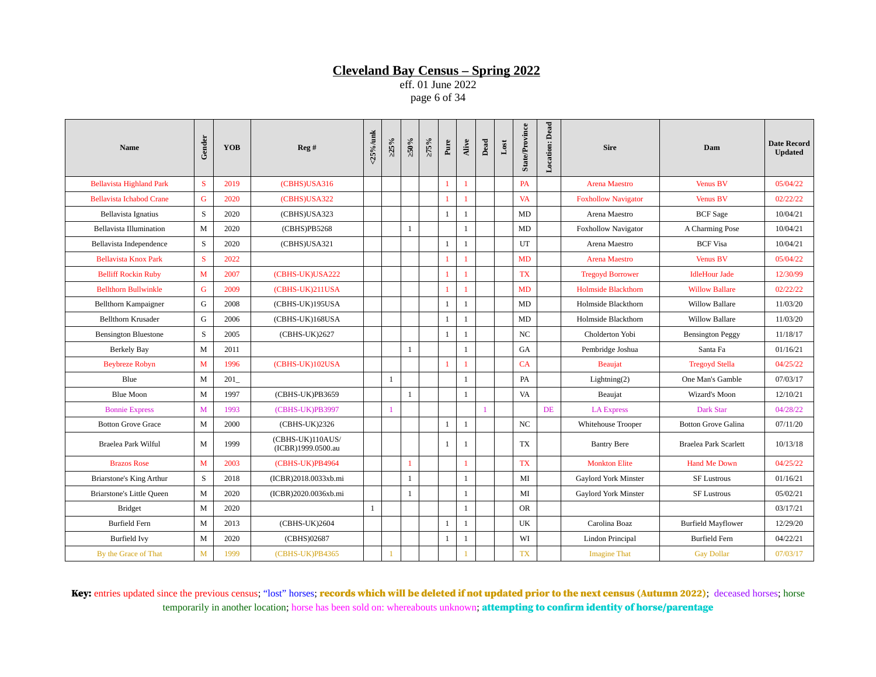eff. 01 June 2022 page 6 of 34

| <b>Name</b>                      | Gender      | <b>YOB</b> | Reg#                                   | <25%/unk | >25% | $>50\%$      | $>75\%$ | Pure         | Alive        | Dead | $_{\rm Lost}$ | <b>State/Province</b> | <b>Location: Dead</b> | <b>Sire</b>                 | Dam                        | <b>Date Record</b><br><b>Updated</b> |
|----------------------------------|-------------|------------|----------------------------------------|----------|------|--------------|---------|--------------|--------------|------|---------------|-----------------------|-----------------------|-----------------------------|----------------------------|--------------------------------------|
| <b>Bellavista Highland Park</b>  | S           | 2019       | (CBHS)USA316                           |          |      |              |         | $\mathbf{1}$ | 1            |      |               | PA                    |                       | <b>Arena Maestro</b>        | <b>Venus BV</b>            | 05/04/22                             |
| <b>Bellavista Ichabod Crane</b>  | G           | 2020       | (CBHS)USA322                           |          |      |              |         | 1            | 1            |      |               | <b>VA</b>             |                       | <b>Foxhollow Navigator</b>  | <b>Venus BV</b>            | 02/22/22                             |
| Bellavista Ignatius              | S           | 2020       | (CBHS)USA323                           |          |      |              |         | $\mathbf{1}$ | $\mathbf{1}$ |      |               | MD                    |                       | Arena Maestro               | <b>BCF</b> Sage            | 10/04/21                             |
| Bellavista Illumination          | M           | 2020       | (CBHS)PB5268                           |          |      | $\mathbf{1}$ |         |              | $\mathbf{1}$ |      |               | MD                    |                       | <b>Foxhollow Navigator</b>  | A Charming Pose            | 10/04/21                             |
| Bellavista Independence          | $\mathbf S$ | 2020       | (CBHS)USA321                           |          |      |              |         | $\mathbf{1}$ | $\mathbf{1}$ |      |               | UT                    |                       | Arena Maestro               | <b>BCF Visa</b>            | 10/04/21                             |
| <b>Bellavista Knox Park</b>      | S           | 2022       |                                        |          |      |              |         | 1            | 1            |      |               | MD                    |                       | Arena Maestro               | <b>Venus BV</b>            | 05/04/22                             |
| <b>Belliff Rockin Ruby</b>       | M           | 2007       | (CBHS-UK)USA222                        |          |      |              |         |              |              |      |               | <b>TX</b>             |                       | <b>Tregoyd Borrower</b>     | <b>IdleHour Jade</b>       | 12/30/99                             |
| <b>Bellthorn Bullwinkle</b>      | G           | 2009       | (CBHS-UK)211USA                        |          |      |              |         | 1            | 1            |      |               | MD                    |                       | <b>Holmside Blackthorn</b>  | <b>Willow Ballare</b>      | 02/22/22                             |
| Bellthorn Kampaigner             | G           | 2008       | (CBHS-UK)195USA                        |          |      |              |         | $\mathbf{1}$ | 1            |      |               | MD                    |                       | Holmside Blackthorn         | <b>Willow Ballare</b>      | 11/03/20                             |
| Bellthorn Krusader               | G           | 2006       | (CBHS-UK)168USA                        |          |      |              |         | $\mathbf{1}$ | $\mathbf{1}$ |      |               | MD                    |                       | Holmside Blackthorn         | <b>Willow Ballare</b>      | 11/03/20                             |
| <b>Bensington Bluestone</b>      | S           | 2005       | (CBHS-UK)2627                          |          |      |              |         | $\mathbf{1}$ | $\mathbf{1}$ |      |               | NC                    |                       | Cholderton Yobi             | <b>Bensington Peggy</b>    | 11/18/17                             |
| <b>Berkely Bay</b>               | M           | 2011       |                                        |          |      | $\mathbf{1}$ |         |              | $\mathbf{1}$ |      |               | GA                    |                       | Pembridge Joshua            | Santa Fa                   | 01/16/21                             |
| <b>Beybreze Robyn</b>            | M           | 1996       | (CBHS-UK)102USA                        |          |      |              |         | 1            | $\mathbf{1}$ |      |               | CA                    |                       | Beaujat                     | <b>Tregoyd Stella</b>      | 04/25/22                             |
| Blue                             | M           | 201        |                                        |          | 1    |              |         |              | $\mathbf{1}$ |      |               | PA                    |                       | Lightning(2)                | One Man's Gamble           | 07/03/17                             |
| Blue Moon                        | M           | 1997       | (CBHS-UK)PB3659                        |          |      | $\mathbf{1}$ |         |              | $\mathbf{1}$ |      |               | VA                    |                       | Beaujat                     | Wizard's Moon              | 12/10/21                             |
| <b>Bonnie Express</b>            | M           | 1993       | (CBHS-UK)PB3997                        |          |      |              |         |              |              |      |               |                       | DE                    | <b>LA Express</b>           | <b>Dark Star</b>           | 04/28/22                             |
| <b>Botton Grove Grace</b>        | M           | 2000       | (CBHS-UK)2326                          |          |      |              |         | 1            | $\mathbf{1}$ |      |               | NC                    |                       | Whitehouse Trooper          | <b>Botton Grove Galina</b> | 07/11/20                             |
| Braelea Park Wilful              | M           | 1999       | (CBHS-UK)110AUS/<br>(ICBR)1999.0500.au |          |      |              |         | $\mathbf{1}$ | 1            |      |               | <b>TX</b>             |                       | <b>Bantry Bere</b>          | Braelea Park Scarlett      | 10/13/18                             |
| <b>Brazos Rose</b>               | M           | 2003       | (CBHS-UK)PB4964                        |          |      | $\mathbf{1}$ |         |              | 1            |      |               | <b>TX</b>             |                       | <b>Monkton Elite</b>        | <b>Hand Me Down</b>        | 04/25/22                             |
| Briarstone's King Arthur         | S           | 2018       | (ICBR)2018.0033xb.mi                   |          |      | 1            |         |              | $\mathbf{1}$ |      |               | MI                    |                       | <b>Gaylord York Minster</b> | <b>SF Lustrous</b>         | 01/16/21                             |
| <b>Briarstone's Little Queen</b> | M           | 2020       | (ICBR)2020.0036xb.mi                   |          |      | 1            |         |              | $\mathbf{1}$ |      |               | MI                    |                       | <b>Gaylord York Minster</b> | <b>SF Lustrous</b>         | 05/02/21                             |
| <b>Bridget</b>                   | M           | 2020       |                                        | 1        |      |              |         |              | $\mathbf{1}$ |      |               | <b>OR</b>             |                       |                             |                            | 03/17/21                             |
| <b>Burfield Fern</b>             | M           | 2013       | (CBHS-UK)2604                          |          |      |              |         | $\mathbf{1}$ | $\mathbf{1}$ |      |               | UK                    |                       | Carolina Boaz               | <b>Burfield Mayflower</b>  | 12/29/20                             |
| <b>Burfield Ivv</b>              | M           | 2020       | (CBHS)02687                            |          |      |              |         | $\mathbf{1}$ | $\mathbf{1}$ |      |               | WI                    |                       | Lindon Principal            | <b>Burfield Fern</b>       | 04/22/21                             |
| By the Grace of That             | M           | 1999       | (CBHS-UK)PB4365                        |          |      |              |         |              |              |      |               | TX                    |                       | <b>Imagine That</b>         | <b>Gay Dollar</b>          | 07/03/17                             |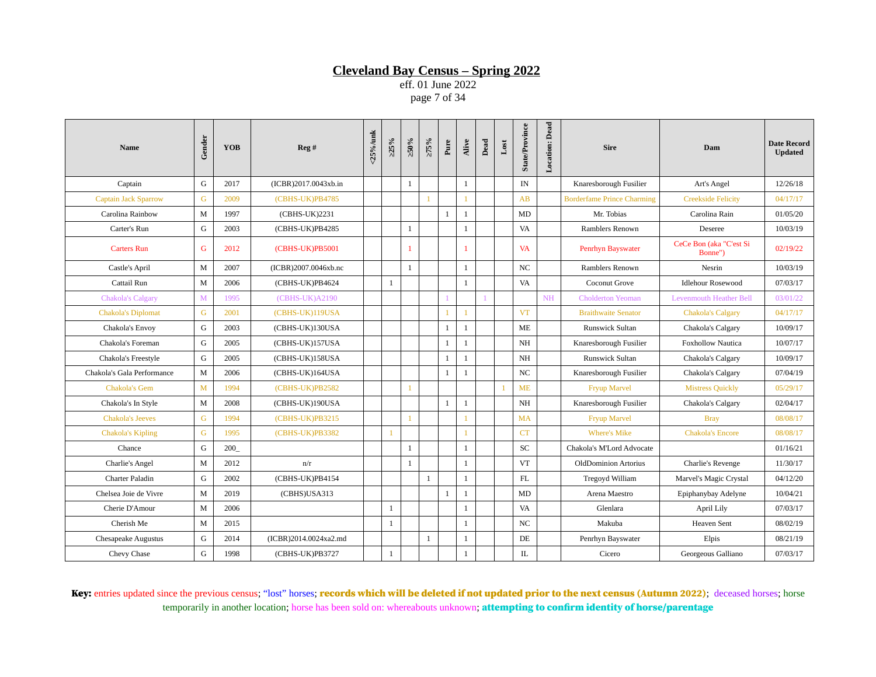eff. 01 June 2022 page 7 of 34

| <b>Name</b>                | Gender       | <b>YOB</b> | Reg#                  | <25%/unk | $>25\%$      | $\times 0.05$ | $>75\%$      | Pure         | Alive        | Dead | $_{\rm Lost}$  | <b>State/Province</b> | Location: Dead | <b>Sire</b>                       | Dam                                | <b>Date Record</b><br><b>Updated</b> |
|----------------------------|--------------|------------|-----------------------|----------|--------------|---------------|--------------|--------------|--------------|------|----------------|-----------------------|----------------|-----------------------------------|------------------------------------|--------------------------------------|
| Captain                    | G            | 2017       | (ICBR)2017.0043xb.in  |          |              | 1             |              |              | $\mathbf{1}$ |      |                | IN                    |                | Knaresborough Fusilier            | Art's Angel                        | 12/26/18                             |
| Captain Jack Sparrow       | G            | 2009       | (CBHS-UK)PB4785       |          |              |               | $\mathbf{1}$ |              |              |      |                | AB                    |                | <b>Borderfame Prince Charming</b> | <b>Creekside Felicity</b>          | 04/17/17                             |
| Carolina Rainbow           | M            | 1997       | (CBHS-UK)2231         |          |              |               |              | $\mathbf{1}$ | 1            |      |                | MD                    |                | Mr. Tobias                        | Carolina Rain                      | 01/05/20                             |
| Carter's Run               | G            | 2003       | (CBHS-UK)PB4285       |          |              | 1             |              |              | $\mathbf{1}$ |      |                | VA                    |                | Ramblers Renown                   | Deseree                            | 10/03/19                             |
| <b>Carters Run</b>         | G            | 2012       | (CBHS-UK)PB5001       |          |              |               |              |              | 1            |      |                | <b>VA</b>             |                | Penrhyn Bayswater                 | CeCe Bon (aka "C'est Si<br>Bonne") | 02/19/22                             |
| Castle's April             | M            | 2007       | (ICBR)2007.0046xb.nc  |          |              | $\mathbf{1}$  |              |              | $\mathbf{1}$ |      |                | NC                    |                | Ramblers Renown                   | Nesrin                             | 10/03/19                             |
| Cattail Run                | M            | 2006       | (CBHS-UK)PB4624       |          | 1            |               |              |              | $\mathbf{1}$ |      |                | VA                    |                | <b>Coconut Grove</b>              | <b>Idlehour Rosewood</b>           | 07/03/17                             |
| <b>Chakola's Calgary</b>   | $\mathbf{M}$ | 1995       | (CBHS-UK)A2190        |          |              |               |              |              |              |      |                |                       | <b>NH</b>      | <b>Cholderton Yeoman</b>          | <b>Levenmouth Heather Bell</b>     | 03/01/22                             |
| <b>Chakola's Diplomat</b>  | G            | 2001       | (CBHS-UK)119USA       |          |              |               |              | 1            | $\mathbf{1}$ |      |                | <b>VT</b>             |                | <b>Braithwaite Senator</b>        | <b>Chakola's Calgary</b>           | 04/17/17                             |
| Chakola's Envoy            | G            | 2003       | (CBHS-UK)130USA       |          |              |               |              | $\mathbf{1}$ | $\mathbf{1}$ |      |                | ME                    |                | <b>Runswick Sultan</b>            | Chakola's Calgary                  | 10/09/17                             |
| Chakola's Foreman          | G            | 2005       | (CBHS-UK)157USA       |          |              |               |              | $\mathbf{1}$ | $\mathbf{1}$ |      |                | NH                    |                | Knaresborough Fusilier            | <b>Foxhollow Nautica</b>           | 10/07/17                             |
| Chakola's Freestyle        | G            | 2005       | (CBHS-UK)158USA       |          |              |               |              | $\mathbf{1}$ | $\mathbf{1}$ |      |                | NH                    |                | <b>Runswick Sultan</b>            | Chakola's Calgary                  | 10/09/17                             |
| Chakola's Gala Performance | M            | 2006       | (CBHS-UK)164USA       |          |              |               |              | $\mathbf{1}$ | 1            |      |                | NC                    |                | Knaresborough Fusilier            | Chakola's Calgary                  | 07/04/19                             |
| <b>Chakola's Gem</b>       | M            | 1994       | (CBHS-UK)PB2582       |          |              | $\mathbf{1}$  |              |              |              |      | $\overline{1}$ | <b>ME</b>             |                | <b>Fryup Marvel</b>               | <b>Mistress Quickly</b>            | 05/29/17                             |
| Chakola's In Style         | M            | 2008       | (CBHS-UK)190USA       |          |              |               |              | $\mathbf{1}$ | $\mathbf{1}$ |      |                | NH                    |                | Knaresborough Fusilier            | Chakola's Calgary                  | 02/04/17                             |
| <b>Chakola's Jeeves</b>    | G            | 1994       | (CBHS-UK)PB3215       |          |              |               |              |              | $\mathbf{1}$ |      |                | MA                    |                | <b>Fryup Marvel</b>               | <b>Bray</b>                        | 08/08/17                             |
| <b>Chakola's Kipling</b>   | G            | 1995       | (CBHS-UK)PB3382       |          |              |               |              |              |              |      |                | CT                    |                | <b>Where's Mike</b>               | <b>Chakola's Encore</b>            | 08/08/17                             |
| Chance                     | G            | 200        |                       |          |              | 1             |              |              | $\mathbf{1}$ |      |                | SC                    |                | Chakola's M'Lord Advocate         |                                    | 01/16/21                             |
| Charlie's Angel            | M            | 2012       | n/r                   |          |              | $\mathbf{1}$  |              |              | $\mathbf{1}$ |      |                | <b>VT</b>             |                | <b>OldDominion Artorius</b>       | Charlie's Revenge                  | 11/30/17                             |
| <b>Charter Paladin</b>     | G            | 2002       | (CBHS-UK)PB4154       |          |              |               | $\mathbf{1}$ |              | $\mathbf{1}$ |      |                | <b>FL</b>             |                | Tregovd William                   | Marvel's Magic Crystal             | 04/12/20                             |
| Chelsea Joie de Vivre      | M            | 2019       | (CBHS)USA313          |          |              |               |              | $\mathbf{1}$ | $\mathbf{1}$ |      |                | MD                    |                | Arena Maestro                     | Epiphanybay Adelyne                | 10/04/21                             |
| Cherie D'Amour             | M            | 2006       |                       |          | $\mathbf{1}$ |               |              |              | $\mathbf{1}$ |      |                | VA                    |                | Glenlara                          | April Lily                         | 07/03/17                             |
| Cherish Me                 | M            | 2015       |                       |          | $\mathbf{1}$ |               |              |              | $\mathbf{1}$ |      |                | NC.                   |                | Makuba                            | <b>Heaven Sent</b>                 | 08/02/19                             |
| <b>Chesapeake Augustus</b> | G            | 2014       | (ICBR)2014.0024xa2.md |          |              |               | $\mathbf{1}$ |              | $\mathbf{1}$ |      |                | DE                    |                | Penrhyn Bayswater                 | Elpis                              | 08/21/19                             |
| Chevy Chase                | G            | 1998       | (CBHS-UK)PB3727       |          | 1            |               |              |              | $\mathbf{1}$ |      |                | IL                    |                | Cicero                            | Georgeous Galliano                 | 07/03/17                             |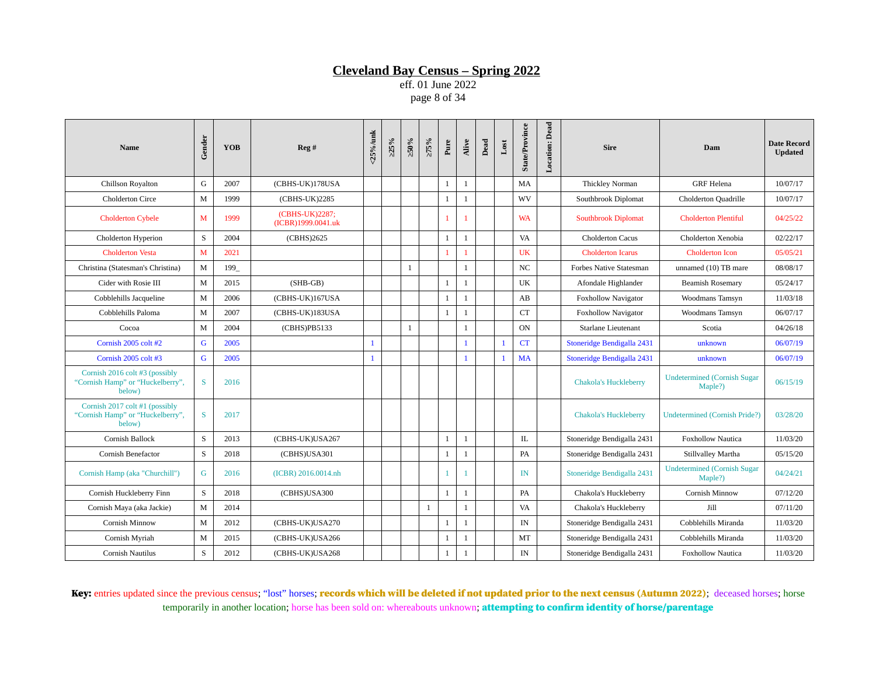eff. 01 June 2022 page 8 of 34

| <b>Name</b>                                                                  | Gender | <b>YOB</b> | Reg#                                 | $<$ 25%/unk  | $>25\%$ | $\times 0.05$ | $>75\%$      | Pure         | Alive        | Dead | $_{\rm Lost}$ | <b>State/Province</b> | Location: Dead | <b>Sire</b>                    | Dam                                           | <b>Date Record</b><br><b>Updated</b> |
|------------------------------------------------------------------------------|--------|------------|--------------------------------------|--------------|---------|---------------|--------------|--------------|--------------|------|---------------|-----------------------|----------------|--------------------------------|-----------------------------------------------|--------------------------------------|
| Chillson Royalton                                                            | G      | 2007       | (CBHS-UK)178USA                      |              |         |               |              | $\mathbf{1}$ | $\mathbf{1}$ |      |               | MA                    |                | Thickley Norman                | <b>GRF</b> Helena                             | 10/07/17                             |
| <b>Cholderton Circe</b>                                                      | M      | 1999       | (CBHS-UK)2285                        |              |         |               |              | $\mathbf{1}$ | $\mathbf{1}$ |      |               | WV                    |                | Southbrook Diplomat            | <b>Cholderton Quadrille</b>                   | 10/07/17                             |
| <b>Cholderton Cybele</b>                                                     | M      | 1999       | (CBHS-UK)2287;<br>(ICBR)1999.0041.uk |              |         |               |              | $\mathbf{1}$ | 1            |      |               | <b>WA</b>             |                | <b>Southbrook Diplomat</b>     | <b>Cholderton Plentiful</b>                   | 04/25/22                             |
| Cholderton Hyperion                                                          | S      | 2004       | (CBHS)2625                           |              |         |               |              | $\mathbf{1}$ | $\mathbf{1}$ |      |               | VA                    |                | <b>Cholderton Cacus</b>        | Cholderton Xenobia                            | 02/22/17                             |
| <b>Cholderton Vesta</b>                                                      | M      | 2021       |                                      |              |         |               |              |              | 1            |      |               | UK                    |                | <b>Cholderton Icarus</b>       | <b>Cholderton Icon</b>                        | 05/05/21                             |
| Christina (Statesman's Christina)                                            | M      | 199        |                                      |              |         | $\mathbf{1}$  |              |              | $\mathbf{1}$ |      |               | NC                    |                | <b>Forbes Native Statesman</b> | unnamed (10) TB mare                          | 08/08/17                             |
| Cider with Rosie III                                                         | M      | 2015       | $(SHB-GB)$                           |              |         |               |              | $\mathbf{1}$ | $\mathbf{1}$ |      |               | UK                    |                | Afondale Highlander            | <b>Beamish Rosemary</b>                       | 05/24/17                             |
| Cobblehills Jacqueline                                                       | M      | 2006       | (CBHS-UK)167USA                      |              |         |               |              | $\mathbf{1}$ | 1            |      |               | AB                    |                | <b>Foxhollow Navigator</b>     | Woodmans Tamsyn                               | 11/03/18                             |
| Cobblehills Paloma                                                           | M      | 2007       | (CBHS-UK)183USA                      |              |         |               |              | $\mathbf{1}$ | $\mathbf{1}$ |      |               | CT                    |                | <b>Foxhollow Navigator</b>     | Woodmans Tamsyn                               | 06/07/17                             |
| Cocoa                                                                        | M      | 2004       | (CBHS)PB5133                         |              |         | $\mathbf{1}$  |              |              | $\mathbf{1}$ |      |               | ON                    |                | Starlane Lieutenant            | Scotia                                        | 04/26/18                             |
| Cornish 2005 colt #2                                                         | G      | 2005       |                                      | $\mathbf{1}$ |         |               |              |              | $\mathbf{1}$ |      | $\mathbf{1}$  | CT                    |                | Stoneridge Bendigalla 2431     | unknown                                       | 06/07/19                             |
| Cornish 2005 colt #3                                                         | G      | 2005       |                                      | $\mathbf{1}$ |         |               |              |              | $\mathbf{1}$ |      | $\mathbf{1}$  | <b>MA</b>             |                | Stoneridge Bendigalla 2431     | unknown                                       | 06/07/19                             |
| Cornish 2016 colt #3 (possibly<br>"Cornish Hamp" or "Huckelberry",<br>below) | S      | 2016       |                                      |              |         |               |              |              |              |      |               |                       |                | <b>Chakola's Huckleberry</b>   | <b>Undetermined (Cornish Sugar</b><br>Maple?) | 06/15/19                             |
| Cornish 2017 colt #1 (possibly<br>"Cornish Hamp" or "Huckelberry",<br>below) | S      | 2017       |                                      |              |         |               |              |              |              |      |               |                       |                | <b>Chakola's Huckleberry</b>   | <b>Undetermined (Cornish Pride?)</b>          | 03/28/20                             |
| Cornish Ballock                                                              | S      | 2013       | (CBHS-UK)USA267                      |              |         |               |              | $\mathbf{1}$ | $\mathbf{1}$ |      |               | IL                    |                | Stoneridge Bendigalla 2431     | <b>Foxhollow Nautica</b>                      | 11/03/20                             |
| Cornish Benefactor                                                           | S      | 2018       | (CBHS)USA301                         |              |         |               |              | $\mathbf{1}$ | $\mathbf{1}$ |      |               | PA                    |                | Stoneridge Bendigalla 2431     | Stillvalley Martha                            | 05/15/20                             |
| Cornish Hamp (aka "Churchill")                                               | G      | 2016       | (ICBR) 2016.0014.nh                  |              |         |               |              | 1            | 1            |      |               | IN                    |                | Stoneridge Bendigalla 2431     | <b>Undetermined (Cornish Sugar</b><br>Maple?) | 04/24/21                             |
| Cornish Huckleberry Finn                                                     | S      | 2018       | (CBHS)USA300                         |              |         |               |              | $\mathbf{1}$ | 1            |      |               | PA                    |                | Chakola's Huckleberry          | Cornish Minnow                                | 07/12/20                             |
| Cornish Maya (aka Jackie)                                                    | M      | 2014       |                                      |              |         |               | $\mathbf{1}$ |              | $\mathbf{1}$ |      |               | VA                    |                | Chakola's Huckleberry          | Jill                                          | 07/11/20                             |
| Cornish Minnow                                                               | M      | 2012       | (CBHS-UK)USA270                      |              |         |               |              | $\mathbf{1}$ | $\mathbf{1}$ |      |               | IN                    |                | Stoneridge Bendigalla 2431     | Cobblehills Miranda                           | 11/03/20                             |
| Cornish Myriah                                                               | M      | 2015       | (CBHS-UK)USA266                      |              |         |               |              | $\mathbf{1}$ | $\mathbf{1}$ |      |               | MT                    |                | Stoneridge Bendigalla 2431     | Cobblehills Miranda                           | 11/03/20                             |
| Cornish Nautilus                                                             | S      | 2012       | (CBHS-UK)USA268                      |              |         |               |              | $\mathbf{1}$ | 1            |      |               | IN                    |                | Stoneridge Bendigalla 2431     | <b>Foxhollow Nautica</b>                      | 11/03/20                             |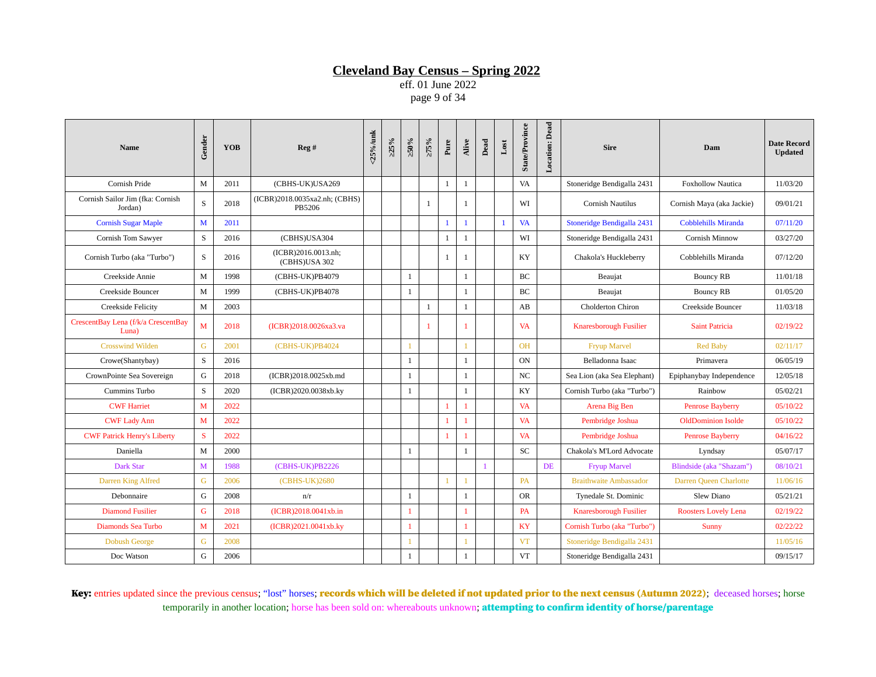eff. 01 June 2022 page 9 of 34

| <b>Name</b>                                  | Gender       | <b>YOB</b> | Reg#                                    | <25%/unk | $>25\%$ | $\approx 0.95$ | $>75\%$      | Pure         | Alive        | Dead | $_{\rm Lost}$ | <b>State/Province</b> | Location: Dead | <b>Sire</b>                   | Dam                         | <b>Date Record</b><br><b>Updated</b> |
|----------------------------------------------|--------------|------------|-----------------------------------------|----------|---------|----------------|--------------|--------------|--------------|------|---------------|-----------------------|----------------|-------------------------------|-----------------------------|--------------------------------------|
| Cornish Pride                                | M            | 2011       | (CBHS-UK)USA269                         |          |         |                |              | $\mathbf{1}$ | $\mathbf{1}$ |      |               | VA                    |                | Stoneridge Bendigalla 2431    | <b>Foxhollow Nautica</b>    | 11/03/20                             |
| Cornish Sailor Jim (fka: Cornish<br>Jordan)  | S            | 2018       | (ICBR)2018.0035xa2.nh; (CBHS)<br>PB5206 |          |         |                | $\mathbf{1}$ |              | $\mathbf{1}$ |      |               | WI                    |                | Cornish Nautilus              | Cornish Maya (aka Jackie)   | 09/01/21                             |
| <b>Cornish Sugar Maple</b>                   | M            | 2011       |                                         |          |         |                |              | $\mathbf{1}$ | $\mathbf{1}$ |      | $\mathbf{1}$  | <b>VA</b>             |                | Stoneridge Bendigalla 2431    | <b>Cobblehills Miranda</b>  | 07/11/20                             |
| Cornish Tom Sawyer                           | S            | 2016       | (CBHS)USA304                            |          |         |                |              | $\mathbf{1}$ | $\mathbf{1}$ |      |               | WI                    |                | Stoneridge Bendigalla 2431    | Cornish Minnow              | 03/27/20                             |
| Cornish Turbo (aka "Turbo")                  | S            | 2016       | (ICBR)2016.0013.nh;<br>(CBHS)USA 302    |          |         |                |              | 1            | 1            |      |               | KY                    |                | Chakola's Huckleberry         | Cobblehills Miranda         | 07/12/20                             |
| Creekside Annie                              | M            | 1998       | (CBHS-UK)PB4079                         |          |         | $\mathbf{1}$   |              |              | $\mathbf{1}$ |      |               | <b>BC</b>             |                | Beaujat                       | <b>Bouncy RB</b>            | 11/01/18                             |
| Creekside Bouncer                            | M            | 1999       | (CBHS-UK)PB4078                         |          |         | 1              |              |              | $\mathbf{1}$ |      |               | <b>BC</b>             |                | Beaujat                       | <b>Bouncy RB</b>            | 01/05/20                             |
| Creekside Felicity                           | $\mathbf{M}$ | 2003       |                                         |          |         |                | $\,1\,$      |              | $\mathbf{1}$ |      |               | AB                    |                | Cholderton Chiron             | Creekside Bouncer           | 11/03/18                             |
| CrescentBay Lena (f/k/a CrescentBay<br>Luna) | M            | 2018       | (ICBR)2018.0026xa3.va                   |          |         |                | $\mathbf{1}$ |              | 1            |      |               | <b>VA</b>             |                | Knaresborough Fusilier        | <b>Saint Patricia</b>       | 02/19/22                             |
| <b>Crosswind Wilden</b>                      | G            | 2001       | (CBHS-UK)PB4024                         |          |         |                |              |              |              |      |               | <b>OH</b>             |                | <b>Fryup Marvel</b>           | <b>Red Baby</b>             | 02/11/17                             |
| Crowe(Shantybay)                             | S            | 2016       |                                         |          |         | -1             |              |              | $\mathbf{1}$ |      |               | <b>ON</b>             |                | Belladonna Isaac              | Primavera                   | 06/05/19                             |
| CrownPointe Sea Sovereign                    | G            | 2018       | (ICBR)2018.0025xb.md                    |          |         | -1             |              |              | $\mathbf{1}$ |      |               | $_{\rm NC}$           |                | Sea Lion (aka Sea Elephant)   | Epiphanybay Independence    | 12/05/18                             |
| Cummins Turbo                                | S            | 2020       | (ICBR)2020.0038xb.ky                    |          |         | 1              |              |              | $\mathbf{1}$ |      |               | KY                    |                | Cornish Turbo (aka "Turbo")   | Rainbow                     | 05/02/21                             |
| <b>CWF Harriet</b>                           | M            | 2022       |                                         |          |         |                |              | 1            | 1            |      |               | <b>VA</b>             |                | Arena Big Ben                 | <b>Penrose Bayberry</b>     | 05/10/22                             |
| <b>CWF Lady Ann</b>                          | M            | 2022       |                                         |          |         |                |              |              | 1            |      |               | <b>VA</b>             |                | Pembridge Joshua              | <b>OldDominion Isolde</b>   | 05/10/22                             |
| <b>CWF Patrick Henry's Liberty</b>           | S            | 2022       |                                         |          |         |                |              |              | 1            |      |               | <b>VA</b>             |                | Pembridge Joshua              | <b>Penrose Bayberry</b>     | 04/16/22                             |
| Daniella                                     | $\mathbf M$  | 2000       |                                         |          |         | 1              |              |              | $\mathbf{1}$ |      |               | SC                    |                | Chakola's M'Lord Advocate     | Lyndsay                     | 05/07/17                             |
| Dark Star                                    | M            | 1988       | (CBHS-UK)PB2226                         |          |         |                |              |              |              |      |               |                       | DE             | <b>Fryup Marvel</b>           | Blindside (aka "Shazam")    | 08/10/21                             |
| Darren King Alfred                           | G            | 2006       | (CBHS-UK)2680                           |          |         |                |              | 1            | 1            |      |               | <b>PA</b>             |                | <b>Braithwaite Ambassador</b> | Darren Queen Charlotte      | 11/06/16                             |
| Debonnaire                                   | G            | 2008       | n/r                                     |          |         | $\mathbf{1}$   |              |              | $\mathbf{1}$ |      |               | <b>OR</b>             |                | Tynedale St. Dominic          | Slew Diano                  | 05/21/21                             |
| <b>Diamond Fusilier</b>                      | G            | 2018       | (ICBR)2018.0041xb.in                    |          |         | 1              |              |              | $\mathbf{1}$ |      |               | PA                    |                | <b>Knaresborough Fusilier</b> | <b>Roosters Lovely Lena</b> | 02/19/22                             |
| Diamonds Sea Turbo                           | M            | 2021       | (ICBR)2021.0041xb.ky                    |          |         | $\mathbf{1}$   |              |              | 1            |      |               | KY                    |                | Cornish Turbo (aka "Turbo")   | <b>Sunny</b>                | 02/22/22                             |
| <b>Dobush George</b>                         | G            | 2008       |                                         |          |         |                |              |              | $\mathbf{1}$ |      |               | <b>VT</b>             |                | Stoneridge Bendigalla 2431    |                             | 11/05/16                             |
| Doc Watson                                   | G            | 2006       |                                         |          |         | 1              |              |              | $\mathbf{1}$ |      |               | <b>VT</b>             |                | Stoneridge Bendigalla 2431    |                             | 09/15/17                             |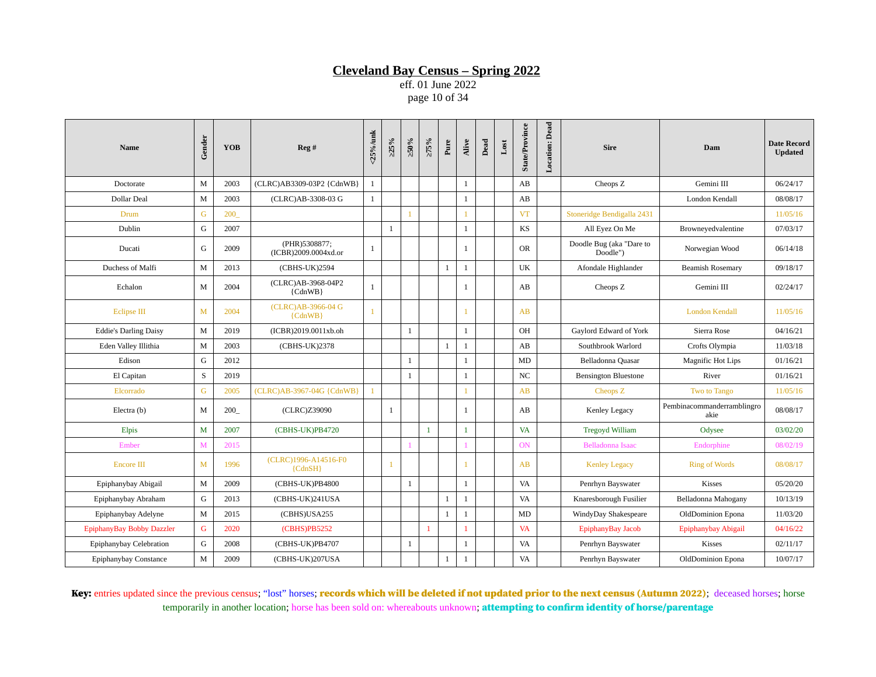eff. 01 June 2022 page 10 of 34

| <b>Name</b>                  | Gender | <b>YOB</b> | Reg#                                  | $<$ 25%/unk  | $>25\%$      | $\approx 0.95$ | $>75\%$      | Pure         | Alive        | Dead | $_{\rm Lost}$ | <b>State/Province</b> | <b>Location: Dead</b> | <b>Sire</b>                          | Dam                                | <b>Date Record</b><br><b>Updated</b> |
|------------------------------|--------|------------|---------------------------------------|--------------|--------------|----------------|--------------|--------------|--------------|------|---------------|-----------------------|-----------------------|--------------------------------------|------------------------------------|--------------------------------------|
| Doctorate                    | M      | 2003       | (CLRC)AB3309-03P2 {CdnWB}             | 1            |              |                |              |              | $\mathbf{1}$ |      |               | AB                    |                       | Cheops Z                             | Gemini III                         | 06/24/17                             |
| Dollar Deal                  | M      | 2003       | (CLRC)AB-3308-03 G                    | 1            |              |                |              |              | $\mathbf{1}$ |      |               | AB                    |                       |                                      | London Kendall                     | 08/08/17                             |
| Drum                         | G      | 200        |                                       |              |              |                |              |              |              |      |               | <b>VT</b>             |                       | Stoneridge Bendigalla 2431           |                                    | 11/05/16                             |
| Dublin                       | G      | 2007       |                                       |              | $\mathbf{1}$ |                |              |              | $\mathbf{1}$ |      |               | KS                    |                       | All Eyez On Me                       | Browneyedvalentine                 | 07/03/17                             |
| Ducati                       | G      | 2009       | (PHR)5308877;<br>(ICBR)2009.0004xd.or | $\mathbf{1}$ |              |                |              |              | $\mathbf{1}$ |      |               | <b>OR</b>             |                       | Doodle Bug (aka "Dare to<br>Doodle") | Norwegian Wood                     | 06/14/18                             |
| Duchess of Malfi             | M      | 2013       | (CBHS-UK)2594                         |              |              |                |              | $\mathbf{1}$ | $\mathbf{1}$ |      |               | UK                    |                       | Afondale Highlander                  | <b>Beamish Rosemary</b>            | 09/18/17                             |
| Echalon                      | M      | 2004       | (CLRC)AB-3968-04P2<br>${CdnWB}$       | $\mathbf{1}$ |              |                |              |              | 1            |      |               | AB                    |                       | Cheops Z                             | Gemini III                         | 02/24/17                             |
| <b>Eclipse III</b>           | M      | 2004       | (CLRC)AB-3966-04 G<br>${CdnWB}$       | $\mathbf{1}$ |              |                |              |              | 1            |      |               | AB                    |                       |                                      | <b>London Kendall</b>              | 11/05/16                             |
| <b>Eddie's Darling Daisy</b> | M      | 2019       | (ICBR)2019.0011xb.oh                  |              |              | 1              |              |              | $\mathbf{1}$ |      |               | OH                    |                       | Gaylord Edward of York               | Sierra Rose                        | 04/16/21                             |
| Eden Valley Illithia         | M      | 2003       | (CBHS-UK)2378                         |              |              |                |              | $\mathbf{1}$ | $\mathbf{1}$ |      |               | AB                    |                       | Southbrook Warlord                   | Crofts Olympia                     | 11/03/18                             |
| Edison                       | G      | 2012       |                                       |              |              | $\mathbf{1}$   |              |              | $\mathbf{1}$ |      |               | MD                    |                       | Belladonna Quasar                    | <b>Magnific Hot Lips</b>           | 01/16/21                             |
| El Capitan                   | S      | 2019       |                                       |              |              | 1              |              |              | $\mathbf{1}$ |      |               | $_{\rm NC}$           |                       | <b>Bensington Bluestone</b>          | River                              | 01/16/21                             |
| Elcorrado                    | G      | 2005       | (CLRC)AB-3967-04G {CdnWB}             | 1            |              |                |              |              |              |      |               | AB                    |                       | Cheops Z                             | <b>Two to Tango</b>                | 11/05/16                             |
| Electra (b)                  | M      | 200        | (CLRC)Z39090                          |              | $\mathbf{1}$ |                |              |              | $\mathbf{1}$ |      |               | AB                    |                       | Kenley Legacy                        | Pembinacommanderramblingro<br>akie | 08/08/17                             |
| Elpis                        | M      | 2007       | (CBHS-UK)PB4720                       |              |              |                | 1            |              | $\mathbf{1}$ |      |               | VA                    |                       | <b>Tregoyd William</b>               | Odysee                             | 03/02/20                             |
| Ember                        | M      | 2015       |                                       |              |              |                |              |              |              |      |               | <b>ON</b>             |                       | Belladonna Isaac                     | Endorphine                         | 08/02/19                             |
| <b>Encore III</b>            | M      | 1996       | (CLRC)1996-A14516-F0<br>${CdnSH}$     |              |              |                |              |              | -1           |      |               | AB                    |                       | <b>Kenley Legacy</b>                 | <b>Ring of Words</b>               | 08/08/17                             |
| Epiphanybay Abigail          | M      | 2009       | (CBHS-UK)PB4800                       |              |              | 1              |              |              | $\mathbf{1}$ |      |               | VA                    |                       | Penrhyn Bayswater                    | <b>Kisses</b>                      | 05/20/20                             |
| Epiphanybay Abraham          | G      | 2013       | (CBHS-UK)241USA                       |              |              |                |              | $\mathbf{1}$ | $\mathbf{1}$ |      |               | VA                    |                       | Knaresborough Fusilier               | Belladonna Mahogany                | 10/13/19                             |
| Epiphanybay Adelyne          | M      | 2015       | (CBHS)USA255                          |              |              |                |              | $\mathbf{1}$ | $\mathbf{1}$ |      |               | MD                    |                       | WindyDay Shakespeare                 | OldDominion Epona                  | 11/03/20                             |
| EpiphanyBay Bobby Dazzler    | G      | 2020       | (CBHS)PB5252                          |              |              |                | $\mathbf{1}$ |              | 1            |      |               | <b>VA</b>             |                       | EpiphanyBay Jacob                    | Epiphanybay Abigail                | 04/16/22                             |
| Epiphanybay Celebration      | G      | 2008       | (CBHS-UK)PB4707                       |              |              | 1              |              |              | $\mathbf{1}$ |      |               | VA                    |                       | Penrhyn Bayswater                    | Kisses                             | 02/11/17                             |
| Epiphanybay Constance        | M      | 2009       | (CBHS-UK)207USA                       |              |              |                |              | $\mathbf{1}$ | $\mathbf{1}$ |      |               | VA                    |                       | Penrhyn Bayswater                    | OldDominion Epona                  | 10/07/17                             |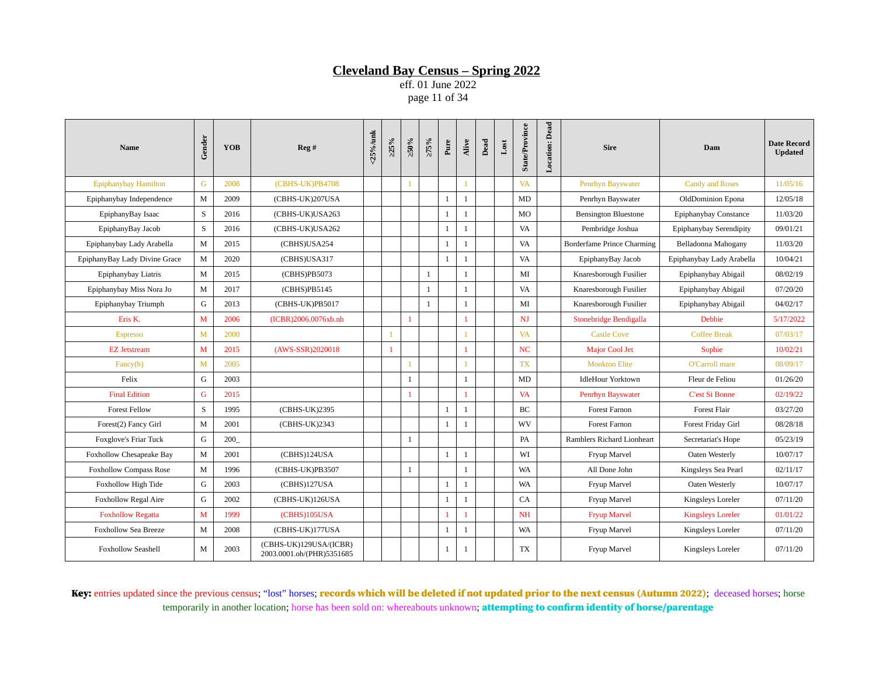eff. 01 June 2022 page 11 of 34

| <b>Name</b>                   | Gender      | <b>YOB</b> | Reg#                                                | <25%/unk | $>25\%$      | $>50\%$        | $>75\%$      | Pure         | Alive        | Dead | $_{\rm Lost}$ | <b>State/Province</b> | <b>Location: Dead</b> | <b>Sire</b>                       | Dam                       | <b>Date Record</b><br><b>Updated</b> |
|-------------------------------|-------------|------------|-----------------------------------------------------|----------|--------------|----------------|--------------|--------------|--------------|------|---------------|-----------------------|-----------------------|-----------------------------------|---------------------------|--------------------------------------|
| <b>Epiphanybay Hamilton</b>   | G           | 2008       | (CBHS-UK)PB4708                                     |          |              | $\mathbf{1}$   |              |              | $\mathbf{1}$ |      |               | <b>VA</b>             |                       | Penrhyn Bayswater                 | <b>Candy and Roses</b>    | 11/05/16                             |
| Epiphanybay Independence      | M           | 2009       | (CBHS-UK)207USA                                     |          |              |                |              | $\mathbf{1}$ | 1            |      |               | MD                    |                       | Penrhyn Bayswater                 | OldDominion Epona         | 12/05/18                             |
| EpiphanyBay Isaac             | S           | 2016       | (CBHS-UK)USA263                                     |          |              |                |              | $\mathbf{1}$ | $\mathbf{1}$ |      |               | MO                    |                       | <b>Bensington Bluestone</b>       | Epiphanybay Constance     | 11/03/20                             |
| EpiphanyBay Jacob             | S           | 2016       | (CBHS-UK)USA262                                     |          |              |                |              | $\mathbf{1}$ | $\mathbf{1}$ |      |               | VA                    |                       | Pembridge Joshua                  | Epiphanybay Serendipity   | 09/01/21                             |
| Epiphanybay Lady Arabella     | M           | 2015       | (CBHS)USA254                                        |          |              |                |              | $\mathbf{1}$ | $\mathbf{1}$ |      |               | VA                    |                       | <b>Borderfame Prince Charming</b> | Belladonna Mahogany       | 11/03/20                             |
| EpiphanyBay Lady Divine Grace | M           | 2020       | (CBHS)USA317                                        |          |              |                |              | $\mathbf{1}$ | $\mathbf{1}$ |      |               | VA                    |                       | EpiphanyBay Jacob                 | Epiphanybay Lady Arabella | 10/04/21                             |
| Epiphanybay Liatris           | M           | 2015       | (CBHS)PB5073                                        |          |              |                | $\mathbf{1}$ |              | $\mathbf{1}$ |      |               | MI                    |                       | Knaresborough Fusilier            | Epiphanybay Abigail       | 08/02/19                             |
| Epiphanybay Miss Nora Jo      | M           | 2017       | (CBHS)PB5145                                        |          |              |                | $\mathbf{1}$ |              | $\mathbf{1}$ |      |               | VA                    |                       | Knaresborough Fusilier            | Epiphanybay Abigail       | 07/20/20                             |
| Epiphanybay Triumph           | G           | 2013       | (CBHS-UK)PB5017                                     |          |              |                | $\mathbf{1}$ |              | $\mathbf{1}$ |      |               | MI                    |                       | Knaresborough Fusilier            | Epiphanybay Abigail       | 04/02/17                             |
| Eris K.                       | M           | 2006       | (ICBR)2006.0076xb.nh                                |          |              | $\mathbf{1}$   |              |              | $\mathbf{1}$ |      |               | NJ                    |                       | Stonebridge Bendigalla            | <b>Debbie</b>             | 5/17/2022                            |
| <b>Espresso</b>               | M           | 2000       |                                                     |          | 1            |                |              |              |              |      |               | <b>VA</b>             |                       | <b>Castle Cove</b>                | <b>Coffee Break</b>       | 07/03/17                             |
| <b>EZ</b> Jetstream           | M           | 2015       | (AWS-SSR)2020018                                    |          | $\mathbf{1}$ |                |              |              | $\mathbf{1}$ |      |               | NC                    |                       | <b>Major Cool Jet</b>             | Sophie                    | 10/02/21                             |
| Fancy(b)                      | M           | 2005       |                                                     |          |              | $\mathbf{1}$   |              |              |              |      |               | <b>TX</b>             |                       | <b>Monkton Elite</b>              | O'Carroll mare            | 08/09/17                             |
| Felix                         | G           | 2003       |                                                     |          |              | 1              |              |              | 1            |      |               | MD                    |                       | <b>IdleHour Yorktown</b>          | Fleur de Feliou           | 01/26/20                             |
| <b>Final Edition</b>          | $\mathsf G$ | 2015       |                                                     |          |              | $\overline{1}$ |              |              | $\mathbf{1}$ |      |               | <b>VA</b>             |                       | Penrhyn Bayswater                 | <b>C'est Si Bonne</b>     | 02/19/22                             |
| <b>Forest Fellow</b>          | $\mathbf S$ | 1995       | (CBHS-UK)2395                                       |          |              |                |              | 1            | 1            |      |               | BC                    |                       | Forest Farnon                     | Forest Flair              | 03/27/20                             |
| Forest(2) Fancy Girl          | M           | 2001       | (CBHS-UK)2343                                       |          |              |                |              | 1            | $\mathbf{1}$ |      |               | WV                    |                       | Forest Farnon                     | Forest Friday Girl        | 08/28/18                             |
| Foxglove's Friar Tuck         | G           | 200        |                                                     |          |              | 1              |              |              |              |      |               | <b>PA</b>             |                       | Ramblers Richard Lionheart        | Secretariat's Hope        | 05/23/19                             |
| Foxhollow Chesapeake Bay      | M           | 2001       | (CBHS)124USA                                        |          |              |                |              | 1            | $\mathbf{1}$ |      |               | WI                    |                       | Fryup Marvel                      | Oaten Westerly            | 10/07/17                             |
| <b>Foxhollow Compass Rose</b> | M           | 1996       | (CBHS-UK)PB3507                                     |          |              | 1              |              |              | $\mathbf{1}$ |      |               | WA                    |                       | All Done John                     | Kingsleys Sea Pearl       | 02/11/17                             |
| Foxhollow High Tide           | G           | 2003       | (CBHS)127USA                                        |          |              |                |              | $\mathbf{1}$ | 1            |      |               | <b>WA</b>             |                       | Fryup Marvel                      | Oaten Westerly            | 10/07/17                             |
| <b>Foxhollow Regal Aire</b>   | G           | 2002       | (CBHS-UK)126USA                                     |          |              |                |              | $\mathbf{1}$ | 1            |      |               | CA                    |                       | Fryup Marvel                      | Kingsleys Loreler         | 07/11/20                             |
| <b>Foxhollow Regatta</b>      | M           | 1999       | (CBHS)105USA                                        |          |              |                |              | $\mathbf{1}$ | $\mathbf{1}$ |      |               | <b>NH</b>             |                       | <b>Fryup Marvel</b>               | <b>Kingsleys Loreler</b>  | 01/01/22                             |
| <b>Foxhollow Sea Breeze</b>   | M           | 2008       | (CBHS-UK)177USA                                     |          |              |                |              | $\mathbf{1}$ | $\mathbf{1}$ |      |               | WA                    |                       | Fryup Marvel                      | Kingsleys Loreler         | 07/11/20                             |
| <b>Foxhollow Seashell</b>     | M           | 2003       | (CBHS-UK)129USA/(ICBR)<br>2003.0001.oh/(PHR)5351685 |          |              |                |              | $\mathbf{1}$ | -1           |      |               | TX                    |                       | Fryup Marvel                      | Kingsleys Loreler         | 07/11/20                             |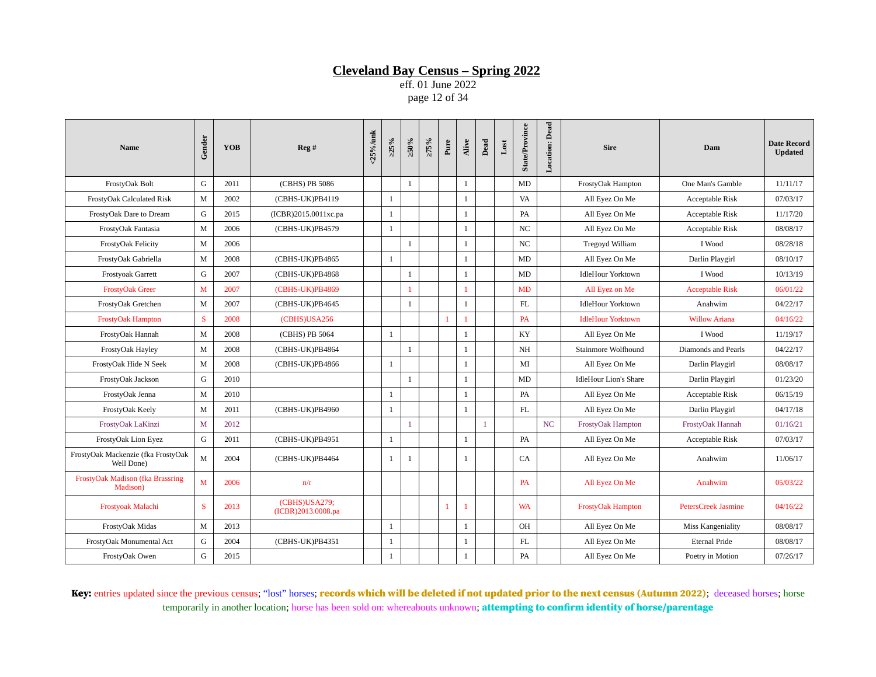eff. 01 June 2022 page 12 of 34

| <b>Name</b>                                      | Gender | <b>YOB</b> | Reg#                                | $<$ 25%/unk | >25%         | ≥50%         | $>75\%$ | Pure           | Alive        | Dead         | $_{\rm Lost}$ | <b>State/Province</b> | Location: Dead | <b>Sire</b>                  | Dam                        | <b>Date Record</b><br><b>Updated</b> |
|--------------------------------------------------|--------|------------|-------------------------------------|-------------|--------------|--------------|---------|----------------|--------------|--------------|---------------|-----------------------|----------------|------------------------------|----------------------------|--------------------------------------|
| FrostyOak Bolt                                   | G      | 2011       | (CBHS) PB 5086                      |             |              | $\mathbf{1}$ |         |                | $\mathbf{1}$ |              |               | MD                    |                | FrostyOak Hampton            | One Man's Gamble           | 11/11/17                             |
| FrostyOak Calculated Risk                        | M      | 2002       | (CBHS-UK)PB4119                     |             | 1            |              |         |                | $\mathbf{1}$ |              |               | VA                    |                | All Eyez On Me               | Acceptable Risk            | 07/03/17                             |
| FrostyOak Dare to Dream                          | G      | 2015       | (ICBR)2015.0011xc.pa                |             | 1            |              |         |                | $\mathbf{1}$ |              |               | PA                    |                | All Eyez On Me               | Acceptable Risk            | 11/17/20                             |
| FrostyOak Fantasia                               | M      | 2006       | (CBHS-UK)PB4579                     |             | 1            |              |         |                | $\mathbf{1}$ |              |               | NC                    |                | All Eyez On Me               | Acceptable Risk            | 08/08/17                             |
| FrostyOak Felicity                               | M      | 2006       |                                     |             |              | $\mathbf{1}$ |         |                | $\mathbf{1}$ |              |               | $_{\rm NC}$           |                | Tregovd William              | I Wood                     | 08/28/18                             |
| FrostyOak Gabriella                              | M      | 2008       | (CBHS-UK)PB4865                     |             | $\mathbf{1}$ |              |         |                | $\mathbf{1}$ |              |               | MD                    |                | All Eyez On Me               | Darlin Playgirl            | 08/10/17                             |
| Frostyoak Garrett                                | G      | 2007       | (CBHS-UK)PB4868                     |             |              | $\mathbf{1}$ |         |                | $\mathbf{1}$ |              |               | MD                    |                | <b>IdleHour Yorktown</b>     | I Wood                     | 10/13/19                             |
| <b>FrostyOak Greer</b>                           | M      | 2007       | (CBHS-UK)PB4869                     |             |              | 1            |         |                | 1            |              |               | MD                    |                | All Eyez on Me               | <b>Acceptable Risk</b>     | 06/01/22                             |
| FrostyOak Gretchen                               | M      | 2007       | (CBHS-UK)PB4645                     |             |              | $\mathbf{1}$ |         |                | $\mathbf{1}$ |              |               | FL                    |                | <b>IdleHour Yorktown</b>     | Anahwim                    | 04/22/17                             |
| <b>FrostyOak Hampton</b>                         | S      | 2008       | (CBHS)USA256                        |             |              |              |         | 1              | 1            |              |               | PA                    |                | <b>IdleHour Yorktown</b>     | <b>Willow Ariana</b>       | 04/16/22                             |
| FrostyOak Hannah                                 | M      | 2008       | (CBHS) PB 5064                      |             | $\mathbf{1}$ |              |         |                | $\mathbf{1}$ |              |               | KY                    |                | All Eyez On Me               | I Wood                     | 11/19/17                             |
| FrostyOak Hayley                                 | M      | 2008       | (CBHS-UK)PB4864                     |             |              | $\mathbf{1}$ |         |                | $\mathbf{1}$ |              |               | NH                    |                | Stainmore Wolfhound          | Diamonds and Pearls        | 04/22/17                             |
| FrostyOak Hide N Seek                            | M      | 2008       | (CBHS-UK)PB4866                     |             | $\mathbf{1}$ |              |         |                | $\mathbf{1}$ |              |               | MI                    |                | All Eyez On Me               | Darlin Playgirl            | 08/08/17                             |
| FrostyOak Jackson                                | G      | 2010       |                                     |             |              | $\mathbf{1}$ |         |                | $\mathbf{1}$ |              |               | MD                    |                | <b>IdleHour Lion's Share</b> | Darlin Playgirl            | 01/23/20                             |
| FrostyOak Jenna                                  | M      | 2010       |                                     |             | $\mathbf{1}$ |              |         |                | $\mathbf{1}$ |              |               | PA                    |                | All Eyez On Me               | Acceptable Risk            | 06/15/19                             |
| FrostyOak Keely                                  | M      | 2011       | (CBHS-UK)PB4960                     |             | $\mathbf{1}$ |              |         |                | $\mathbf{1}$ |              |               | $\mathbf{FL}$         |                | All Eyez On Me               | Darlin Playgirl            | 04/17/18                             |
| FrostyOak LaKinzi                                | M      | 2012       |                                     |             |              | $\mathbf{1}$ |         |                |              | $\mathbf{1}$ |               |                       | NC             | FrostyOak Hampton            | FrostyOak Hannah           | 01/16/21                             |
| FrostyOak Lion Eyez                              | G      | 2011       | (CBHS-UK)PB4951                     |             | $\mathbf{1}$ |              |         |                | $\mathbf{1}$ |              |               | PA                    |                | All Eyez On Me               | Acceptable Risk            | 07/03/17                             |
| FrostyOak Mackenzie (fka FrostyOak<br>Well Done) | M      | 2004       | (CBHS-UK)PB4464                     |             | 1            | 1            |         |                | 1            |              |               | CA                    |                | All Eyez On Me               | Anahwim                    | 11/06/17                             |
| FrostyOak Madison (fka Brassring<br>Madison)     | M      | 2006       | n/r                                 |             |              |              |         |                |              |              |               | <b>PA</b>             |                | All Eyez On Me               | Anahwim                    | 05/03/22                             |
| Frostyoak Malachi                                | S      | 2013       | (CBHS)USA279;<br>(ICBR)2013.0008.pa |             |              |              |         | $\overline{1}$ | 1            |              |               | <b>WA</b>             |                | <b>FrostyOak Hampton</b>     | <b>PetersCreek Jasmine</b> | 04/16/22                             |
| FrostyOak Midas                                  | M      | 2013       |                                     |             | $\mathbf{1}$ |              |         |                | $\mathbf{1}$ |              |               | OH                    |                | All Eyez On Me               | Miss Kangeniality          | 08/08/17                             |
| FrostyOak Monumental Act                         | G      | 2004       | (CBHS-UK)PB4351                     |             | $\mathbf{1}$ |              |         |                | $\mathbf{1}$ |              |               | FL                    |                | All Eyez On Me               | Eternal Pride              | 08/08/17                             |
| FrostyOak Owen                                   | G      | 2015       |                                     |             | $\mathbf{1}$ |              |         |                | $\mathbf{1}$ |              |               | PA                    |                | All Eyez On Me               | Poetry in Motion           | 07/26/17                             |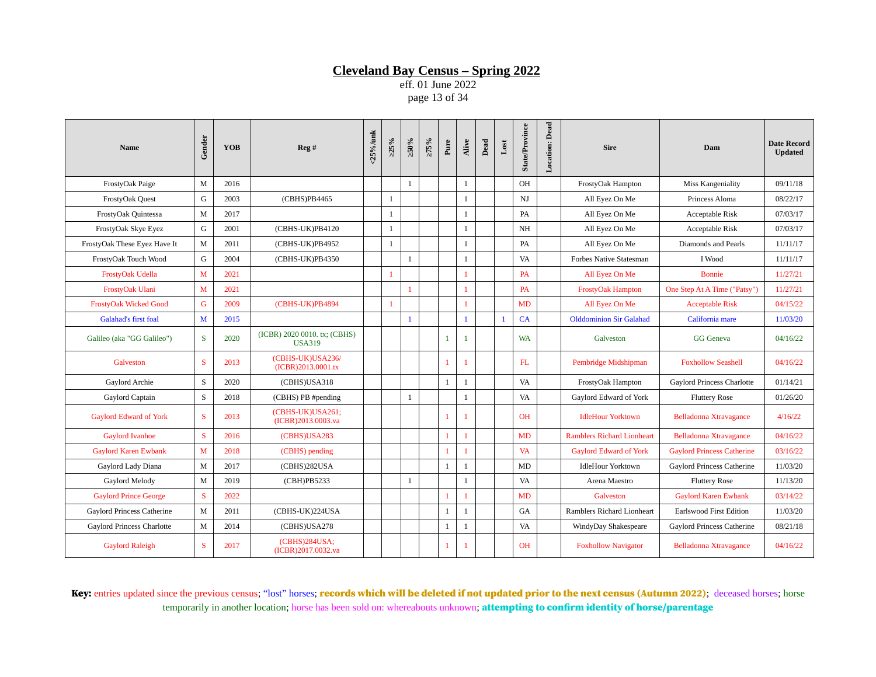eff. 01 June 2022 page 13 of 34

| Name                          | Gender       | <b>YOB</b> | Reg#                                          | <25%/unk | $>25\%$        | $\approx 0.95$ | $>75\%$ | Pure           | Alive        | Dead | $_{\rm Lost}$ | <b>State/Province</b> | Location: Dead | <b>Sire</b>                       | Dam                               | <b>Date Record</b><br><b>Updated</b> |
|-------------------------------|--------------|------------|-----------------------------------------------|----------|----------------|----------------|---------|----------------|--------------|------|---------------|-----------------------|----------------|-----------------------------------|-----------------------------------|--------------------------------------|
| FrostyOak Paige               | M            | 2016       |                                               |          |                | $\mathbf{1}$   |         |                | $\mathbf{1}$ |      |               | OH                    |                | FrostyOak Hampton                 | Miss Kangeniality                 | 09/11/18                             |
| FrostyOak Quest               | G            | 2003       | (CBHS)PB4465                                  |          | $\mathbf{1}$   |                |         |                | $\mathbf{1}$ |      |               | NJ                    |                | All Eyez On Me                    | Princess Aloma                    | 08/22/17                             |
| FrostyOak Quintessa           | M            | 2017       |                                               |          | 1              |                |         |                | $\mathbf{1}$ |      |               | <b>PA</b>             |                | All Eyez On Me                    | Acceptable Risk                   | 07/03/17                             |
| FrostyOak Skye Eyez           | G            | 2001       | (CBHS-UK)PB4120                               |          | $\mathbf{1}$   |                |         |                | $\mathbf{1}$ |      |               | NH                    |                | All Eyez On Me                    | Acceptable Risk                   | 07/03/17                             |
| FrostyOak These Eyez Have It  | M            | 2011       | (CBHS-UK)PB4952                               |          | $\mathbf{1}$   |                |         |                | $\mathbf{1}$ |      |               | PA                    |                | All Eyez On Me                    | Diamonds and Pearls               | 11/11/17                             |
| FrostyOak Touch Wood          | G            | 2004       | (CBHS-UK)PB4350                               |          |                | 1              |         |                | $\mathbf{1}$ |      |               | VA                    |                | <b>Forbes Native Statesman</b>    | I Wood                            | 11/11/17                             |
| FrostyOak Udella              | M            | 2021       |                                               |          | $\overline{1}$ |                |         |                | 1            |      |               | <b>PA</b>             |                | All Eyez On Me                    | <b>Bonnie</b>                     | 11/27/21                             |
| FrostyOak Ulani               | M            | 2021       |                                               |          |                | $\mathbf{1}$   |         |                | $\mathbf{1}$ |      |               | <b>PA</b>             |                | <b>FrostyOak Hampton</b>          | One Step At A Time ("Patsy")      | 11/27/21                             |
| <b>FrostyOak Wicked Good</b>  | G            | 2009       | (CBHS-UK)PB4894                               |          | $\overline{1}$ |                |         |                | 1            |      |               | MD                    |                | All Eyez On Me                    | <b>Acceptable Risk</b>            | 04/15/22                             |
| <b>Galahad's first foal</b>   | M            | 2015       |                                               |          |                | -1             |         |                | $\mathbf{1}$ |      | $\mathbf{1}$  | CA                    |                | <b>Olddominion Sir Galahad</b>    | California mare                   | 11/03/20                             |
| Galileo (aka "GG Galileo")    | S            | 2020       | (ICBR) 2020 0010. tx; (CBHS)<br><b>USA319</b> |          |                |                |         | $\mathbf{1}$   | $\mathbf{1}$ |      |               | <b>WA</b>             |                | Galveston                         | <b>GG</b> Geneva                  | 04/16/22                             |
| Galveston                     | S            | 2013       | (CBHS-UK)USA236/<br>(ICBR)2013.0001.tx        |          |                |                |         | $\mathbf{1}$   | 1            |      |               | FL                    |                | Pembridge Midshipman              | <b>Foxhollow Seashell</b>         | 04/16/22                             |
| Gaylord Archie                | S            | 2020       | (CBHS)USA318                                  |          |                |                |         | $\mathbf{1}$   | $\mathbf{1}$ |      |               | VA                    |                | FrostyOak Hampton                 | Gaylord Princess Charlotte        | 01/14/21                             |
| Gaylord Captain               | S            | 2018       | (CBHS) PB #pending                            |          |                | $\mathbf{1}$   |         |                | $\mathbf{1}$ |      |               | VA                    |                | Gaylord Edward of York            | <b>Fluttery Rose</b>              | 01/26/20                             |
| <b>Gaylord Edward of York</b> | S            | 2013       | (CBHS-UK)USA261;<br>(ICBR)2013.0003.va        |          |                |                |         | 1              | 1            |      |               | <b>OH</b>             |                | <b>IdleHour Yorktown</b>          | Belladonna Xtravagance            | 4/16/22                              |
| <b>Gaylord Ivanhoe</b>        | S            | 2016       | (CBHS)USA283                                  |          |                |                |         | $\mathbf{1}$   | $\mathbf{1}$ |      |               | MD                    |                | <b>Ramblers Richard Lionheart</b> | <b>Belladonna Xtravagance</b>     | 04/16/22                             |
| <b>Gaylord Karen Ewbank</b>   | $\mathbf{M}$ | 2018       | (CBHS) pending                                |          |                |                |         | 1              | 1            |      |               | <b>VA</b>             |                | <b>Gaylord Edward of York</b>     | <b>Gaylord Princess Catherine</b> | 03/16/22                             |
| Gaylord Lady Diana            | M            | 2017       | (CBHS)282USA                                  |          |                |                |         | $\mathbf{1}$   | $\mathbf{1}$ |      |               | MD                    |                | <b>IdleHour Yorktown</b>          | Gaylord Princess Catherine        | 11/03/20                             |
| Gaylord Melody                | $\mathbf{M}$ | 2019       | (CBH)PB5233                                   |          |                | 1              |         |                | $\mathbf{1}$ |      |               | <b>VA</b>             |                | Arena Maestro                     | <b>Fluttery Rose</b>              | 11/13/20                             |
| <b>Gaylord Prince George</b>  | S            | 2022       |                                               |          |                |                |         | $\overline{1}$ | 1            |      |               | MD                    |                | Galveston                         | <b>Gaylord Karen Ewbank</b>       | 03/14/22                             |
| Gaylord Princess Catherine    | M            | 2011       | (CBHS-UK)224USA                               |          |                |                |         | $\mathbf{1}$   | $\mathbf{1}$ |      |               | GA                    |                | Ramblers Richard Lionheart        | <b>Earlswood First Edition</b>    | 11/03/20                             |
| Gaylord Princess Charlotte    | M            | 2014       | (CBHS)USA278                                  |          |                |                |         | $\mathbf{1}$   | 1            |      |               | VA                    |                | WindyDay Shakespeare              | Gaylord Princess Catherine        | 08/21/18                             |
| <b>Gaylord Raleigh</b>        | S            | 2017       | (CBHS)284USA;<br>(ICBR)2017.0032.va           |          |                |                |         |                | -1           |      |               | <b>OH</b>             |                | <b>Foxhollow Navigator</b>        | Belladonna Xtravagance            | 04/16/22                             |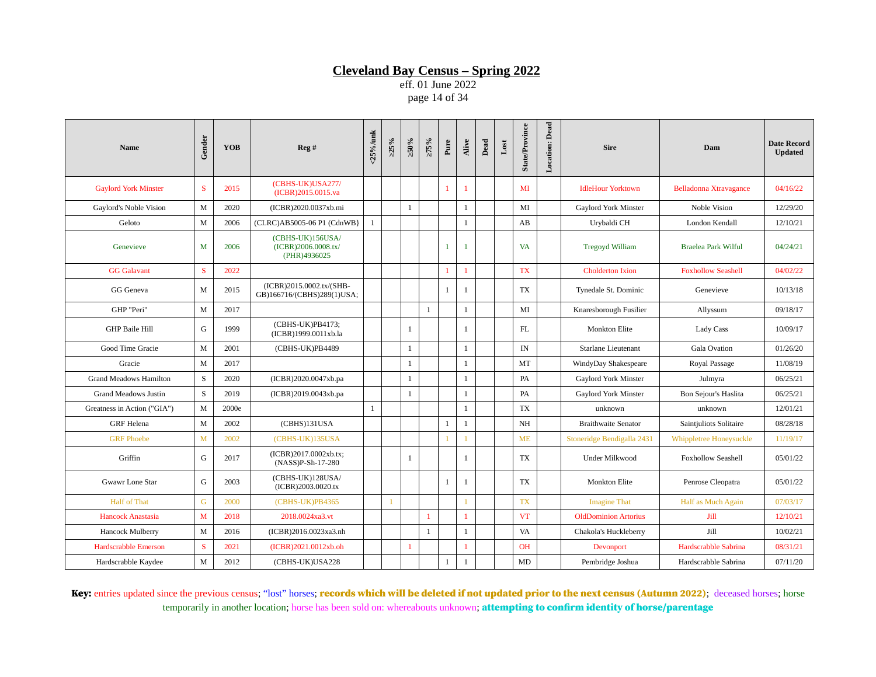eff. 01 June 2022 page 14 of 34

| <b>Name</b>                   | Gender       | <b>YOB</b> | Reg #                                                   | $25\%$ /unk  | $>25\%$      | $\approx 0.95$ | 275%           | Pure         | Alive        | $_{\rm Dead}$ | $_{\rm Lost}$ | <b>State/Province</b> | Location: Dead | <b>Sire</b>                 | Dam                       | <b>Date Record</b><br><b>Updated</b> |
|-------------------------------|--------------|------------|---------------------------------------------------------|--------------|--------------|----------------|----------------|--------------|--------------|---------------|---------------|-----------------------|----------------|-----------------------------|---------------------------|--------------------------------------|
| <b>Gaylord York Minster</b>   | S            | 2015       | (CBHS-UK)USA277/<br>(ICBR)2015.0015.va                  |              |              |                |                | $\mathbf{1}$ | $\mathbf{1}$ |               |               | MI                    |                | <b>IdleHour Yorktown</b>    | Belladonna Xtravagance    | 04/16/22                             |
| Gaylord's Noble Vision        | M            | 2020       | (ICBR)2020.0037xb.mi                                    |              |              | $\mathbf{1}$   |                |              | $\mathbf{1}$ |               |               | MI                    |                | Gaylord York Minster        | Noble Vision              | 12/29/20                             |
| Geloto                        | M            | 2006       | (CLRC)AB5005-06 P1 (CdnWB}                              | $\mathbf{1}$ |              |                |                |              | $\mathbf{1}$ |               |               | AB                    |                | Urybaldi CH                 | London Kendall            | 12/10/21                             |
| Genevieve                     | M            | 2006       | (CBHS-UK)156USA/<br>(ICBR)2006.0008.tx/<br>(PHR)4936025 |              |              |                |                | $\mathbf{1}$ | -1           |               |               | <b>VA</b>             |                | <b>Tregoyd William</b>      | Braelea Park Wilful       | 04/24/21                             |
| <b>GG</b> Galavant            | S            | 2022       |                                                         |              |              |                |                | $\mathbf{1}$ | $\mathbf{1}$ |               |               | <b>TX</b>             |                | <b>Cholderton Ixion</b>     | <b>Foxhollow Seashell</b> | 04/02/22                             |
| GG Geneva                     | M            | 2015       | (ICBR)2015.0002.tx/(SHB-<br>GB)166716/(CBHS)289(1)USA;  |              |              |                |                | $\mathbf{1}$ | 1            |               |               | TX                    |                | Tynedale St. Dominic        | Genevieve                 | 10/13/18                             |
| GHP "Peri"                    | M            | 2017       |                                                         |              |              |                | $\mathbf{1}$   |              | $\mathbf{1}$ |               |               | MI                    |                | Knaresborough Fusilier      | Allyssum                  | 09/18/17                             |
| <b>GHP Baile Hill</b>         | G            | 1999       | (CBHS-UK)PB4173;<br>(ICBR)1999.0011xb.la                |              |              | $\mathbf{1}$   |                |              | 1            |               |               | FL                    |                | <b>Monkton Elite</b>        | <b>Lady Cass</b>          | 10/09/17                             |
| Good Time Gracie              | M            | 2001       | (CBHS-UK)PB4489                                         |              |              | $\mathbf{1}$   |                |              | $\mathbf{1}$ |               |               | IN                    |                | Starlane Lieutenant         | Gala Ovation              | 01/26/20                             |
| Gracie                        | $\mathbf M$  | 2017       |                                                         |              |              | $\mathbf{1}$   |                |              | $\mathbf{1}$ |               |               | MT                    |                | WindyDay Shakespeare        | Royal Passage             | 11/08/19                             |
| <b>Grand Meadows Hamilton</b> | S            | 2020       | (ICBR)2020.0047xb.pa                                    |              |              | $\mathbf{1}$   |                |              | $\mathbf{1}$ |               |               | PA                    |                | Gaylord York Minster        | Julmyra                   | 06/25/21                             |
| <b>Grand Meadows Justin</b>   | S            | 2019       | (ICBR)2019.0043xb.pa                                    |              |              | $\mathbf{1}$   |                |              | $\mathbf{1}$ |               |               | PA                    |                | Gaylord York Minster        | Bon Sejour's Haslita      | 06/25/21                             |
| Greatness in Action ("GIA")   | M            | 2000e      |                                                         | $\mathbf{1}$ |              |                |                |              | $\mathbf{1}$ |               |               | TX                    |                | unknown                     | unknown                   | 12/01/21                             |
| <b>GRF</b> Helena             | M            | 2002       | (CBHS)131USA                                            |              |              |                |                | $\mathbf{1}$ | $\mathbf{1}$ |               |               | NH                    |                | <b>Braithwaite Senator</b>  | Saintjuliots Solitaire    | 08/28/18                             |
| <b>GRF Phoebe</b>             | $\mathbf{M}$ | 2002       | (CBHS-UK)135USA                                         |              |              |                |                | 1            |              |               |               | <b>ME</b>             |                | Stoneridge Bendigalla 2431  | Whippletree Honeysuckle   | 11/19/17                             |
| Griffin                       | G            | 2017       | (ICBR)2017.0002xb.tx;<br>(NASS)P-Sh-17-280              |              |              | 1              |                |              | $\mathbf{1}$ |               |               | TX.                   |                | <b>Under Milkwood</b>       | <b>Foxhollow Seashell</b> | 05/01/22                             |
| Gwawr Lone Star               | G            | 2003       | (CBHS-UK)128USA/<br>(ICBR)2003.0020.tx                  |              |              |                |                | $\mathbf{1}$ | $\mathbf{1}$ |               |               | <b>TX</b>             |                | <b>Monkton Elite</b>        | Penrose Cleopatra         | 05/01/22                             |
| <b>Half of That</b>           | G            | 2000       | (CBHS-UK)PB4365                                         |              | $\mathbf{1}$ |                |                |              |              |               |               | <b>TX</b>             |                | <b>Imagine That</b>         | Half as Much Again        | 07/03/17                             |
| <b>Hancock Anastasia</b>      | $M$          | 2018       | 2018.0024xa3.vt                                         |              |              |                | $\overline{1}$ |              | $\mathbf{1}$ |               |               | <b>VT</b>             |                | <b>OldDominion Artorius</b> | Jill                      | 12/10/21                             |
| Hancock Mulberry              | M            | 2016       | (ICBR)2016.0023xa3.nh                                   |              |              |                | $\mathbf{1}$   |              | 1            |               |               | <b>VA</b>             |                | Chakola's Huckleberry       | Jill                      | 10/02/21                             |
| <b>Hardscrabble Emerson</b>   | S            | 2021       | (ICBR)2021.0012xb.oh                                    |              |              | $\mathbf{1}$   |                |              | $\mathbf{1}$ |               |               | <b>OH</b>             |                | Devonport                   | Hardscrabble Sabrina      | 08/31/21                             |
| Hardscrabble Kaydee           | M            | 2012       | (CBHS-UK)USA228                                         |              |              |                |                | $\mathbf{1}$ | $\mathbf{1}$ |               |               | MD                    |                | Pembridge Joshua            | Hardscrabble Sabrina      | 07/11/20                             |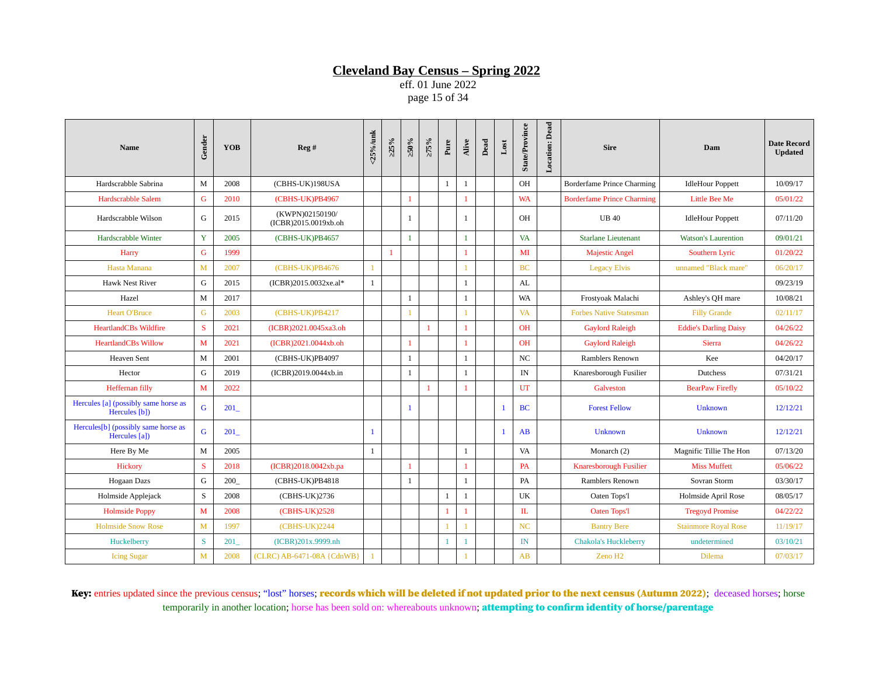eff. 01 June 2022 page 15 of 34

| <b>Name</b>                                                      | Gender       | <b>YOB</b> | Reg#                                    | <25%/unk     | >25%         | $\times 0.05$ | $>75\%$      | Pure         | Alive        | Dead | $_{\rm Lost}$ | <b>State/Province</b> | <b>Location: Dead</b> | <b>Sire</b>                       | Dam                          | <b>Date Record</b><br><b>Updated</b> |
|------------------------------------------------------------------|--------------|------------|-----------------------------------------|--------------|--------------|---------------|--------------|--------------|--------------|------|---------------|-----------------------|-----------------------|-----------------------------------|------------------------------|--------------------------------------|
| Hardscrabble Sabrina                                             | M            | 2008       | (CBHS-UK)198USA                         |              |              |               |              | 1            | 1            |      |               | <b>OH</b>             |                       | <b>Borderfame Prince Charming</b> | <b>IdleHour Poppett</b>      | 10/09/17                             |
| <b>Hardscrabble Salem</b>                                        | G            | 2010       | (CBHS-UK)PB4967                         |              |              | 1             |              |              | 1            |      |               | <b>WA</b>             |                       | <b>Borderfame Prince Charming</b> | <b>Little Bee Me</b>         | 05/01/22                             |
| Hardscrabble Wilson                                              | G            | 2015       | (KWPN)02150190/<br>(ICBR)2015.0019xb.oh |              |              | 1             |              |              | 1            |      |               | <b>OH</b>             |                       | <b>UB40</b>                       | <b>IdleHour Poppett</b>      | 07/11/20                             |
| Hardscrabble Winter                                              | $\mathbf Y$  | 2005       | (CBHS-UK)PB4657                         |              |              | $\mathbf{1}$  |              |              | $\mathbf{1}$ |      |               | <b>VA</b>             |                       | <b>Starlane Lieutenant</b>        | <b>Watson's Laurention</b>   | 09/01/21                             |
| Harry                                                            | G            | 1999       |                                         |              | $\mathbf{1}$ |               |              |              | 1            |      |               | MI                    |                       | <b>Majestic Angel</b>             | Southern Lyric               | 01/20/22                             |
| Hasta Manana                                                     | M            | 2007       | (CBHS-UK)PB4676                         | $\mathbf{1}$ |              |               |              |              | 1            |      |               | <b>BC</b>             |                       | <b>Legacy Elvis</b>               | unnamed "Black mare"         | 06/20/17                             |
| <b>Hawk Nest River</b>                                           | G            | 2015       | (ICBR)2015.0032xe.al*                   | $\mathbf{1}$ |              |               |              |              | 1            |      |               | AL                    |                       |                                   |                              | 09/23/19                             |
| Hazel                                                            | M            | 2017       |                                         |              |              | 1             |              |              | $\mathbf{1}$ |      |               | WA                    |                       | Frostyoak Malachi                 | Ashley's QH mare             | 10/08/21                             |
| <b>Heart O'Bruce</b>                                             | G            | 2003       | (CBHS-UK)PB4217                         |              |              |               |              |              |              |      |               | <b>VA</b>             |                       | <b>Forbes Native Statesman</b>    | <b>Filly Grande</b>          | 02/11/17                             |
| <b>HeartlandCBs Wildfire</b>                                     | S            | 2021       | (ICBR)2021.0045xa3.oh                   |              |              |               | $\mathbf{1}$ |              | 1            |      |               | <b>OH</b>             |                       | <b>Gaylord Raleigh</b>            | <b>Eddie's Darling Daisy</b> | 04/26/22                             |
| <b>HeartlandCBs Willow</b>                                       | M            | 2021       | (ICBR)2021.0044xb.oh                    |              |              | $\mathbf{1}$  |              |              | $\mathbf{1}$ |      |               | <b>OH</b>             |                       | <b>Gaylord Raleigh</b>            | <b>Sierra</b>                | 04/26/22                             |
| <b>Heaven Sent</b>                                               | M            | 2001       | (CBHS-UK)PB4097                         |              |              | 1             |              |              | 1            |      |               | <b>NC</b>             |                       | Ramblers Renown                   | Kee                          | 04/20/17                             |
| Hector                                                           | G            | 2019       | (ICBR)2019.0044xb.in                    |              |              | 1             |              |              | $\mathbf{1}$ |      |               | IN                    |                       | Knaresborough Fusilier            | <b>Dutchess</b>              | 07/31/21                             |
| Heffernan filly                                                  | M            | 2022       |                                         |              |              |               | $\mathbf{1}$ |              |              |      |               | UT                    |                       | Galveston                         | <b>BearPaw Firefly</b>       | 05/10/22                             |
| Hercules [a] (possibly same horse as<br>Hercules [b])            | $\mathsf G$  | 201        |                                         |              |              | $\mathbf{1}$  |              |              |              |      | $\mathbf{1}$  | <b>BC</b>             |                       | <b>Forest Fellow</b>              | Unknown                      | 12/12/21                             |
| Hercules <sup>[b]</sup> (possibly same horse as<br>Hercules [a]) | $\mathsf G$  | 201        |                                         | $\mathbf{1}$ |              |               |              |              |              |      | $\mathbf{1}$  | AB                    |                       | Unknown                           | Unknown                      | 12/12/21                             |
| Here By Me                                                       | $\mathbf M$  | 2005       |                                         | 1            |              |               |              |              | 1            |      |               | VA                    |                       | Monarch (2)                       | Magnific Tillie The Hon      | 07/13/20                             |
| Hickory                                                          | S            | 2018       | (ICBR)2018.0042xb.pa                    |              |              |               |              |              |              |      |               | PA                    |                       | Knaresborough Fusilier            | <b>Miss Muffett</b>          | 05/06/22                             |
| Hogaan Dazs                                                      | G            | 200        | (CBHS-UK)PB4818                         |              |              | 1             |              |              | $\mathbf{1}$ |      |               | PA                    |                       | Ramblers Renown                   | Sovran Storm                 | 03/30/17                             |
| Holmside Applejack                                               | S            | 2008       | (CBHS-UK)2736                           |              |              |               |              | $\mathbf{1}$ | 1            |      |               | UK                    |                       | Oaten Tops'l                      | Holmside April Rose          | 08/05/17                             |
| <b>Holmside Poppy</b>                                            | M            | 2008       | (CBHS-UK)2528                           |              |              |               |              | 1            | 1            |      |               | IL                    |                       | <b>Oaten Tops'l</b>               | <b>Tregovd Promise</b>       | 04/22/22                             |
| <b>Holmside Snow Rose</b>                                        | M            | 1997       | $(CBHS-UK)2244$                         |              |              |               |              | 1            |              |      |               | NC                    |                       | <b>Bantry Bere</b>                | <b>Stainmore Royal Rose</b>  | 11/19/17                             |
| Huckelberry                                                      | <sub>S</sub> | 201        | (ICBR)201x.9999.nh                      |              |              |               |              | $\mathbf{1}$ | $\mathbf{1}$ |      |               | IN                    |                       | <b>Chakola's Huckleberry</b>      | undetermined                 | 03/10/21                             |
| <b>Icing Sugar</b>                                               | M            | 2008       | (CLRC) AB-6471-08A {CdnWB}              | $\mathbf{1}$ |              |               |              |              |              |      |               | AB                    |                       | Zeno H <sub>2</sub>               | <b>Dilema</b>                | 07/03/17                             |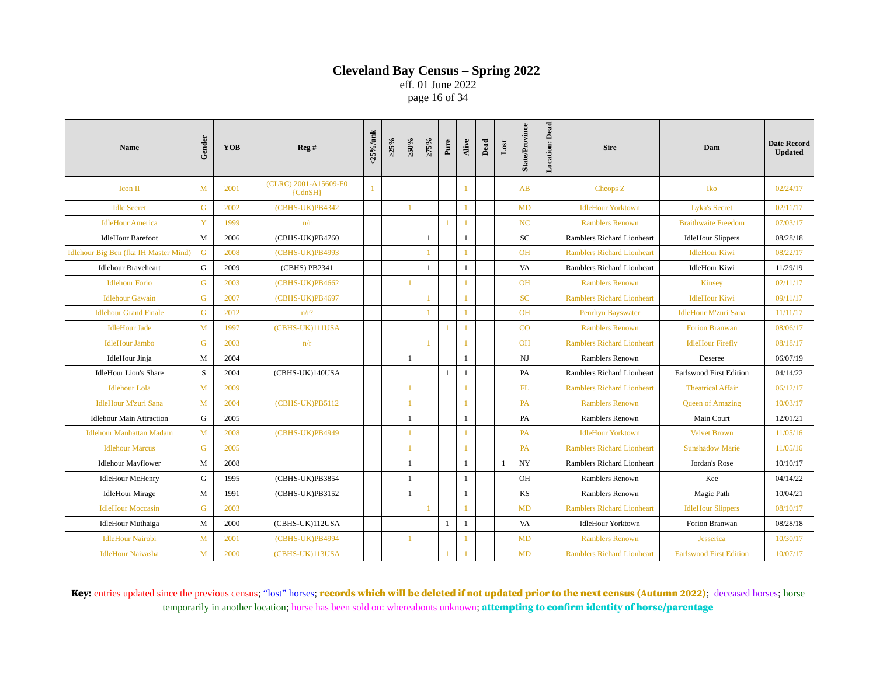eff. 01 June 2022 page 16 of 34

| <b>Name</b>                           | Gender       | <b>YOB</b> | Reg#                               | <25%/unk     | >25% | $>50\%$        | $>75\%$      | Pure         | Alive        | $_{\rm Dead}$ | $_{\rm Lost}$ | <b>State/Province</b> | <b>Location: Dead</b> | <b>Sire</b>                       | Dam                            | <b>Date Record</b><br><b>Updated</b> |
|---------------------------------------|--------------|------------|------------------------------------|--------------|------|----------------|--------------|--------------|--------------|---------------|---------------|-----------------------|-----------------------|-----------------------------------|--------------------------------|--------------------------------------|
| Icon II                               | M            | 2001       | (CLRC) 2001-A15609-F0<br>${CdnSH}$ | $\mathbf{1}$ |      |                |              |              |              |               |               | AB                    |                       | Cheops Z                          | Iko                            | 02/24/17                             |
| <b>Idle Secret</b>                    | G            | 2002       | (CBHS-UK)PB4342                    |              |      | $\overline{1}$ |              |              | $\mathbf{1}$ |               |               | MD                    |                       | <b>IdleHour Yorktown</b>          | <b>Lyka's Secret</b>           | 02/11/17                             |
| <b>IdleHour America</b>               | Y            | 1999       | n/r                                |              |      |                |              |              |              |               |               | NC                    |                       | <b>Ramblers Renown</b>            | <b>Braithwaite Freedom</b>     | 07/03/17                             |
| <b>IdleHour Barefoot</b>              | M            | 2006       | (CBHS-UK)PB4760                    |              |      |                | $\mathbf{1}$ |              | $\mathbf{1}$ |               |               | SC                    |                       | Ramblers Richard Lionheart        | <b>IdleHour Slippers</b>       | 08/28/18                             |
| Idlehour Big Ben (fka IH Master Mind) | G            | 2008       | (CBHS-UK)PB4993                    |              |      |                | $\mathbf{1}$ |              |              |               |               | <b>OH</b>             |                       | <b>Ramblers Richard Lionheart</b> | <b>IdleHour Kiwi</b>           | 08/22/17                             |
| <b>Idlehour Braveheart</b>            | G            | 2009       | (CBHS) PB2341                      |              |      |                | $\mathbf{1}$ |              | $\mathbf{1}$ |               |               | VA                    |                       | Ramblers Richard Lionheart        | <b>IdleHour Kiwi</b>           | 11/29/19                             |
| <b>Idlehour Forio</b>                 | G            | 2003       | (CBHS-UK)PB4662                    |              |      |                |              |              |              |               |               | <b>OH</b>             |                       | <b>Ramblers Renown</b>            | <b>Kinsey</b>                  | 02/11/17                             |
| <b>Idlehour Gawain</b>                | G            | 2007       | (CBHS-UK)PB4697                    |              |      |                | $\mathbf{1}$ |              |              |               |               | <b>SC</b>             |                       | <b>Ramblers Richard Lionheart</b> | <b>IdleHour Kiwi</b>           | 09/11/17                             |
| <b>Idlehour Grand Finale</b>          | G            | 2012       | $n/r$ ?                            |              |      |                | $\mathbf{1}$ |              |              |               |               | <b>OH</b>             |                       | Penrhyn Bayswater                 | <b>IdleHour M'zuri Sana</b>    | 11/11/17                             |
| <b>IdleHour Jade</b>                  | M            | 1997       | (CBHS-UK)111USA                    |              |      |                |              | $\mathbf{1}$ |              |               |               | CO                    |                       | <b>Ramblers Renown</b>            | <b>Forion Branwan</b>          | 08/06/17                             |
| <b>IdleHour Jambo</b>                 | G            | 2003       | n/r                                |              |      |                | $\mathbf{1}$ |              | $\mathbf{1}$ |               |               | <b>OH</b>             |                       | <b>Ramblers Richard Lionheart</b> | <b>IdleHour Firefly</b>        | 08/18/17                             |
| <b>IdleHour Jinja</b>                 | M            | 2004       |                                    |              |      | $\mathbf{1}$   |              |              | $\mathbf{1}$ |               |               | NJ                    |                       | Ramblers Renown                   | Deseree                        | 06/07/19                             |
| <b>IdleHour Lion's Share</b>          | S            | 2004       | (CBHS-UK)140USA                    |              |      |                |              | $\mathbf{1}$ | 1            |               |               | PA                    |                       | Ramblers Richard Lionheart        | <b>Earlswood First Edition</b> | 04/14/22                             |
| <b>Idlehour Lola</b>                  | M            | 2009       |                                    |              |      |                |              |              |              |               |               | FL                    |                       | <b>Ramblers Richard Lionheart</b> | <b>Theatrical Affair</b>       | 06/12/17                             |
| <b>IdleHour M'zuri Sana</b>           | M            | 2004       | (CBHS-UK)PB5112                    |              |      |                |              |              |              |               |               | <b>PA</b>             |                       | <b>Ramblers Renown</b>            | <b>Queen of Amazing</b>        | 10/03/17                             |
| <b>Idlehour Main Attraction</b>       | G            | 2005       |                                    |              |      | 1              |              |              | $\mathbf{1}$ |               |               | PA                    |                       | Ramblers Renown                   | Main Court                     | 12/01/21                             |
| <b>Idlehour Manhattan Madam</b>       | $\mathbf{M}$ | 2008       | (CBHS-UK)PB4949                    |              |      |                |              |              |              |               |               | <b>PA</b>             |                       | <b>IdleHour Yorktown</b>          | <b>Velvet Brown</b>            | 11/05/16                             |
| <b>Idlehour Marcus</b>                | G            | 2005       |                                    |              |      | -1             |              |              | $\mathbf{1}$ |               |               | PA                    |                       | <b>Ramblers Richard Lionheart</b> | <b>Sunshadow Marie</b>         | 11/05/16                             |
| <b>Idlehour Mayflower</b>             | M            | 2008       |                                    |              |      | 1              |              |              | $\mathbf{1}$ |               | 1             | $_{\mathrm{NY}}$      |                       | Ramblers Richard Lionheart        | Jordan's Rose                  | 10/10/17                             |
| <b>IdleHour McHenry</b>               | G            | 1995       | (CBHS-UK)PB3854                    |              |      | <sup>1</sup>   |              |              | $\mathbf{1}$ |               |               | OH                    |                       | Ramblers Renown                   | Kee                            | 04/14/22                             |
| <b>IdleHour Mirage</b>                | M            | 1991       | (CBHS-UK)PB3152                    |              |      | 1              |              |              | $\mathbf{1}$ |               |               | KS                    |                       | Ramblers Renown                   | Magic Path                     | 10/04/21                             |
| <b>IdleHour Moccasin</b>              | $\mathsf G$  | 2003       |                                    |              |      |                | $\mathbf{1}$ |              | $\mathbf{1}$ |               |               | <b>MD</b>             |                       | <b>Ramblers Richard Lionheart</b> | <b>IdleHour Slippers</b>       | 08/10/17                             |
| <b>IdleHour Muthaiga</b>              | M            | 2000       | (CBHS-UK)112USA                    |              |      |                |              | $\mathbf{1}$ | $\mathbf{1}$ |               |               | VA                    |                       | <b>IdleHour Yorktown</b>          | Forion Branwan                 | 08/28/18                             |
| <b>IdleHour Nairobi</b>               | $\mathbf{M}$ | 2001       | (CBHS-UK)PB4994                    |              |      |                |              |              |              |               |               | <b>MD</b>             |                       | <b>Ramblers Renown</b>            | Jesserica                      | 10/30/17                             |
| <b>IdleHour Naivasha</b>              | $M$          | 2000       | (CBHS-UK)113USA                    |              |      |                |              |              |              |               |               | MD                    |                       | <b>Ramblers Richard Lionheart</b> | <b>Earlswood First Edition</b> | 10/07/17                             |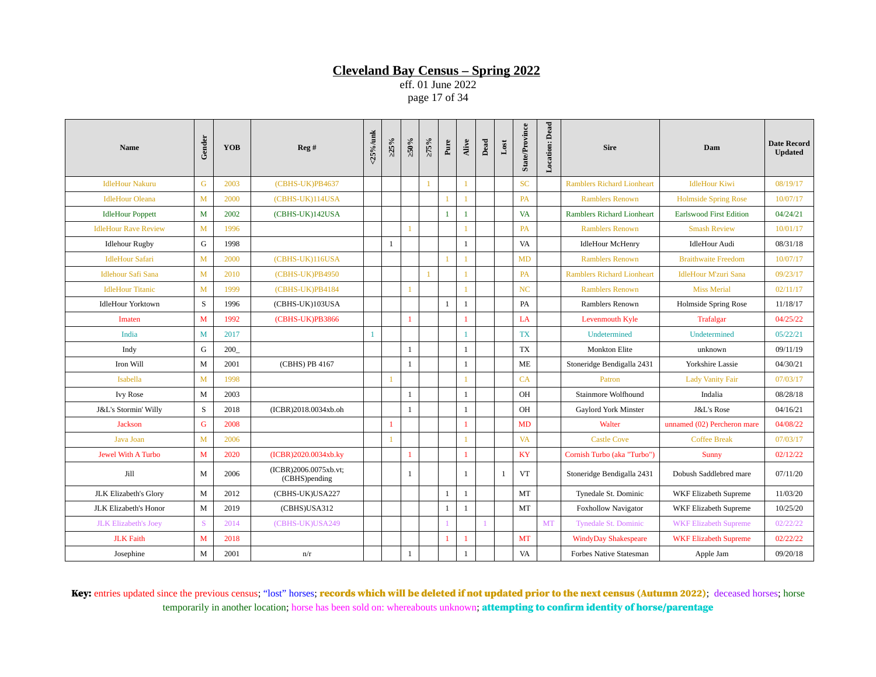eff. 01 June 2022 page 17 of 34

| <b>Name</b>                 | Gender       | <b>YOB</b> | Reg#                                   | $<$ 25%/unk  | >25% | $>50\%$      | $>75\%$        | Pure           | Alive        | Dead | $_{\rm Lost}$ | <b>State/Province</b> | Location: Dead | <b>Sire</b>                       | Dam                            | <b>Date Record</b><br><b>Updated</b> |
|-----------------------------|--------------|------------|----------------------------------------|--------------|------|--------------|----------------|----------------|--------------|------|---------------|-----------------------|----------------|-----------------------------------|--------------------------------|--------------------------------------|
| <b>IdleHour Nakuru</b>      | G            | 2003       | (CBHS-UK)PB4637                        |              |      |              | $\overline{1}$ |                | $\mathbf{1}$ |      |               | <b>SC</b>             |                | <b>Ramblers Richard Lionheart</b> | <b>IdleHour Kiwi</b>           | 08/19/17                             |
| <b>IdleHour Oleana</b>      | M            | 2000       | (CBHS-UK)114USA                        |              |      |              |                |                | $\mathbf{1}$ |      |               | <b>PA</b>             |                | <b>Ramblers Renown</b>            | <b>Holmside Spring Rose</b>    | 10/07/17                             |
| <b>IdleHour Poppett</b>     | M            | 2002       | (CBHS-UK)142USA                        |              |      |              |                | $\mathbf{1}$   | 1            |      |               | <b>VA</b>             |                | <b>Ramblers Richard Lionheart</b> | <b>Earlswood First Edition</b> | 04/24/21                             |
| <b>IdleHour Rave Review</b> | M            | 1996       |                                        |              |      | $\mathbf{1}$ |                |                | $\mathbf{1}$ |      |               | <b>PA</b>             |                | <b>Ramblers Renown</b>            | <b>Smash Review</b>            | 10/01/17                             |
| <b>Idlehour Rugby</b>       | G            | 1998       |                                        |              | 1    |              |                |                | $\mathbf{1}$ |      |               | VA                    |                | <b>IdleHour McHenry</b>           | <b>IdleHour Audi</b>           | 08/31/18                             |
| <b>IdleHour Safari</b>      | M            | 2000       | (CBHS-UK)116USA                        |              |      |              |                |                |              |      |               | <b>MD</b>             |                | <b>Ramblers Renown</b>            | <b>Braithwaite Freedom</b>     | 10/07/17                             |
| <b>Idlehour Safi Sana</b>   | $\mathbf{M}$ | 2010       | (CBHS-UK)PB4950                        |              |      |              | $\overline{1}$ |                |              |      |               | PA                    |                | <b>Ramblers Richard Lionheart</b> | <b>IdleHour M'zuri Sana</b>    | 09/23/17                             |
| <b>IdleHour Titanic</b>     | M            | 1999       | (CBHS-UK)PB4184                        |              |      |              |                |                | $\mathbf{1}$ |      |               | N <sub>C</sub>        |                | <b>Ramblers Renown</b>            | <b>Miss Merial</b>             | 02/11/17                             |
| <b>IdleHour Yorktown</b>    | S            | 1996       | (CBHS-UK)103USA                        |              |      |              |                | $\mathbf{1}$   | $\mathbf{1}$ |      |               | PA                    |                | Ramblers Renown                   | <b>Holmside Spring Rose</b>    | 11/18/17                             |
| Imaten                      | M            | 1992       | (CBHS-UK)PB3866                        |              |      | 1            |                |                | $\mathbf{1}$ |      |               | LA                    |                | Levenmouth Kyle                   | <b>Trafalgar</b>               | 04/25/22                             |
| India                       | M            | 2017       |                                        | $\mathbf{1}$ |      |              |                |                | 1            |      |               | <b>TX</b>             |                | Undetermined                      | Undetermined                   | 05/22/21                             |
| Indy                        | G            | 200        |                                        |              |      | 1            |                |                | $\mathbf{1}$ |      |               | <b>TX</b>             |                | <b>Monkton Elite</b>              | unknown                        | 09/11/19                             |
| Iron Will                   | M            | 2001       | (CBHS) PB 4167                         |              |      | 1            |                |                | $\mathbf{1}$ |      |               | ME                    |                | Stoneridge Bendigalla 2431        | <b>Yorkshire Lassie</b>        | 04/30/21                             |
| Isabella                    | $\mathbf{M}$ | 1998       |                                        |              |      |              |                |                | $\mathbf{1}$ |      |               | CA                    |                | Patron                            | <b>Lady Vanity Fair</b>        | 07/03/17                             |
| <b>Ivy Rose</b>             | M            | 2003       |                                        |              |      | 1            |                |                | $\mathbf{1}$ |      |               | <b>OH</b>             |                | Stainmore Wolfhound               | Indalia                        | 08/28/18                             |
| J&L's Stormin' Willy        | $\mathbf S$  | 2018       | (ICBR)2018.0034xb.oh                   |              |      | 1            |                |                | $\mathbf{1}$ |      |               | <b>OH</b>             |                | Gaylord York Minster              | J&L's Rose                     | 04/16/21                             |
| <b>Jackson</b>              | G            | 2008       |                                        |              |      |              |                |                | 1            |      |               | MD                    |                | Walter                            | unnamed (02) Percheron mare    | 04/08/22                             |
| Java Joan                   | $\mathbf{M}$ | 2006       |                                        |              |      |              |                |                |              |      |               | <b>VA</b>             |                | <b>Castle Cove</b>                | <b>Coffee Break</b>            | 07/03/17                             |
| <b>Jewel With A Turbo</b>   | M            | 2020       | (ICBR)2020.0034xb.ky                   |              |      | $\mathbf{1}$ |                |                | 1            |      |               | KY                    |                | Cornish Turbo (aka "Turbo")       | Sunny                          | 02/12/22                             |
| Jill                        | M            | 2006       | (ICBR)2006.0075xb.vt;<br>(CBHS)pending |              |      | 1            |                |                | $\mathbf{1}$ |      | 1             | <b>VT</b>             |                | Stoneridge Bendigalla 2431        | Dobush Saddlebred mare         | 07/11/20                             |
| JLK Elizabeth's Glory       | M            | 2012       | (CBHS-UK)USA227                        |              |      |              |                | $\mathbf{1}$   | $\mathbf{1}$ |      |               | MT                    |                | Tynedale St. Dominic              | <b>WKF Elizabeth Supreme</b>   | 11/03/20                             |
| JLK Elizabeth's Honor       | $\mathbf{M}$ | 2019       | (CBHS)USA312                           |              |      |              |                | $\mathbf{1}$   | $\mathbf{1}$ |      |               | MT                    |                | <b>Foxhollow Navigator</b>        | <b>WKF Elizabeth Supreme</b>   | 10/25/20                             |
| <b>JLK Elizabeth's Joey</b> | S            | 2014       | (CBHS-UK)USA249                        |              |      |              |                |                |              |      |               |                       | <b>MT</b>      | <b>Tynedale St. Dominic</b>       | <b>WKF Elizabeth Supreme</b>   | 02/22/22                             |
| <b>JLK Faith</b>            | M            | 2018       |                                        |              |      |              |                | $\overline{1}$ | $\mathbf{1}$ |      |               | MT                    |                | <b>WindyDay Shakespeare</b>       | <b>WKF Elizabeth Supreme</b>   | 02/22/22                             |
| Josephine                   | M            | 2001       | n/r                                    |              |      | $\mathbf{1}$ |                |                | $\mathbf{1}$ |      |               | VA                    |                | Forbes Native Statesman           | Apple Jam                      | 09/20/18                             |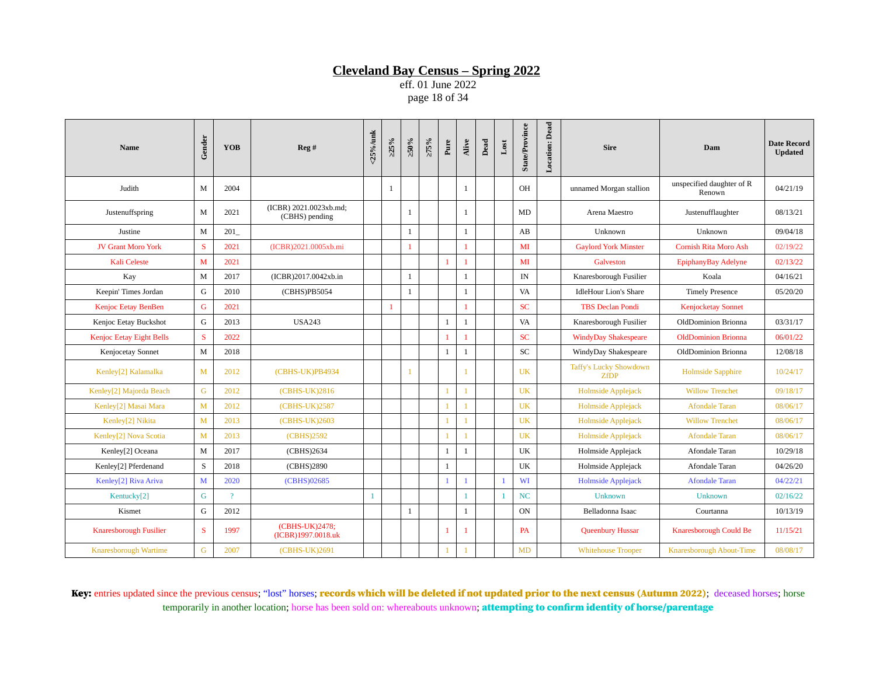eff. 01 June 2022 page 18 of 34

| Name                            | Gender       | <b>YOB</b>     | Reg#                                     | <25%/unk     | >25%         | $>50\%$        | $>75\%$ | Pure           | Alive          | $_{\rm Dead}$ | $_{\rm Lost}$  | State/Province | <b>Location: Dead</b> | <b>Sire</b>                                  | Dam                                 | <b>Date Record</b><br><b>Updated</b> |
|---------------------------------|--------------|----------------|------------------------------------------|--------------|--------------|----------------|---------|----------------|----------------|---------------|----------------|----------------|-----------------------|----------------------------------------------|-------------------------------------|--------------------------------------|
| Judith                          | M            | 2004           |                                          |              | 1            |                |         |                | $\mathbf{1}$   |               |                | OH             |                       | unnamed Morgan stallion                      | unspecified daughter of R<br>Renown | 04/21/19                             |
| Justenuffspring                 | M            | 2021           | (ICBR) 2021.0023xb.md;<br>(CBHS) pending |              |              | $\overline{1}$ |         |                | $\mathbf{1}$   |               |                | MD             |                       | Arena Maestro                                | Justenufflaughter                   | 08/13/21                             |
| Justine                         | M            | 201            |                                          |              |              | $\mathbf{1}$   |         |                | $\mathbf{1}$   |               |                | AB             |                       | Unknown                                      | Unknown                             | 09/04/18                             |
| <b>JV Grant Moro York</b>       | S.           | 2021           | (ICBR)2021.0005xb.mi                     |              |              | -1             |         |                | -1             |               |                | MI             |                       | <b>Gaylord York Minster</b>                  | <b>Cornish Rita Moro Ash</b>        | 02/19/22                             |
| <b>Kali Celeste</b>             | $\mathbf{M}$ | 2021           |                                          |              |              |                |         | 1              |                |               |                | MI             |                       | Galveston                                    | EpiphanyBay Adelyne                 | 02/13/22                             |
| Kay                             | M            | 2017           | (ICBR)2017.0042xb.in                     |              |              | <sup>1</sup>   |         |                | $\mathbf{1}$   |               |                | IN             |                       | Knaresborough Fusilier                       | Koala                               | 04/16/21                             |
| Keepin' Times Jordan            | G            | 2010           | (CBHS)PB5054                             |              |              | $\mathbf{1}$   |         |                | $\mathbf{1}$   |               |                | VA             |                       | <b>IdleHour Lion's Share</b>                 | <b>Timely Presence</b>              | 05/20/20                             |
| Kenjoc Eetay BenBen             | $\mathsf G$  | 2021           |                                          |              | $\mathbf{1}$ |                |         |                | $\mathbf{1}$   |               |                | <b>SC</b>      |                       | <b>TBS Declan Pondi</b>                      | <b>Kenjocketay Sonnet</b>           |                                      |
| Kenjoc Eetay Buckshot           | G            | 2013           | <b>USA243</b>                            |              |              |                |         | $\mathbf{1}$   | $\mathbf{1}$   |               |                | VA             |                       | Knaresborough Fusilier                       | OldDominion Brionna                 | 03/31/17                             |
| <b>Kenjoc Eetay Eight Bells</b> | S            | 2022           |                                          |              |              |                |         | 1              |                |               |                | <b>SC</b>      |                       | <b>WindyDay Shakespeare</b>                  | <b>OldDominion Brionna</b>          | 06/01/22                             |
| Kenjocetay Sonnet               | M            | 2018           |                                          |              |              |                |         | $\mathbf{1}$   | $\mathbf{1}$   |               |                | SC             |                       | WindyDay Shakespeare                         | OldDominion Brionna                 | 12/08/18                             |
| Kenley[2] Kalamalka             | $\mathbf{M}$ | 2012           | (CBHS-UK)PB4934                          |              |              |                |         |                |                |               |                | <b>UK</b>      |                       | <b>Taffy's Lucky Showdown</b><br><b>ZfDP</b> | <b>Holmside Sapphire</b>            | 10/24/17                             |
| Kenley[2] Majorda Beach         | G            | 2012           | (CBHS-UK)2816                            |              |              |                |         | 1              |                |               |                | <b>UK</b>      |                       | Holmside Applejack                           | <b>Willow Trenchet</b>              | 09/18/17                             |
| Kenley[2] Masai Mara            | M            | 2012           | (CBHS-UK)2587                            |              |              |                |         | $\mathbf{1}$   | $\mathbf{1}$   |               |                | <b>UK</b>      |                       | Holmside Applejack                           | <b>Afondale Taran</b>               | 08/06/17                             |
| Kenley[2] Nikita                | M            | 2013           | (CBHS-UK)2603                            |              |              |                |         | $\mathbf{1}$   |                |               |                | <b>UK</b>      |                       | Holmside Applejack                           | <b>Willow Trenchet</b>              | 08/06/17                             |
| Kenley[2] Nova Scotia           | M            | 2013           | (CBHS)2592                               |              |              |                |         | $\mathbf{1}$   | $\overline{1}$ |               |                | <b>UK</b>      |                       | Holmside Applejack                           | <b>Afondale Taran</b>               | 08/06/17                             |
| Kenley[2] Oceana                | M            | 2017           | (CBHS)2634                               |              |              |                |         | $\mathbf{1}$   | $\mathbf{1}$   |               |                | UK             |                       | Holmside Applejack                           | Afondale Taran                      | 10/29/18                             |
| Kenley[2] Pferdenand            | $\mathbf S$  | 2018           | (CBHS)2890                               |              |              |                |         | $\mathbf{1}$   |                |               |                | UK             |                       | Holmside Applejack                           | Afondale Taran                      | 04/26/20                             |
| Kenley[2] Riva Ariva            | M            | 2020           | (CBHS)02685                              |              |              |                |         | $\mathbf{1}$   | $\mathbf{1}$   |               |                | WI             |                       | <b>Holmside Applejack</b>                    | <b>Afondale Taran</b>               | 04/22/21                             |
| Kentucky[2]                     | G            | $\overline{?}$ |                                          | $\mathbf{1}$ |              |                |         |                | $\mathbf{1}$   |               | $\overline{1}$ | NC             |                       | <b>Unknown</b>                               | <b>Unknown</b>                      | 02/16/22                             |
| Kismet                          | G            | 2012           |                                          |              |              | $\mathbf{1}$   |         |                | $\mathbf{1}$   |               |                | ON             |                       | Belladonna Isaac                             | Courtanna                           | 10/13/19                             |
| Knaresborough Fusilier          | <sub>S</sub> | 1997           | (CBHS-UK)2478;<br>(ICBR)1997.0018.uk     |              |              |                |         | $\overline{1}$ |                |               |                | <b>PA</b>      |                       | <b>Queenbury Hussar</b>                      | Knaresborough Could Be              | 11/15/21                             |
| Knaresborough Wartime           | G            | 2007           | (CBHS-UK)2691                            |              |              |                |         | $\mathbf{1}$   |                |               |                | MD             |                       | <b>Whitehouse Trooper</b>                    | Knaresborough About-Time            | 08/08/17                             |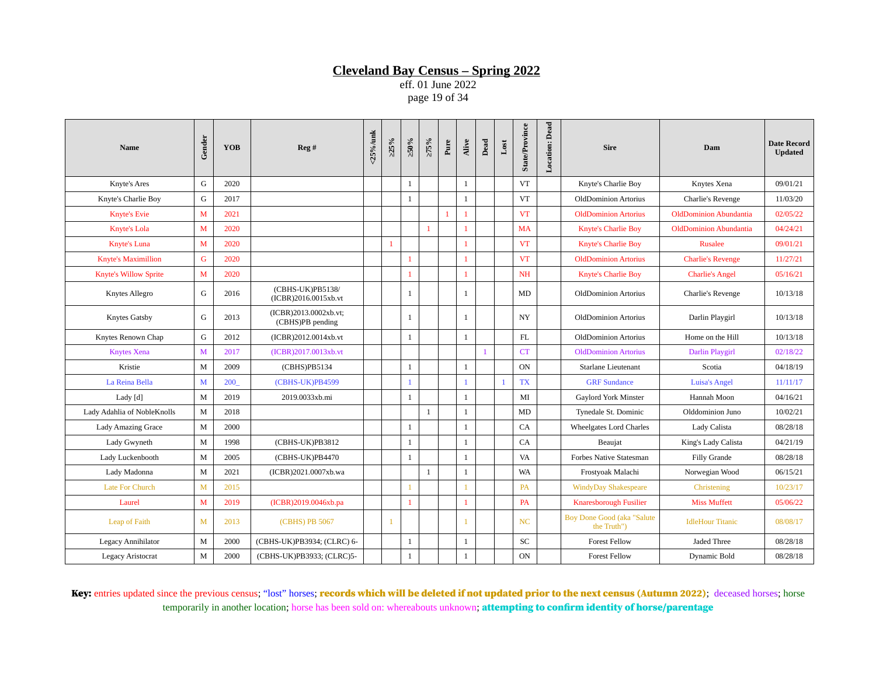eff. 01 June 2022 page 19 of 34

| <b>Name</b>                  | Gender       | <b>YOB</b> | Reg#                                      | $25\%$ /unk | >25%           | $>50\%$        | $>75\%$      | Pure         | Alive        | Dead | $_{\text{Lost}}$ | State/Province   | <b>Location:</b> Dead | <b>Sire</b>                                      | Dam                           | <b>Date Record</b><br><b>Updated</b> |
|------------------------------|--------------|------------|-------------------------------------------|-------------|----------------|----------------|--------------|--------------|--------------|------|------------------|------------------|-----------------------|--------------------------------------------------|-------------------------------|--------------------------------------|
| Knyte's Ares                 | G            | 2020       |                                           |             |                | -1             |              |              | $\mathbf{1}$ |      |                  | <b>VT</b>        |                       | Knyte's Charlie Boy                              | Knytes Xena                   | 09/01/21                             |
| Knyte's Charlie Boy          | G            | 2017       |                                           |             |                | 1              |              |              | $\mathbf{1}$ |      |                  | <b>VT</b>        |                       | <b>OldDominion Artorius</b>                      | Charlie's Revenge             | 11/03/20                             |
| <b>Knyte's Evie</b>          | $\mathbf{M}$ | 2021       |                                           |             |                |                |              | $\mathbf{1}$ | $\mathbf{1}$ |      |                  | <b>VT</b>        |                       | <b>OldDominion Artorius</b>                      | <b>OldDominion Abundantia</b> | 02/05/22                             |
| Knyte's Lola                 | M            | 2020       |                                           |             |                |                | $\mathbf{1}$ |              | 1            |      |                  | <b>MA</b>        |                       | <b>Knyte's Charlie Boy</b>                       | <b>OldDominion Abundantia</b> | 04/24/21                             |
| Knyte's Luna                 | $\mathbf{M}$ | 2020       |                                           |             | $\mathbf{1}$   |                |              |              | $\mathbf{1}$ |      |                  | <b>VT</b>        |                       | <b>Knyte's Charlie Boy</b>                       | <b>Rusalee</b>                | 09/01/21                             |
| <b>Knyte's Maximillion</b>   | $\mathsf G$  | 2020       |                                           |             |                | $\mathbf{1}$   |              |              | $\mathbf{1}$ |      |                  | <b>VT</b>        |                       | <b>OldDominion Artorius</b>                      | <b>Charlie's Revenge</b>      | 11/27/21                             |
| <b>Knyte's Willow Sprite</b> | M            | 2020       |                                           |             |                | $\overline{1}$ |              |              | $\mathbf{1}$ |      |                  | <b>NH</b>        |                       | <b>Knyte's Charlie Boy</b>                       | <b>Charlie's Angel</b>        | 05/16/21                             |
| <b>Knytes Allegro</b>        | G            | 2016       | (CBHS-UK)PB5138/<br>(ICBR)2016.0015xb.vt  |             |                | -1             |              |              | 1            |      |                  | MD               |                       | <b>OldDominion Artorius</b>                      | Charlie's Revenge             | 10/13/18                             |
| Knytes Gatsby                | G            | 2013       | (ICBR)2013.0002xb.vt;<br>(CBHS)PB pending |             |                | $\overline{1}$ |              |              | 1            |      |                  | $_{\mathrm{NY}}$ |                       | OldDominion Artorius                             | Darlin Playgirl               | 10/13/18                             |
| Knytes Renown Chap           | G            | 2012       | (ICBR)2012.0014xb.vt                      |             |                | $\mathbf{1}$   |              |              | $\mathbf{1}$ |      |                  | <b>FL</b>        |                       | <b>OldDominion Artorius</b>                      | Home on the Hill              | 10/13/18                             |
| <b>Knytes Xena</b>           | M            | 2017       | (ICBR)2017.0013xb.vt                      |             |                |                |              |              |              |      |                  | <b>CT</b>        |                       | <b>OldDominion Artorius</b>                      | Darlin Playgirl               | 02/18/22                             |
| Kristie                      | M            | 2009       | (CBHS)PB5134                              |             |                | 1              |              |              | $\mathbf{1}$ |      |                  | <b>ON</b>        |                       | Starlane Lieutenant                              | Scotia                        | 04/18/19                             |
| La Reina Bella               | M            | 200        | (CBHS-UK)PB4599                           |             |                | $\mathbf{1}$   |              |              | $\mathbf{1}$ |      | $\overline{1}$   | TX               |                       | <b>GRF</b> Sundance                              | <b>Luisa's Angel</b>          | 11/11/17                             |
| Lady $[d]$                   | $\mathbf M$  | 2019       | 2019.0033xb.mi                            |             |                | 1              |              |              | $\mathbf{1}$ |      |                  | MI               |                       | Gaylord York Minster                             | Hannah Moon                   | 04/16/21                             |
| Lady Adahlia of NobleKnolls  | M            | 2018       |                                           |             |                |                | $\mathbf{1}$ |              | $\mathbf{1}$ |      |                  | MD               |                       | Tynedale St. Dominic                             | Olddominion Juno              | 10/02/21                             |
| <b>Lady Amazing Grace</b>    | M            | 2000       |                                           |             |                | 1              |              |              | $\mathbf{1}$ |      |                  | CA               |                       | <b>Wheelgates Lord Charles</b>                   | Lady Calista                  | 08/28/18                             |
| Lady Gwyneth                 | M            | 1998       | (CBHS-UK)PB3812                           |             |                | $\mathbf{1}$   |              |              | $\mathbf{1}$ |      |                  | CA               |                       | Beaujat                                          | King's Lady Calista           | 04/21/19                             |
| Lady Luckenbooth             | M            | 2005       | (CBHS-UK)PB4470                           |             |                | $\overline{1}$ |              |              | $\mathbf{1}$ |      |                  | VA               |                       | <b>Forbes Native Statesman</b>                   | Filly Grande                  | 08/28/18                             |
| Lady Madonna                 | M            | 2021       | (ICBR)2021.0007xb.wa                      |             |                |                | $\mathbf{1}$ |              | $\mathbf{1}$ |      |                  | <b>WA</b>        |                       | Frostyoak Malachi                                | Norwegian Wood                | 06/15/21                             |
| <b>Late For Church</b>       | M            | 2015       |                                           |             |                | $\mathbf{1}$   |              |              | $\mathbf{1}$ |      |                  | <b>PA</b>        |                       | <b>WindyDay Shakespeare</b>                      | Christening                   | 10/23/17                             |
| Laurel                       | M            | 2019       | (ICBR)2019.0046xb.pa                      |             |                | $\mathbf{1}$   |              |              | 1            |      |                  | <b>PA</b>        |                       | <b>Knaresborough Fusilier</b>                    | <b>Miss Muffett</b>           | 05/06/22                             |
| Leap of Faith                | $\mathbf{M}$ | 2013       | (CBHS) PB 5067                            |             | $\overline{1}$ |                |              |              |              |      |                  | <b>NC</b>        |                       | <b>Boy Done Good (aka "Salute</b><br>the Truth") | <b>IdleHour Titanic</b>       | 08/08/17                             |
| <b>Legacy Annihilator</b>    | M            | 2000       | (CBHS-UK)PB3934; (CLRC) 6-                |             |                | -1             |              |              | $\mathbf{1}$ |      |                  | SC               |                       | <b>Forest Fellow</b>                             | Jaded Three                   | 08/28/18                             |
| <b>Legacy Aristocrat</b>     | M            | 2000       | (CBHS-UK)PB3933; (CLRC)5-                 |             |                | 1              |              |              | $\mathbf{1}$ |      |                  | <b>ON</b>        |                       | <b>Forest Fellow</b>                             | Dynamic Bold                  | 08/28/18                             |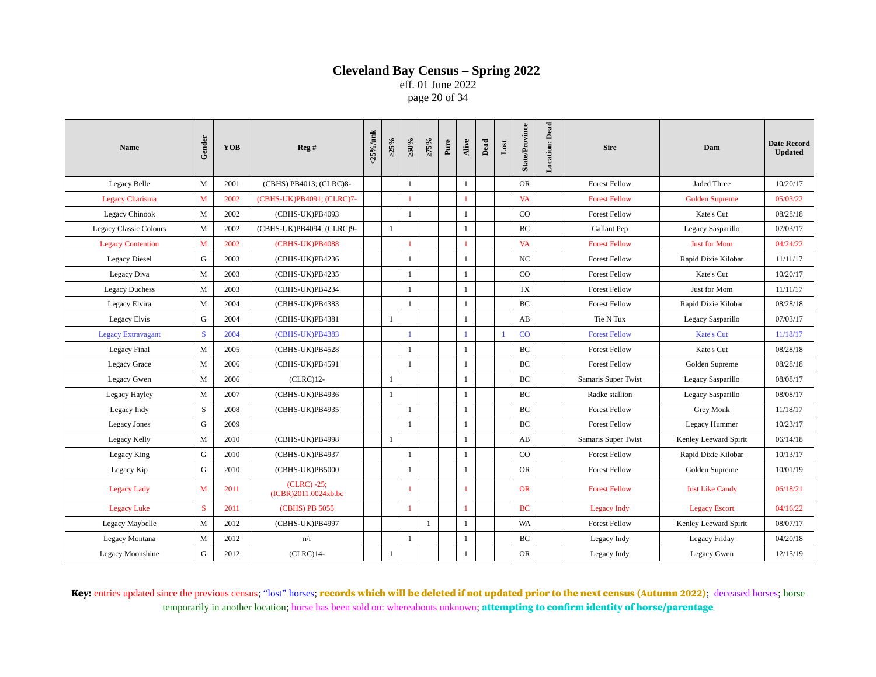eff. 01 June 2022 page 20 of 34

| <b>Name</b>                   | Gender | <b>YOB</b> | Reg#                                  | <25%/unk | >25%         | $\approx 0.95$ | $>75\%$ | Pure | Alive        | Dead | $_{\rm Lost}$  | <b>State/Province</b> | <b>Location:</b> Dead | <b>Sire</b>          | Dam                    | <b>Date Record</b><br><b>Updated</b> |
|-------------------------------|--------|------------|---------------------------------------|----------|--------------|----------------|---------|------|--------------|------|----------------|-----------------------|-----------------------|----------------------|------------------------|--------------------------------------|
| Legacy Belle                  | M      | 2001       | (CBHS) PB4013; (CLRC)8-               |          |              | $\mathbf{1}$   |         |      | $\mathbf{1}$ |      |                | <b>OR</b>             |                       | <b>Forest Fellow</b> | Jaded Three            | 10/20/17                             |
| <b>Legacy Charisma</b>        | M      | 2002       | (CBHS-UK)PB4091; (CLRC)7-             |          |              | 1              |         |      | 1            |      |                | VA                    |                       | <b>Forest Fellow</b> | <b>Golden Supreme</b>  | 05/03/22                             |
| Legacy Chinook                | M      | 2002       | (CBHS-UK)PB4093                       |          |              | 1              |         |      | 1            |      |                | CO                    |                       | <b>Forest Fellow</b> | Kate's Cut             | 08/28/18                             |
| <b>Legacy Classic Colours</b> | M      | 2002       | (CBHS-UK)PB4094; (CLRC)9-             |          | 1            |                |         |      | $\mathbf{1}$ |      |                | BC                    |                       | Gallant Pep          | Legacy Sasparillo      | 07/03/17                             |
| <b>Legacy Contention</b>      | M      | 2002       | (CBHS-UK)PB4088                       |          |              |                |         |      | 1            |      |                | <b>VA</b>             |                       | <b>Forest Fellow</b> | <b>Just for Mom</b>    | 04/24/22                             |
| <b>Legacy Diesel</b>          | G      | 2003       | (CBHS-UK)PB4236                       |          |              | 1              |         |      | $\mathbf{1}$ |      |                | NC                    |                       | <b>Forest Fellow</b> | Rapid Dixie Kilobar    | 11/11/17                             |
| Legacy Diva                   | M      | 2003       | (CBHS-UK)PB4235                       |          |              | 1              |         |      | $\mathbf{1}$ |      |                | CO                    |                       | <b>Forest Fellow</b> | Kate's Cut             | 10/20/17                             |
| <b>Legacy Duchess</b>         | M      | 2003       | (CBHS-UK)PB4234                       |          |              | 1              |         |      | $\mathbf{1}$ |      |                | TX                    |                       | <b>Forest Fellow</b> | Just for Mom           | 11/11/17                             |
| Legacy Elvira                 | M      | 2004       | (CBHS-UK)PB4383                       |          |              | $\mathbf{1}$   |         |      | $\mathbf{1}$ |      |                | BC                    |                       | <b>Forest Fellow</b> | Rapid Dixie Kilobar    | 08/28/18                             |
| Legacy Elvis                  | G      | 2004       | (CBHS-UK)PB4381                       |          | 1            |                |         |      | $\mathbf{1}$ |      |                | AB                    |                       | Tie N Tux            | Legacy Sasparillo      | 07/03/17                             |
| <b>Legacy Extravagant</b>     | S      | 2004       | (CBHS-UK)PB4383                       |          |              | $\mathbf{1}$   |         |      | $\mathbf{1}$ |      | $\overline{1}$ | CO                    |                       | <b>Forest Fellow</b> | <b>Kate's Cut</b>      | 11/18/17                             |
| <b>Legacy Final</b>           | M      | 2005       | (CBHS-UK)PB4528                       |          |              | -1             |         |      | $\mathbf{1}$ |      |                | <b>BC</b>             |                       | <b>Forest Fellow</b> | Kate's Cut             | 08/28/18                             |
| <b>Legacy Grace</b>           | M      | 2006       | (CBHS-UK)PB4591                       |          |              | 1              |         |      | 1            |      |                | BC                    |                       | <b>Forest Fellow</b> | Golden Supreme         | 08/28/18                             |
| <b>Legacy Gwen</b>            | M      | 2006       | $(CLRC)12-$                           |          | $\mathbf{1}$ |                |         |      | $\mathbf{1}$ |      |                | BC                    |                       | Samaris Super Twist  | Legacy Sasparillo      | 08/08/17                             |
| Legacy Hayley                 | M      | 2007       | (CBHS-UK)PB4936                       |          | 1            |                |         |      | $\mathbf{1}$ |      |                | BC                    |                       | Radke stallion       | Legacy Sasparillo      | 08/08/17                             |
| Legacy Indy                   | S      | 2008       | (CBHS-UK)PB4935                       |          |              | $\mathbf{1}$   |         |      | $\mathbf{1}$ |      |                | BC                    |                       | <b>Forest Fellow</b> | Grey Monk              | 11/18/17                             |
| <b>Legacy Jones</b>           | G      | 2009       |                                       |          |              | 1              |         |      | $\mathbf{1}$ |      |                | BC                    |                       | <b>Forest Fellow</b> | Legacy Hummer          | 10/23/17                             |
| Legacy Kelly                  | M      | 2010       | (CBHS-UK)PB4998                       |          | $\mathbf{1}$ |                |         |      | 1            |      |                | AB                    |                       | Samaris Super Twist  | Kenley Leeward Spirit  | 06/14/18                             |
| Legacy King                   | G      | 2010       | (CBHS-UK)PB4937                       |          |              | 1              |         |      | 1            |      |                | CO                    |                       | <b>Forest Fellow</b> | Rapid Dixie Kilobar    | 10/13/17                             |
| Legacy Kip                    | G      | 2010       | (CBHS-UK)PB5000                       |          |              | 1              |         |      | $\mathbf{1}$ |      |                | <b>OR</b>             |                       | <b>Forest Fellow</b> | Golden Supreme         | 10/01/19                             |
| <b>Legacy Lady</b>            | M      | 2011       | $(CLRC) -25;$<br>(ICBR)2011.0024xb.bc |          |              | 1              |         |      | $\mathbf{1}$ |      |                | <b>OR</b>             |                       | <b>Forest Fellow</b> | <b>Just Like Candy</b> | 06/18/21                             |
| <b>Legacy Luke</b>            | S      | 2011       | (CBHS) PB 5055                        |          |              | $\mathbf{1}$   |         |      | $\mathbf{1}$ |      |                | <b>BC</b>             |                       | <b>Legacy Indy</b>   | <b>Legacy Escort</b>   | 04/16/22                             |
| Legacy Maybelle               | M      | 2012       | (CBHS-UK)PB4997                       |          |              |                | 1       |      | 1            |      |                | <b>WA</b>             |                       | <b>Forest Fellow</b> | Kenley Leeward Spirit  | 08/07/17                             |
| Legacy Montana                | M      | 2012       | n/r                                   |          |              | $\mathbf{1}$   |         |      | $\mathbf{1}$ |      |                | BC                    |                       | Legacy Indy          | Legacy Friday          | 04/20/18                             |
| Legacy Moonshine              | G      | 2012       | $(CLRC)14-$                           |          | 1            |                |         |      | $\mathbf{1}$ |      |                | <b>OR</b>             |                       | Legacy Indy          | Legacy Gwen            | 12/15/19                             |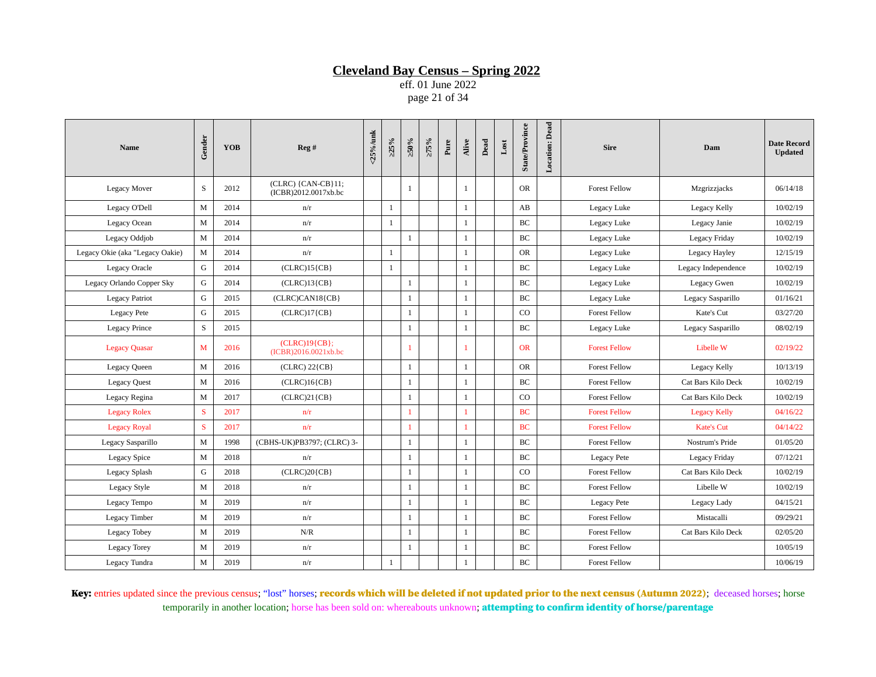eff. 01 June 2022 page 21 of 34

| <b>Name</b>                     | Gender | YOB  | Reg #                                      | <25%/unk | >25%         | $>50\%$        | $>75\%$ | Pure | Alive        | Dead | $_{\rm Lost}$ | <b>State/Province</b> | <b>Location:</b> Dead | <b>Sire</b>          | Dam                 | <b>Date Record</b><br><b>Updated</b> |
|---------------------------------|--------|------|--------------------------------------------|----------|--------------|----------------|---------|------|--------------|------|---------------|-----------------------|-----------------------|----------------------|---------------------|--------------------------------------|
| Legacy Mover                    | S      | 2012 | (CLRC) {CAN-CB}11;<br>(ICBR)2012.0017xb.bc |          |              | $\mathbf{1}$   |         |      | 1            |      |               | <b>OR</b>             |                       | <b>Forest Fellow</b> | Mzgrizzjacks        | 06/14/18                             |
| Legacy O'Dell                   | M      | 2014 | n/r                                        |          | $\mathbf{1}$ |                |         |      | $\mathbf{1}$ |      |               | AB                    |                       | Legacy Luke          | Legacy Kelly        | 10/02/19                             |
| Legacy Ocean                    | M      | 2014 | n/r                                        |          | $\mathbf{1}$ |                |         |      | $\mathbf{1}$ |      |               | <b>BC</b>             |                       | Legacy Luke          | Legacy Janie        | 10/02/19                             |
| Legacy Oddjob                   | M      | 2014 | n/r                                        |          |              | 1              |         |      | $\mathbf{1}$ |      |               | BC                    |                       | Legacy Luke          | Legacy Friday       | 10/02/19                             |
| Legacy Okie (aka "Legacy Oakie) | M      | 2014 | n/r                                        |          | 1            |                |         |      | $\mathbf{1}$ |      |               | <b>OR</b>             |                       | Legacy Luke          | Legacy Hayley       | 12/15/19                             |
| <b>Legacy Oracle</b>            | G      | 2014 | $(CLRC)15\{CB\}$                           |          | 1            |                |         |      | 1            |      |               | BC                    |                       | Legacy Luke          | Legacy Independence | 10/02/19                             |
| Legacy Orlando Copper Sky       | G      | 2014 | $(CLRC)13\{CB\}$                           |          |              | $\mathbf{1}$   |         |      | $\mathbf{1}$ |      |               | $\operatorname{BC}$   |                       | Legacy Luke          | Legacy Gwen         | 10/02/19                             |
| <b>Legacy Patriot</b>           | G      | 2015 | $(CLRC) CAN18$ $[CB]$                      |          |              | 1              |         |      | 1            |      |               | BC                    |                       | Legacy Luke          | Legacy Sasparillo   | 01/16/21                             |
| <b>Legacy Pete</b>              | G      | 2015 | $(CLRC)17{CB}$                             |          |              | $\mathbf{1}$   |         |      | $\mathbf{1}$ |      |               | CO                    |                       | <b>Forest Fellow</b> | Kate's Cut          | 03/27/20                             |
| <b>Legacy Prince</b>            | S      | 2015 |                                            |          |              | $\mathbf{1}$   |         |      | $\mathbf{1}$ |      |               | BC                    |                       | Legacy Luke          | Legacy Sasparillo   | 08/02/19                             |
| <b>Legacy Quasar</b>            | M      | 2016 | $(CLRC)19{CB};$<br>(ICBR)2016.0021xb.bc    |          |              | $\mathbf{1}$   |         |      | 1            |      |               | <b>OR</b>             |                       | <b>Forest Fellow</b> | Libelle W           | 02/19/22                             |
| <b>Legacy Queen</b>             | M      | 2016 | $(CLRC) 22{CB}$                            |          |              | $\mathbf{1}$   |         |      | $\mathbf{1}$ |      |               | <b>OR</b>             |                       | <b>Forest Fellow</b> | Legacy Kelly        | 10/13/19                             |
| <b>Legacy Quest</b>             | M      | 2016 | $(CLRC)16{CB}$                             |          |              | $\mathbf{1}$   |         |      | $\mathbf{1}$ |      |               | BC                    |                       | <b>Forest Fellow</b> | Cat Bars Kilo Deck  | 10/02/19                             |
| Legacy Regina                   | M      | 2017 | $(CLRC)21{CB}$                             |          |              | -1             |         |      | 1            |      |               | CO                    |                       | <b>Forest Fellow</b> | Cat Bars Kilo Deck  | 10/02/19                             |
| <b>Legacy Rolex</b>             | S      | 2017 | n/r                                        |          |              | $\overline{1}$ |         |      | 1            |      |               | <b>BC</b>             |                       | <b>Forest Fellow</b> | <b>Legacy Kelly</b> | 04/16/22                             |
| <b>Legacy Royal</b>             | S      | 2017 | n/r                                        |          |              | $\mathbf{1}$   |         |      | 1            |      |               | <b>BC</b>             |                       | <b>Forest Fellow</b> | <b>Kate's Cut</b>   | 04/14/22                             |
| Legacy Sasparillo               | M      | 1998 | (CBHS-UK)PB3797; (CLRC) 3-                 |          |              | $\mathbf{1}$   |         |      | $\mathbf{1}$ |      |               | <b>BC</b>             |                       | <b>Forest Fellow</b> | Nostrum's Pride     | 01/05/20                             |
| <b>Legacy Spice</b>             | M      | 2018 | n/r                                        |          |              | $\mathbf{1}$   |         |      | $\mathbf{1}$ |      |               | <b>BC</b>             |                       | <b>Legacy Pete</b>   | Legacy Friday       | 07/12/21                             |
| <b>Legacy Splash</b>            | G      | 2018 | $(CLRC)20\{CB\}$                           |          |              | $\mathbf{1}$   |         |      | $\mathbf{1}$ |      |               | CO                    |                       | <b>Forest Fellow</b> | Cat Bars Kilo Deck  | 10/02/19                             |
| <b>Legacy Style</b>             | M      | 2018 | n/r                                        |          |              | $\mathbf{1}$   |         |      | $\mathbf{1}$ |      |               | <b>BC</b>             |                       | <b>Forest Fellow</b> | Libelle W           | 10/02/19                             |
| Legacy Tempo                    | M      | 2019 | n/r                                        |          |              | $\mathbf{1}$   |         |      | 1            |      |               | <b>BC</b>             |                       | <b>Legacy Pete</b>   | Legacy Lady         | 04/15/21                             |
| Legacy Timber                   | M      | 2019 | n/r                                        |          |              | $\mathbf{1}$   |         |      | $\mathbf{1}$ |      |               | BC                    |                       | <b>Forest Fellow</b> | Mistacalli          | 09/29/21                             |
| Legacy Tobey                    | M      | 2019 | N/R                                        |          |              | $\mathbf{1}$   |         |      | $\mathbf{1}$ |      |               | <b>BC</b>             |                       | <b>Forest Fellow</b> | Cat Bars Kilo Deck  | 02/05/20                             |
| <b>Legacy Torey</b>             | M      | 2019 | n/r                                        |          |              | $\mathbf{1}$   |         |      | $\mathbf{1}$ |      |               | BC                    |                       | <b>Forest Fellow</b> |                     | 10/05/19                             |
| Legacy Tundra                   | M      | 2019 | n/r                                        |          | $\mathbf{1}$ |                |         |      | $\mathbf{1}$ |      |               | <b>BC</b>             |                       | <b>Forest Fellow</b> |                     | 10/06/19                             |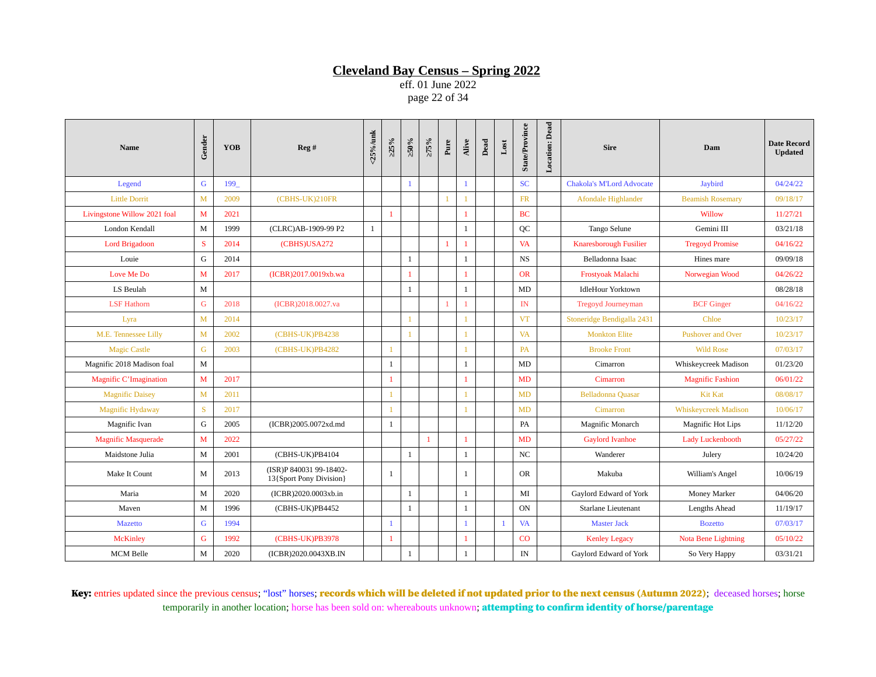eff. 01 June 2022 page 22 of 34

| <b>Name</b>                  | Gender       | <b>YOB</b> | Reg#                                               | <25%/unk     | >25%         | >50%           | $>75\%$      | $_{\rm Pure}$ | Alive        | $_{\rm Dead}$ | $_{\rm Lost}$ | <b>State/Province</b> | <b>Location: Dead</b> | <b>Sire</b>                      | Dam                         | <b>Date Record</b><br><b>Updated</b> |
|------------------------------|--------------|------------|----------------------------------------------------|--------------|--------------|----------------|--------------|---------------|--------------|---------------|---------------|-----------------------|-----------------------|----------------------------------|-----------------------------|--------------------------------------|
| Legend                       | G            | 199        |                                                    |              |              | $\mathbf{1}$   |              |               | $\mathbf{1}$ |               |               | <b>SC</b>             |                       | <b>Chakola's M'Lord Advocate</b> | <b>Jaybird</b>              | 04/24/22                             |
| <b>Little Dorrit</b>         | M            | 2009       | (CBHS-UK)210FR                                     |              |              |                |              |               |              |               |               | <b>FR</b>             |                       | Afondale Highlander              | <b>Beamish Rosemary</b>     | 09/18/17                             |
| Livingstone Willow 2021 foal | M            | 2021       |                                                    |              |              |                |              |               | 1            |               |               | <b>BC</b>             |                       |                                  | Willow                      | 11/27/21                             |
| London Kendall               | M            | 1999       | (CLRC)AB-1909-99 P2                                | $\mathbf{1}$ |              |                |              |               | $\mathbf{1}$ |               |               | QC                    |                       | Tango Selune                     | Gemini III                  | 03/21/18                             |
| <b>Lord Brigadoon</b>        | S            | 2014       | (CBHS)USA272                                       |              |              |                |              | $\mathbf{1}$  | $\mathbf{1}$ |               |               | <b>VA</b>             |                       | Knaresborough Fusilier           | <b>Tregoyd Promise</b>      | 04/16/22                             |
| Louie                        | G            | 2014       |                                                    |              |              | 1              |              |               | $\mathbf{1}$ |               |               | NS                    |                       | Belladonna Isaac                 | Hines mare                  | 09/09/18                             |
| Love Me Do                   | M            | 2017       | (ICBR)2017.0019xb.wa                               |              |              |                |              |               |              |               |               | <b>OR</b>             |                       | Frostyoak Malachi                | Norwegian Wood              | 04/26/22                             |
| LS Beulah                    | M            |            |                                                    |              |              | 1              |              |               | $\mathbf{1}$ |               |               | MD                    |                       | <b>IdleHour Yorktown</b>         |                             | 08/28/18                             |
| <b>LSF Hathorn</b>           | G            | 2018       | (ICBR)2018.0027.va                                 |              |              |                |              |               |              |               |               | IN                    |                       | <b>Tregoyd Journeyman</b>        | <b>BCF Ginger</b>           | 04/16/22                             |
| Lyra                         | $\mathbf{M}$ | 2014       |                                                    |              |              |                |              |               | 1            |               |               | <b>VT</b>             |                       | Stoneridge Bendigalla 2431       | Chloe                       | 10/23/17                             |
| M.E. Tennessee Lilly         | M            | 2002       | (CBHS-UK)PB4238                                    |              |              |                |              |               |              |               |               | VA                    |                       | <b>Monkton Elite</b>             | <b>Pushover and Over</b>    | 10/23/17                             |
| <b>Magic Castle</b>          | $\mathbf G$  | 2003       | (CBHS-UK)PB4282                                    |              | $\mathbf{1}$ |                |              |               | $\mathbf{1}$ |               |               | <b>PA</b>             |                       | <b>Brooke Front</b>              | <b>Wild Rose</b>            | 07/03/17                             |
| Magnific 2018 Madison foal   | M            |            |                                                    |              | 1            |                |              |               | $\mathbf{1}$ |               |               | MD                    |                       | Cimarron                         | Whiskeycreek Madison        | 01/23/20                             |
| Magnific C'Imagination       | M            | 2017       |                                                    |              |              |                |              |               | 1            |               |               | <b>MD</b>             |                       | Cimarron                         | <b>Magnific Fashion</b>     | 06/01/22                             |
| <b>Magnific Daisey</b>       | $\mathbf{M}$ | 2011       |                                                    |              |              |                |              |               |              |               |               | <b>MD</b>             |                       | <b>Belladonna Quasar</b>         | <b>Kit Kat</b>              | 08/08/17                             |
| <b>Magnific Hydaway</b>      | S            | 2017       |                                                    |              |              |                |              |               |              |               |               | <b>MD</b>             |                       | Cimarron                         | <b>Whiskeycreek Madison</b> | 10/06/17                             |
| Magnific Ivan                | G            | 2005       | (ICBR)2005.0072xd.md                               |              | 1            |                |              |               |              |               |               | PA                    |                       | Magnific Monarch                 | <b>Magnific Hot Lips</b>    | 11/12/20                             |
| <b>Magnific Masquerade</b>   | M            | 2022       |                                                    |              |              |                | $\mathbf{1}$ |               |              |               |               | <b>MD</b>             |                       | <b>Gaylord Ivanhoe</b>           | <b>Lady Luckenbooth</b>     | 05/27/22                             |
| Maidstone Julia              | M            | 2001       | (CBHS-UK)PB4104                                    |              |              | $\overline{1}$ |              |               | $\mathbf{1}$ |               |               | <b>NC</b>             |                       | Wanderer                         | Julery                      | 10/24/20                             |
| Make It Count                | $\mathbf M$  | 2013       | (ISR)P 840031 99-18402-<br>13{Sport Pony Division} |              | 1            |                |              |               | $\mathbf{1}$ |               |               | <b>OR</b>             |                       | Makuba                           | William's Angel             | 10/06/19                             |
| Maria                        | M            | 2020       | (ICBR)2020.0003xb.in                               |              |              | 1              |              |               | $\mathbf{1}$ |               |               | MI                    |                       | Gaylord Edward of York           | Money Marker                | 04/06/20                             |
| Maven                        | M            | 1996       | (CBHS-UK)PB4452                                    |              |              | 1              |              |               | $\mathbf{1}$ |               |               | ON                    |                       | Starlane Lieutenant              | <b>Lengths Ahead</b>        | 11/19/17                             |
| <b>Mazetto</b>               | G            | 1994       |                                                    |              | $\mathbf{1}$ |                |              |               | 1            |               |               | <b>VA</b>             |                       | <b>Master Jack</b>               | <b>Bozetto</b>              | 07/03/17                             |
| <b>McKinley</b>              | $\mathsf G$  | 1992       | (CBHS-UK)PB3978                                    |              | $\mathbf{1}$ |                |              |               | 1            |               |               | CO                    |                       | <b>Kenley Legacy</b>             | Nota Bene Lightning         | 05/10/22                             |
| <b>MCM Belle</b>             | $\mathbf{M}$ | 2020       | (ICBR)2020.0043XB.IN                               |              |              | $\mathbf{1}$   |              |               | $\mathbf{1}$ |               |               | IN                    |                       | Gaylord Edward of York           | So Very Happy               | 03/31/21                             |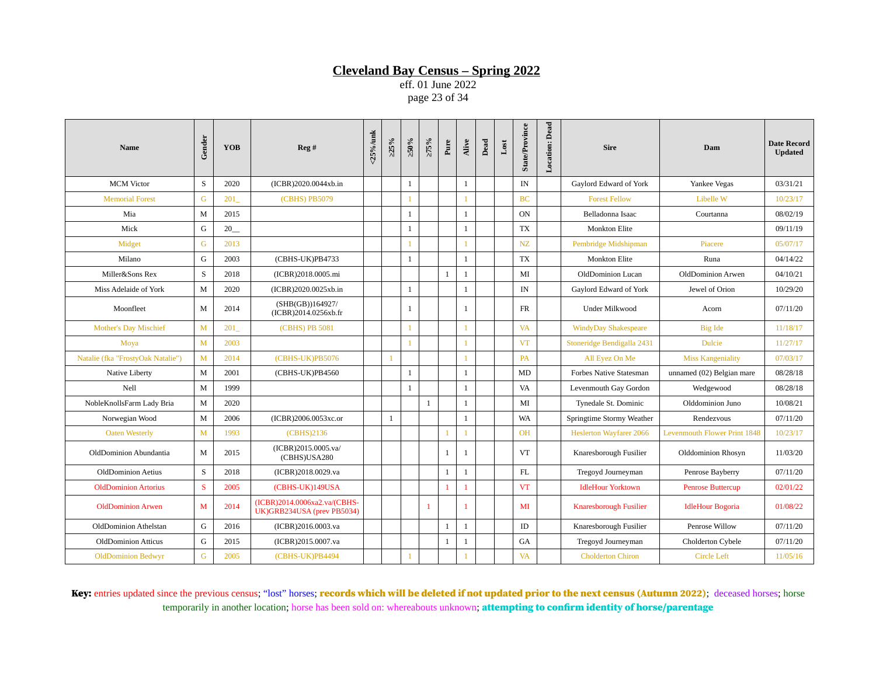eff. 01 June 2022 page 23 of 34

| <b>Name</b>                       | Gender       | <b>YOB</b>        | Reg#                                                       | <25%/unk | >25%         | $\times 0.05$ | $>75\%$      | Pure         | Alive        | Dead | $_{\rm Lost}$ | <b>State/Province</b> | <b>Location:</b> Dead | <b>Sire</b>                    | Dam                                 | <b>Date Record</b><br><b>Updated</b> |
|-----------------------------------|--------------|-------------------|------------------------------------------------------------|----------|--------------|---------------|--------------|--------------|--------------|------|---------------|-----------------------|-----------------------|--------------------------------|-------------------------------------|--------------------------------------|
| <b>MCM</b> Victor                 | S            | 2020              | (ICBR)2020.0044xb.in                                       |          |              | $\mathbf{1}$  |              |              | $\mathbf{1}$ |      |               | IN                    |                       | Gaylord Edward of York         | Yankee Vegas                        | 03/31/21                             |
| <b>Memorial Forest</b>            | G            | 201               | (CBHS) PB5079                                              |          |              |               |              |              |              |      |               | <b>BC</b>             |                       | <b>Forest Fellow</b>           | Libelle W                           | 10/23/17                             |
| Mia                               | M            | 2015              |                                                            |          |              | 1             |              |              | $\mathbf{1}$ |      |               | ON                    |                       | Belladonna Isaac               | Courtanna                           | 08/02/19                             |
| Mick                              | G            | $20$ <sub>—</sub> |                                                            |          |              | 1             |              |              | $\mathbf{1}$ |      |               | TX                    |                       | <b>Monkton Elite</b>           |                                     | 09/11/19                             |
| Midget                            | $\mathsf G$  | 2013              |                                                            |          |              |               |              |              | 1            |      |               | NZ                    |                       | Pembridge Midshipman           | Piacere                             | 05/07/17                             |
| Milano                            | G            | 2003              | (CBHS-UK)PB4733                                            |          |              | 1             |              |              | $\mathbf{1}$ |      |               | TX                    |                       | <b>Monkton Elite</b>           | Runa                                | 04/14/22                             |
| Miller&Sons Rex                   | S            | 2018              | (ICBR)2018.0005.mi                                         |          |              |               |              | 1            | 1            |      |               | MI                    |                       | OldDominion Lucan              | OldDominion Arwen                   | 04/10/21                             |
| Miss Adelaide of York             | M            | 2020              | (ICBR)2020.0025xb.in                                       |          |              | 1             |              |              | 1            |      |               | IN                    |                       | Gaylord Edward of York         | Jewel of Orion                      | 10/29/20                             |
| Moonfleet                         | M            | 2014              | (SHB(GB))164927/<br>(ICBR)2014.0256xb.fr                   |          |              | 1             |              |              | $\mathbf{1}$ |      |               | FR                    |                       | Under Milkwood                 | Acorn                               | 07/11/20                             |
| <b>Mother's Day Mischief</b>      | $\mathbf{M}$ | 201               | (CBHS) PB 5081                                             |          |              |               |              |              |              |      |               | <b>VA</b>             |                       | <b>WindyDay Shakespeare</b>    | <b>Big Ide</b>                      | 11/18/17                             |
| Moya                              | $\mathbf{M}$ | 2003              |                                                            |          |              |               |              |              |              |      |               | <b>VT</b>             |                       | Stoneridge Bendigalla 2431     | <b>Dulcie</b>                       | 11/27/17                             |
| Natalie (fka "FrostyOak Natalie") | $\mathbf M$  | 2014              | (CBHS-UK)PB5076                                            |          |              |               |              |              |              |      |               | PA                    |                       | All Eyez On Me                 | <b>Miss Kangeniality</b>            | 07/03/17                             |
| Native Liberty                    | M            | 2001              | (CBHS-UK)PB4560                                            |          |              | 1             |              |              | $\mathbf{1}$ |      |               | MD                    |                       | <b>Forbes Native Statesman</b> | unnamed (02) Belgian mare           | 08/28/18                             |
| Nell                              | M            | 1999              |                                                            |          |              | 1             |              |              | 1            |      |               | VA                    |                       | Levenmouth Gay Gordon          | Wedgewood                           | 08/28/18                             |
| NobleKnollsFarm Lady Bria         | M            | 2020              |                                                            |          |              |               | $\mathbf{1}$ |              | $\mathbf{1}$ |      |               | MI                    |                       | Tynedale St. Dominic           | Olddominion Juno                    | 10/08/21                             |
| Norwegian Wood                    | M            | 2006              | (ICBR)2006.0053xc.or                                       |          | $\mathbf{1}$ |               |              |              | $\mathbf{1}$ |      |               | WA                    |                       | Springtime Stormy Weather      | Rendezvous                          | 07/11/20                             |
| <b>Oaten Westerly</b>             | M            | 1993              | (CBHS)2136                                                 |          |              |               |              | 1            | 1            |      |               | <b>OH</b>             |                       | <b>Heslerton Wayfarer 2066</b> | <b>Levenmouth Flower Print 1848</b> | 10/23/17                             |
| OldDominion Abundantia            | M            | 2015              | (ICBR)2015.0005.va/<br>(CBHS)USA280                        |          |              |               |              | 1            | 1            |      |               | <b>VT</b>             |                       | Knaresborough Fusilier         | Olddominion Rhosyn                  | 11/03/20                             |
| <b>OldDominion Aetius</b>         | S            | 2018              | (ICBR)2018.0029.va                                         |          |              |               |              | $\mathbf{1}$ | $\mathbf{1}$ |      |               | FL                    |                       | Tregoyd Journeyman             | Penrose Bayberry                    | 07/11/20                             |
| <b>OldDominion Artorius</b>       | S            | 2005              | (CBHS-UK)149USA                                            |          |              |               |              | $\mathbf{1}$ | $\mathbf{1}$ |      |               | <b>VT</b>             |                       | <b>IdleHour Yorktown</b>       | <b>Penrose Buttercup</b>            | 02/01/22                             |
| <b>OldDominion Arwen</b>          | M            | 2014              | (ICBR)2014.0006xa2.va/(CBHS-<br>UK)GRB234USA (prev PB5034) |          |              |               | $\mathbf{1}$ |              | 1            |      |               | MI                    |                       | <b>Knaresborough Fusilier</b>  | <b>IdleHour Bogoria</b>             | 01/08/22                             |
| <b>OldDominion Athelstan</b>      | G            | 2016              | (ICBR)2016.0003.va                                         |          |              |               |              | $\mathbf{1}$ | $\mathbf{1}$ |      |               | $\rm ID$              |                       | Knaresborough Fusilier         | Penrose Willow                      | 07/11/20                             |
| <b>OldDominion Atticus</b>        | G            | 2015              | (ICBR)2015.0007.va                                         |          |              |               |              | 1            | 1            |      |               | GA                    |                       | Tregoyd Journeyman             | Cholderton Cybele                   | 07/11/20                             |
| <b>OldDominion Bedwyr</b>         | G            | 2005              | (CBHS-UK)PB4494                                            |          |              |               |              |              |              |      |               | <b>VA</b>             |                       | <b>Cholderton Chiron</b>       | <b>Circle Left</b>                  | 11/05/16                             |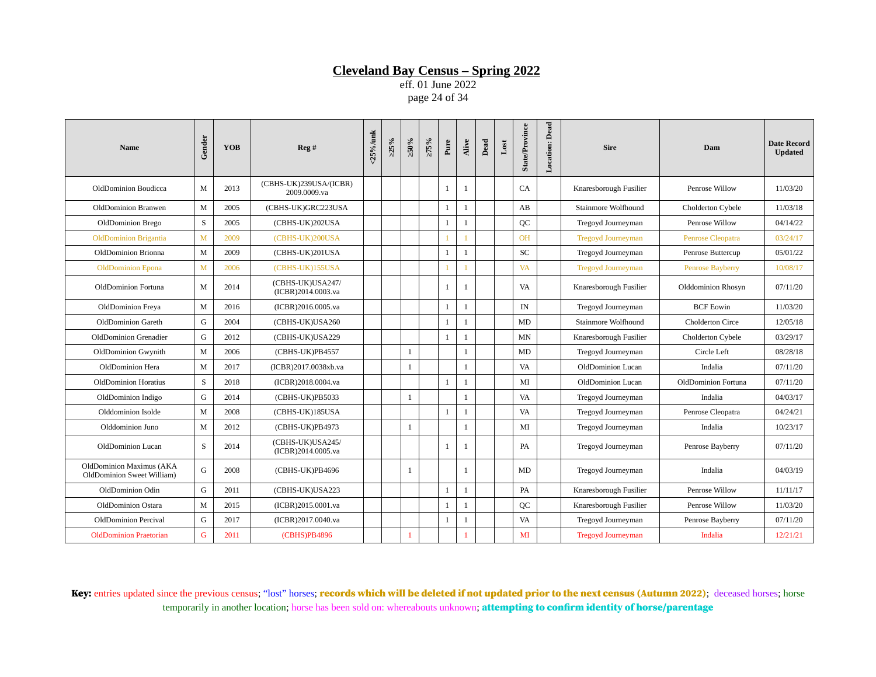eff. 01 June 2022 page 24 of 34

| Name                                                   | Gender      | <b>YOB</b> | Reg #                                  | $<$ 25%/unk | >25% | $\geq 50\%$  | $>75\%$ | $_{\rm Pure}$ | Alive        | Dead | Lost | <b>State/Province</b> | <b>Location: Dead</b> | <b>Sire</b>               | Dam                     | <b>Date Record</b><br><b>Updated</b> |
|--------------------------------------------------------|-------------|------------|----------------------------------------|-------------|------|--------------|---------|---------------|--------------|------|------|-----------------------|-----------------------|---------------------------|-------------------------|--------------------------------------|
| OldDominion Boudicca                                   | M           | 2013       | (CBHS-UK)239USA/(ICBR)<br>2009.0009.va |             |      |              |         | $\mathbf{1}$  | 1            |      |      | CA                    |                       | Knaresborough Fusilier    | Penrose Willow          | 11/03/20                             |
| OldDominion Branwen                                    | M           | 2005       | (CBHS-UK)GRC223USA                     |             |      |              |         | 1             | 1            |      |      | AB                    |                       | Stainmore Wolfhound       | Cholderton Cybele       | 11/03/18                             |
| OldDominion Brego                                      | S           | 2005       | (CBHS-UK)202USA                        |             |      |              |         | $\mathbf{1}$  | 1            |      |      | QC                    |                       | Tregovd Journeyman        | Penrose Willow          | 04/14/22                             |
| <b>OldDominion Brigantia</b>                           | M           | 2009       | (CBHS-UK)200USA                        |             |      |              |         | $\mathbf{1}$  |              |      |      | <b>OH</b>             |                       | <b>Tregoyd Journeyman</b> | Penrose Cleopatra       | 03/24/17                             |
| OldDominion Brionna                                    | M           | 2009       | (CBHS-UK)201USA                        |             |      |              |         | 1             | $\mathbf{1}$ |      |      | SC                    |                       | Tregoyd Journeyman        | Penrose Buttercup       | 05/01/22                             |
| <b>OldDominion Epona</b>                               | M           | 2006       | (CBHS-UK)155USA                        |             |      |              |         | $\mathbf{1}$  |              |      |      | <b>VA</b>             |                       | <b>Tregoyd Journeyman</b> | <b>Penrose Bayberry</b> | 10/08/17                             |
| OldDominion Fortuna                                    | M           | 2014       | (CBHS-UK)USA247/<br>(ICBR)2014.0003.va |             |      |              |         | $\mathbf{1}$  | $\mathbf{1}$ |      |      | VA                    |                       | Knaresborough Fusilier    | Olddominion Rhosyn      | 07/11/20                             |
| OldDominion Freya                                      | M           | 2016       | (ICBR)2016.0005.va                     |             |      |              |         | $\mathbf{1}$  | $\mathbf{1}$ |      |      | IN                    |                       | Tregoyd Journeyman        | <b>BCF Eowin</b>        | 11/03/20                             |
| <b>OldDominion Gareth</b>                              | G           | 2004       | (CBHS-UK)USA260                        |             |      |              |         | $\mathbf{1}$  | 1            |      |      | MD                    |                       | Stainmore Wolfhound       | <b>Cholderton Circe</b> | 12/05/18                             |
| OldDominion Grenadier                                  | G           | 2012       | (CBHS-UK)USA229                        |             |      |              |         | $\mathbf{1}$  | $\mathbf{1}$ |      |      | MN                    |                       | Knaresborough Fusilier    | Cholderton Cybele       | 03/29/17                             |
| OldDominion Gwynith                                    | M           | 2006       | (CBHS-UK)PB4557                        |             |      | 1            |         |               | 1            |      |      | MD                    |                       | Tregoyd Journeyman        | Circle Left             | 08/28/18                             |
| OldDominion Hera                                       | M           | 2017       | (ICBR)2017.0038xb.va                   |             |      | $\mathbf{1}$ |         |               | $\mathbf{1}$ |      |      | VA                    |                       | OldDominion Lucan         | Indalia                 | 07/11/20                             |
| <b>OldDominion Horatius</b>                            | S           | 2018       | (ICBR)2018.0004.va                     |             |      |              |         | $\mathbf{1}$  | $\mathbf{1}$ |      |      | MI                    |                       | OldDominion Lucan         | OldDominion Fortuna     | 07/11/20                             |
| OldDominion Indigo                                     | G           | 2014       | (CBHS-UK)PB5033                        |             |      | 1            |         |               | $\mathbf{1}$ |      |      | VA                    |                       | Tregoyd Journeyman        | Indalia                 | 04/03/17                             |
| Olddominion Isolde                                     | $\mathbf M$ | 2008       | (CBHS-UK)185USA                        |             |      |              |         | 1             | $\mathbf{1}$ |      |      | <b>VA</b>             |                       | Tregovd Journeyman        | Penrose Cleopatra       | 04/24/21                             |
| Olddominion Juno                                       | M           | 2012       | (CBHS-UK)PB4973                        |             |      | $\mathbf{1}$ |         |               | 1            |      |      | MI                    |                       | Tregoyd Journeyman        | Indalia                 | 10/23/17                             |
| OldDominion Lucan                                      | S           | 2014       | (CBHS-UK)USA245/<br>(ICBR)2014.0005.va |             |      |              |         | 1             | 1            |      |      | PA                    |                       | Tregovd Journeyman        | Penrose Bayberry        | 07/11/20                             |
| OldDominion Maximus (AKA<br>OldDominion Sweet William) | G           | 2008       | (CBHS-UK)PB4696                        |             |      | 1            |         |               | 1            |      |      | MD                    |                       | Tregoyd Journeyman        | Indalia                 | 04/03/19                             |
| OldDominion Odin                                       | G           | 2011       | (CBHS-UK)USA223                        |             |      |              |         | $\mathbf{1}$  | 1            |      |      | PA                    |                       | Knaresborough Fusilier    | Penrose Willow          | 11/11/17                             |
| OldDominion Ostara                                     | M           | 2015       | (ICBR)2015.0001.va                     |             |      |              |         | $\mathbf{1}$  | $\mathbf{1}$ |      |      | QC                    |                       | Knaresborough Fusilier    | Penrose Willow          | 11/03/20                             |
| OldDominion Percival                                   | G           | 2017       | (ICBR)2017.0040.va                     |             |      |              |         | 1             | $\mathbf{1}$ |      |      | <b>VA</b>             |                       | Tregoyd Journeyman        | Penrose Bayberry        | 07/11/20                             |
| <b>OldDominion Praetorian</b>                          | G           | 2011       | (CBHS)PB4896                           |             |      | $\mathbf{1}$ |         |               |              |      |      | MI                    |                       | <b>Tregoyd Journeyman</b> | Indalia                 | 12/21/21                             |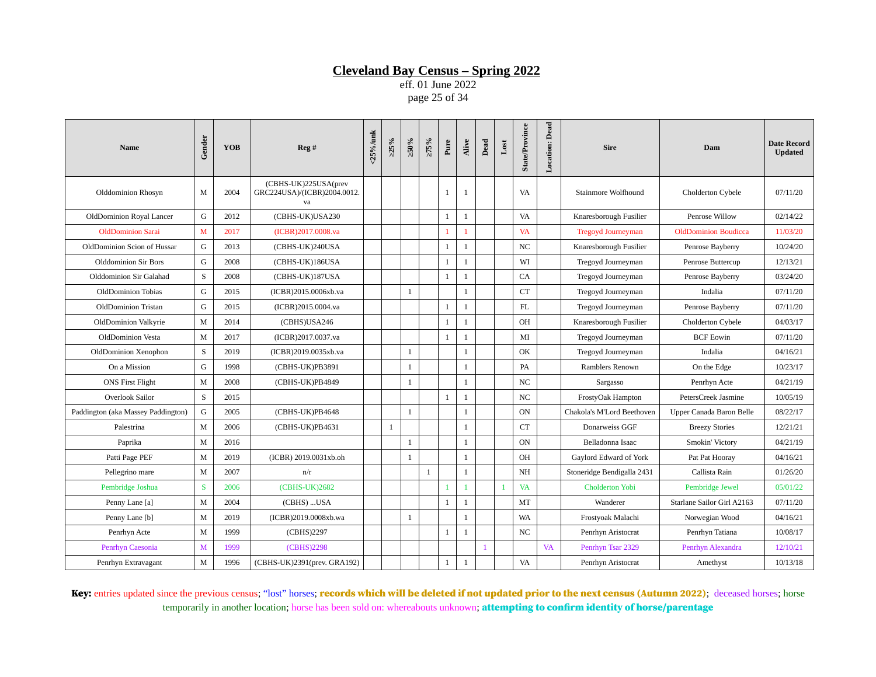eff. 01 June 2022 page 25 of 34

| <b>Name</b>                        | Gender      | <b>YOB</b> | Reg#                                                      | <25%/unk | >25%         | $>50\%$      | >75%         | Pure         | Alive        | Dead | $_{\rm Lost}$ | State/Province | <b>Location:</b> Dead | <b>Sire</b>                | Dam                         | <b>Date Record</b><br><b>Updated</b> |
|------------------------------------|-------------|------------|-----------------------------------------------------------|----------|--------------|--------------|--------------|--------------|--------------|------|---------------|----------------|-----------------------|----------------------------|-----------------------------|--------------------------------------|
| Olddominion Rhosyn                 | M           | 2004       | (CBHS-UK)225USA(prev<br>GRC224USA)/(ICBR)2004.0012.<br>va |          |              |              |              | 1            | $\mathbf{1}$ |      |               | VA             |                       | <b>Stainmore Wolfhound</b> | Cholderton Cybele           | 07/11/20                             |
| OldDominion Royal Lancer           | G           | 2012       | (CBHS-UK)USA230                                           |          |              |              |              | $\mathbf{1}$ | $\mathbf{1}$ |      |               | VA             |                       | Knaresborough Fusilier     | Penrose Willow              | 02/14/22                             |
| <b>OldDominion Sarai</b>           | M           | 2017       | (ICBR)2017.0008.va                                        |          |              |              |              | 1            | 1            |      |               | <b>VA</b>      |                       | <b>Tregoyd Journeyman</b>  | <b>OldDominion Boudicca</b> | 11/03/20                             |
| OldDominion Scion of Hussar        | G           | 2013       | (CBHS-UK)240USA                                           |          |              |              |              | 1            | $\mathbf{1}$ |      |               | $_{\rm NC}$    |                       | Knaresborough Fusilier     | Penrose Bayberry            | 10/24/20                             |
| <b>Olddominion Sir Bors</b>        | G           | 2008       | (CBHS-UK)186USA                                           |          |              |              |              | 1            | $\mathbf{1}$ |      |               | WI             |                       | Tregoyd Journeyman         | Penrose Buttercup           | 12/13/21                             |
| Olddominion Sir Galahad            | $\mathbf S$ | 2008       | (CBHS-UK)187USA                                           |          |              |              |              | $\mathbf{1}$ | $\mathbf{1}$ |      |               | CA             |                       | Tregoyd Journeyman         | Penrose Bayberry            | 03/24/20                             |
| <b>OldDominion Tobias</b>          | G           | 2015       | (ICBR)2015.0006xb.va                                      |          |              | 1            |              |              | $\mathbf{1}$ |      |               | <b>CT</b>      |                       | Tregoyd Journeyman         | Indalia                     | 07/11/20                             |
| OldDominion Tristan                | G           | 2015       | (ICBR)2015.0004.va                                        |          |              |              |              | $\mathbf{1}$ | $\mathbf{1}$ |      |               | FL             |                       | Tregoyd Journeyman         | Penrose Bayberry            | 07/11/20                             |
| OldDominion Valkyrie               | M           | 2014       | (CBHS)USA246                                              |          |              |              |              | $\mathbf{1}$ | $\mathbf{1}$ |      |               | <b>OH</b>      |                       | Knaresborough Fusilier     | Cholderton Cybele           | 04/03/17                             |
| OldDominion Vesta                  | M           | 2017       | (ICBR)2017.0037.va                                        |          |              |              |              | $\mathbf{1}$ | $\mathbf{1}$ |      |               | MI             |                       | Tregoyd Journeyman         | <b>BCF Eowin</b>            | 07/11/20                             |
| OldDominion Xenophon               | S           | 2019       | (ICBR)2019.0035xb.va                                      |          |              | 1            |              |              | $\mathbf{1}$ |      |               | OK             |                       | Tregoyd Journeyman         | Indalia                     | 04/16/21                             |
| On a Mission                       | G           | 1998       | (CBHS-UK)PB3891                                           |          |              | 1            |              |              | $\mathbf{1}$ |      |               | PA             |                       | Ramblers Renown            | On the Edge                 | 10/23/17                             |
| <b>ONS First Flight</b>            | M           | 2008       | (CBHS-UK)PB4849                                           |          |              | -1           |              |              | $\mathbf{1}$ |      |               | NC             |                       | Sargasso                   | Penrhyn Acte                | 04/21/19                             |
| Overlook Sailor                    | $\mathbf S$ | 2015       |                                                           |          |              |              |              | $\mathbf{1}$ | $\mathbf{1}$ |      |               | NC             |                       | FrostyOak Hampton          | PetersCreek Jasmine         | 10/05/19                             |
| Paddington (aka Massey Paddington) | G           | 2005       | (CBHS-UK)PB4648                                           |          |              | <sup>1</sup> |              |              | $\mathbf{1}$ |      |               | ON             |                       | Chakola's M'Lord Beethoven | Upper Canada Baron Belle    | 08/22/17                             |
| Palestrina                         | M           | 2006       | (CBHS-UK)PB4631                                           |          | $\mathbf{1}$ |              |              |              | $\mathbf{1}$ |      |               | <b>CT</b>      |                       | Donarweiss GGF             | <b>Breezy Stories</b>       | 12/21/21                             |
| Paprika                            | M           | 2016       |                                                           |          |              | -1           |              |              | $\mathbf{1}$ |      |               | <b>ON</b>      |                       | Belladonna Isaac           | Smokin' Victory             | 04/21/19                             |
| Patti Page PEF                     | M           | 2019       | (ICBR) 2019.0031xb.oh                                     |          |              | 1            |              |              | 1            |      |               | OH             |                       | Gaylord Edward of York     | Pat Pat Hooray              | 04/16/21                             |
| Pellegrino mare                    | M           | 2007       | n/r                                                       |          |              |              | $\mathbf{1}$ |              | $\mathbf{1}$ |      |               | NH             |                       | Stoneridge Bendigalla 2431 | Callista Rain               | 01/26/20                             |
| Pembridge Joshua                   | S           | 2006       | (CBHS-UK)2682                                             |          |              |              |              | $\mathbf{1}$ | $\mathbf{1}$ |      | $\mathbf{1}$  | <b>VA</b>      |                       | <b>Cholderton Yobi</b>     | Pembridge Jewel             | 05/01/22                             |
| Penny Lane [a]                     | M           | 2004       | (CBHS)  USA                                               |          |              |              |              | $\mathbf{1}$ | $\mathbf{1}$ |      |               | MT             |                       | Wanderer                   | Starlane Sailor Girl A2163  | 07/11/20                             |
| Penny Lane [b]                     | M           | 2019       | (ICBR)2019.0008xb.wa                                      |          |              | 1            |              |              | $\mathbf{1}$ |      |               | WA             |                       | Frostyoak Malachi          | Norwegian Wood              | 04/16/21                             |
| Penrhyn Acte                       | M           | 1999       | (CBHS)2297                                                |          |              |              |              | $\mathbf{1}$ | $\mathbf{1}$ |      |               | NC             |                       | Penrhyn Aristocrat         | Penrhyn Tatiana             | 10/08/17                             |
| Penrhyn Caesonia                   | M           | 1999       | (CBHS)2298                                                |          |              |              |              |              |              |      |               |                | VA                    | Penrhyn Tsar 2329          | Penrhyn Alexandra           | 12/10/21                             |
| Penrhyn Extravagant                | M           | 1996       | (CBHS-UK)2391(prev. GRA192)                               |          |              |              |              | $\mathbf{1}$ | $\mathbf{1}$ |      |               | VA             |                       | Penrhyn Aristocrat         | Amethyst                    | 10/13/18                             |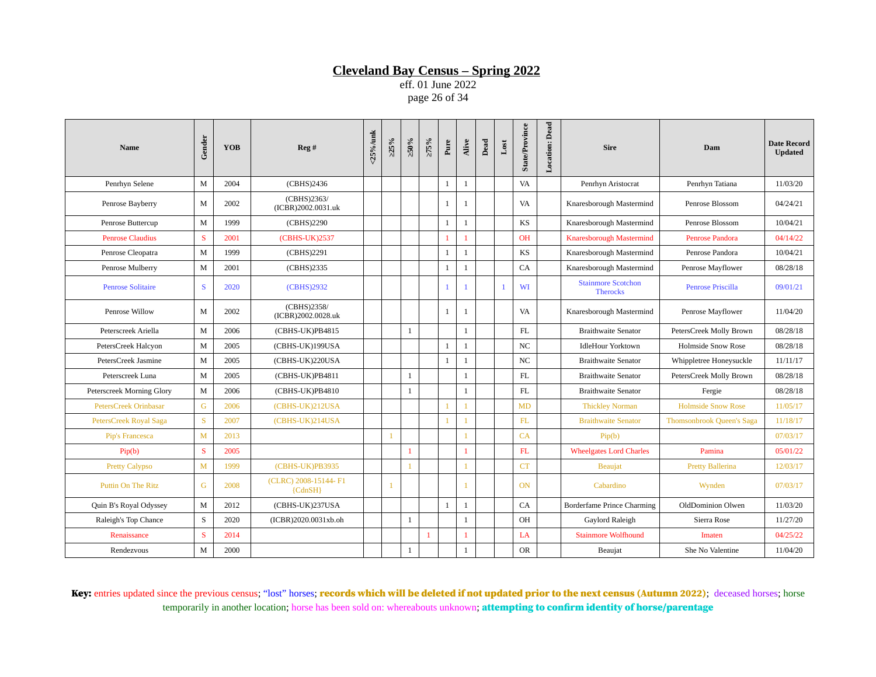eff. 01 June 2022 page 26 of 34

| <b>Name</b>                  | Gender       | <b>YOB</b> | Reg#                               | $25\%$ /unk | >25%           | ≥50%         | $>75\%$      | Pure         | Alive        | $_{\rm Dead}$ | $_{\rm Lost}$  | <b>State/Province</b> | <b>Location:</b> Dead | <b>Sire</b>                                  | Dam                              | <b>Date Record</b><br><b>Updated</b> |
|------------------------------|--------------|------------|------------------------------------|-------------|----------------|--------------|--------------|--------------|--------------|---------------|----------------|-----------------------|-----------------------|----------------------------------------------|----------------------------------|--------------------------------------|
| Penrhyn Selene               | M            | 2004       | (CBHS)2436                         |             |                |              |              | $\mathbf{1}$ | 1            |               |                | VA                    |                       | Penrhyn Aristocrat                           | Penrhyn Tatiana                  | 11/03/20                             |
| Penrose Bayberry             | M            | 2002       | (CBHS)2363/<br>(ICBR)2002.0031.uk  |             |                |              |              | 1            | $\mathbf{1}$ |               |                | VA                    |                       | Knaresborough Mastermind                     | Penrose Blossom                  | 04/24/21                             |
| Penrose Buttercup            | M            | 1999       | (CBHS)2290                         |             |                |              |              | $\mathbf{1}$ | $\mathbf{1}$ |               |                | KS                    |                       | Knaresborough Mastermind                     | Penrose Blossom                  | 10/04/21                             |
| <b>Penrose Claudius</b>      | S            | 2001       | (CBHS-UK)2537                      |             |                |              |              | -1           |              |               |                | <b>OH</b>             |                       | <b>Knaresborough Mastermind</b>              | Penrose Pandora                  | 04/14/22                             |
| Penrose Cleopatra            | M            | 1999       | (CBHS)2291                         |             |                |              |              | $\mathbf{1}$ | $\mathbf{1}$ |               |                | <b>KS</b>             |                       | Knaresborough Mastermind                     | Penrose Pandora                  | 10/04/21                             |
| Penrose Mulberry             | M            | 2001       | (CBHS)2335                         |             |                |              |              | $\mathbf{1}$ | $\mathbf{1}$ |               |                | CA                    |                       | Knaresborough Mastermind                     | Penrose Mayflower                | 08/28/18                             |
| <b>Penrose Solitaire</b>     | S            | 2020       | (CBHS)2932                         |             |                |              |              | $\mathbf{1}$ |              |               | $\overline{1}$ | WI                    |                       | <b>Stainmore Scotchon</b><br><b>Therocks</b> | <b>Penrose Priscilla</b>         | 09/01/21                             |
| Penrose Willow               | M            | 2002       | (CBHS)2358/<br>(ICBR)2002.0028.uk  |             |                |              |              | $\mathbf{1}$ | 1            |               |                | VA                    |                       | Knaresborough Mastermind                     | Penrose Mayflower                | 11/04/20                             |
| Peterscreek Ariella          | M            | 2006       | (CBHS-UK)PB4815                    |             |                | $\mathbf{1}$ |              |              | $\mathbf{1}$ |               |                | $\mathbf{FL}$         |                       | <b>Braithwaite Senator</b>                   | PetersCreek Molly Brown          | 08/28/18                             |
| PetersCreek Halcyon          | M            | 2005       | (CBHS-UK)199USA                    |             |                |              |              | 1            | $\mathbf{1}$ |               |                | NC                    |                       | <b>IdleHour Yorktown</b>                     | <b>Holmside Snow Rose</b>        | 08/28/18                             |
| PetersCreek Jasmine          | M            | 2005       | (CBHS-UK)220USA                    |             |                |              |              | $\mathbf{1}$ | $\mathbf{1}$ |               |                | NC                    |                       | <b>Braithwaite Senator</b>                   | Whippletree Honeysuckle          | 11/11/17                             |
| Peterscreek Luna             | M            | 2005       | (CBHS-UK)PB4811                    |             |                | -1           |              |              | $\mathbf{1}$ |               |                | <b>FL</b>             |                       | <b>Braithwaite Senator</b>                   | PetersCreek Molly Brown          | 08/28/18                             |
| Peterscreek Morning Glory    | M            | 2006       | (CBHS-UK)PB4810                    |             |                | $\mathbf{1}$ |              |              | $\mathbf{1}$ |               |                | FL                    |                       | <b>Braithwaite Senator</b>                   | Fergie                           | 08/28/18                             |
| <b>PetersCreek Orinbasar</b> | G            | 2006       | (CBHS-UK)212USA                    |             |                |              |              | $\mathbf{1}$ | $\mathbf{1}$ |               |                | MD                    |                       | <b>Thickley Norman</b>                       | <b>Holmside Snow Rose</b>        | 11/05/17                             |
| PetersCreek Royal Saga       | <sub>S</sub> | 2007       | (CBHS-UK)214USA                    |             |                |              |              |              |              |               |                | FL                    |                       | <b>Braithwaite Senator</b>                   | <b>Thomsonbrook Queen's Saga</b> | 11/18/17                             |
| Pip's Francesca              | M            | 2013       |                                    |             |                |              |              |              |              |               |                | CA                    |                       | Pip(b)                                       |                                  | 07/03/17                             |
| Pip(b)                       | S            | 2005       |                                    |             |                | 1            |              |              | $\mathbf{1}$ |               |                | FL                    |                       | <b>Wheelgates Lord Charles</b>               | Pamina                           | 05/01/22                             |
| <b>Pretty Calypso</b>        | M            | 1999       | (CBHS-UK)PB3935                    |             |                |              |              |              |              |               |                | <b>CT</b>             |                       | <b>Beaujat</b>                               | <b>Pretty Ballerina</b>          | 12/03/17                             |
| <b>Puttin On The Ritz</b>    | G            | 2008       | (CLRC) 2008-15144- F1<br>${CdnSH}$ |             | $\overline{1}$ |              |              |              |              |               |                | <b>ON</b>             |                       | Cabardino                                    | Wynden                           | 07/03/17                             |
| Quin B's Royal Odyssey       | M            | 2012       | (CBHS-UK)237USA                    |             |                |              |              | $\mathbf{1}$ | $\mathbf{1}$ |               |                | CA                    |                       | Borderfame Prince Charming                   | OldDominion Olwen                | 11/03/20                             |
| Raleigh's Top Chance         | S            | 2020       | (ICBR)2020.0031xb.oh               |             |                | 1            |              |              | $\mathbf{1}$ |               |                | <b>OH</b>             |                       | Gaylord Raleigh                              | Sierra Rose                      | 11/27/20                             |
| Renaissance                  | S            | 2014       |                                    |             |                |              | $\mathbf{1}$ |              | $\mathbf{1}$ |               |                | LA                    |                       | <b>Stainmore Wolfhound</b>                   | Imaten                           | 04/25/22                             |
| Rendezvous                   | M            | 2000       |                                    |             |                | 1            |              |              | 1            |               |                | <b>OR</b>             |                       | Beaujat                                      | She No Valentine                 | 11/04/20                             |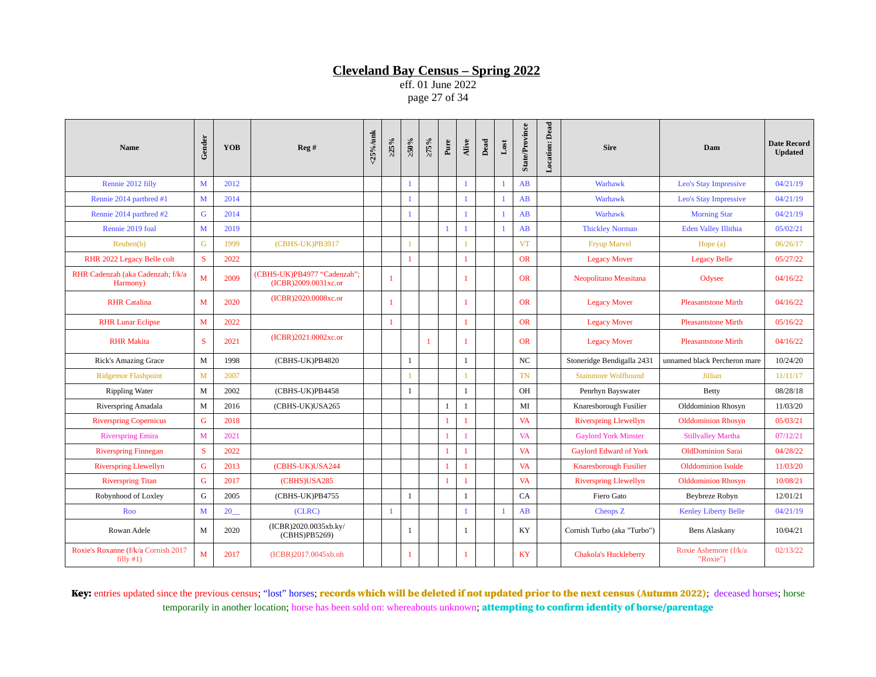eff. 01 June 2022 page 27 of 34

| Name                                                | Gender       | <b>YOB</b> | Reg#                                                | <25%/unk | $>25\%$      | $\approx 0.95$ | >75%         | Pure         | Alive        | Dead | $_{\rm Lost}$  | <b>State/Province</b> | Dead<br>Location: | <b>Sire</b>                   | Dam                               | <b>Date Record</b><br><b>Updated</b> |
|-----------------------------------------------------|--------------|------------|-----------------------------------------------------|----------|--------------|----------------|--------------|--------------|--------------|------|----------------|-----------------------|-------------------|-------------------------------|-----------------------------------|--------------------------------------|
| Rennie 2012 filly                                   | M            | 2012       |                                                     |          |              | $\mathbf{1}$   |              |              | $\mathbf{1}$ |      | $\overline{1}$ | AB                    |                   | Warhawk                       | <b>Leo's Stay Impressive</b>      | 04/21/19                             |
| Rennie 2014 partbred #1                             | M            | 2014       |                                                     |          |              | $\mathbf{1}$   |              |              | $\mathbf{1}$ |      | $\overline{1}$ | AB                    |                   | Warhawk                       | <b>Leo's Stay Impressive</b>      | 04/21/19                             |
| Rennie 2014 partbred #2                             | G            | 2014       |                                                     |          |              | 1              |              |              | $\mathbf{1}$ |      | $\mathbf{1}$   | AB                    |                   | Warhawk                       | <b>Morning Star</b>               | 04/21/19                             |
| Rennie 2019 foal                                    | $\mathbf M$  | 2019       |                                                     |          |              |                |              |              |              |      | $\mathbf{1}$   | AB                    |                   | <b>Thickley Norman</b>        | <b>Eden Valley Illithia</b>       | 05/02/21                             |
| Reuben(b)                                           | G            | 1999       | (CBHS-UK)PB3917                                     |          |              |                |              |              |              |      |                | <b>VT</b>             |                   | <b>Fryup Marvel</b>           | Hope (a)                          | 06/26/17                             |
| RHR 2022 Legacy Belle colt                          | S            | 2022       |                                                     |          |              |                |              |              | 1            |      |                | <b>OR</b>             |                   | <b>Legacy Mover</b>           | <b>Legacy Belle</b>               | 05/27/22                             |
| RHR Cadenzah (aka Cadenzah; f/k/a<br>Harmony)       | M            | 2009       | (CBHS-UK)PB4977 "Cadenzah";<br>(ICBR)2009.0031xc.or |          | $\mathbf{1}$ |                |              |              | 1            |      |                | <b>OR</b>             |                   | Neopolitano Measitana         | Odysee                            | 04/16/22                             |
| <b>RHR</b> Catalina                                 | M            | 2020       | (ICBR)2020.0008xc.or                                |          | $\mathbf{1}$ |                |              |              | 1            |      |                | <b>OR</b>             |                   | <b>Legacy Mover</b>           | <b>Pleasantstone Mirth</b>        | 04/16/22                             |
| <b>RHR Lunar Eclipse</b>                            | M            | 2022       |                                                     |          |              |                |              |              | 1            |      |                | <b>OR</b>             |                   | <b>Legacy Mover</b>           | <b>Pleasantstone Mirth</b>        | 05/16/22                             |
| <b>RHR Makita</b>                                   | S            | 2021       | (ICBR)2021.0002xc.or                                |          |              |                | $\mathbf{1}$ |              | 1            |      |                | <b>OR</b>             |                   | <b>Legacy Mover</b>           | <b>Pleasantstone Mirth</b>        | 04/16/22                             |
| <b>Rick's Amazing Grace</b>                         | M            | 1998       | (CBHS-UK)PB4820                                     |          |              | $\mathbf{1}$   |              |              | $\mathbf{1}$ |      |                | $_{\rm NC}$           |                   | Stoneridge Bendigalla 2431    | unnamed black Percheron mare      | 10/24/20                             |
| <b>Ridgemor Flashpoint</b>                          | $\mathbf{M}$ | 2007       |                                                     |          |              |                |              |              | $\mathbf{1}$ |      |                | <b>TN</b>             |                   | <b>Stainmore Wolfhound</b>    | <b>Jillian</b>                    | 11/11/17                             |
| <b>Rippling Water</b>                               | M            | 2002       | (CBHS-UK)PB4458                                     |          |              | 1              |              |              | $\mathbf{1}$ |      |                | <b>OH</b>             |                   | Penrhyn Bayswater             | <b>Betty</b>                      | 08/28/18                             |
| Riverspring Amadala                                 | M            | 2016       | (CBHS-UK)USA265                                     |          |              |                |              | $\mathbf{1}$ | $\mathbf{1}$ |      |                | MI                    |                   | Knaresborough Fusilier        | Olddominion Rhosyn                | 11/03/20                             |
| <b>Riverspring Copernicus</b>                       | G            | 2018       |                                                     |          |              |                |              |              | 1            |      |                | <b>VA</b>             |                   | <b>Riverspring Llewellyn</b>  | <b>Olddominion Rhosyn</b>         | 05/03/21                             |
| <b>Riverspring Emira</b>                            | M            | 2021       |                                                     |          |              |                |              |              |              |      |                | <b>VA</b>             |                   | <b>Gaylord York Minster</b>   | <b>Stillvalley Martha</b>         | 07/12/21                             |
| <b>Riverspring Finnegan</b>                         | S.           | 2022       |                                                     |          |              |                |              | 1            | -1           |      |                | <b>VA</b>             |                   | <b>Gaylord Edward of York</b> | <b>OldDominion Sarai</b>          | 04/28/22                             |
| <b>Riverspring Llewellyn</b>                        | G            | 2013       | (CBHS-UK)USA244                                     |          |              |                |              | 1            | 1            |      |                | <b>VA</b>             |                   | <b>Knaresborough Fusilier</b> | <b>Olddominion Isolde</b>         | 11/03/20                             |
| <b>Riverspring Titan</b>                            | G            | 2017       | (CBHS)USA285                                        |          |              |                |              | 1            | 1            |      |                | <b>VA</b>             |                   | <b>Riverspring Llewellyn</b>  | <b>Olddominion Rhosyn</b>         | 10/08/21                             |
| Robynhood of Loxley                                 | G            | 2005       | (CBHS-UK)PB4755                                     |          |              | $\mathbf{1}$   |              |              | $\mathbf{1}$ |      |                | CA                    |                   | Fiero Gato                    | Beybreze Robyn                    | 12/01/21                             |
| Roo                                                 | M            | 20         | (CLRC)                                              |          | $\mathbf{1}$ |                |              |              | $\mathbf{1}$ |      | $\overline{1}$ | AB                    |                   | Cheops Z                      | <b>Kenley Liberty Belle</b>       | 04/21/19                             |
| Rowan Adele                                         | M            | 2020       | (ICBR)2020.0035xb.ky/<br>(CBHS)PB5269)              |          |              | 1              |              |              | $\mathbf{1}$ |      |                | KY                    |                   | Cornish Turbo (aka "Turbo")   | <b>Bens Alaskany</b>              | 10/04/21                             |
| Roxie's Roxanne (f/k/a Cornish 2017<br>filly $#1$ ) | M            | 2017       | (ICBR)2017.0045xb.nh                                |          |              | 1              |              |              | 1            |      |                | <b>KY</b>             |                   | <b>Chakola's Huckleberry</b>  | Roxie Ashemore (f/k/a<br>"Roxie") | 02/13/22                             |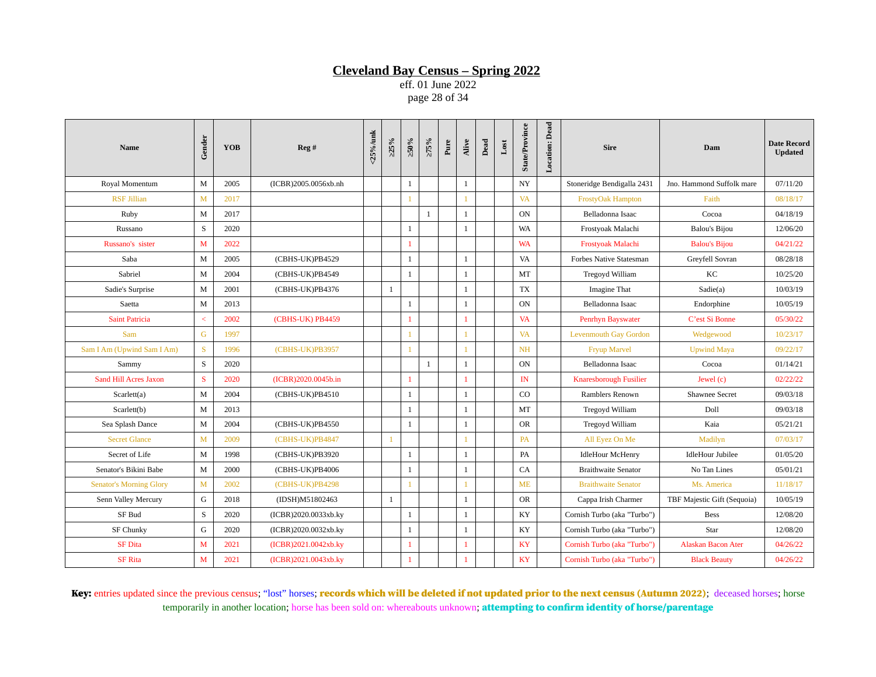eff. 01 June 2022 page 28 of 34

| Name                           | Gender      | <b>YOB</b> | Reg #                | <25%/unk | >25%         | >50%         | $>75\%$      | $_{\rm Pure}$ | Alive        | $_{\rm Dead}$ | $_{\text{Lost}}$ | <b>State/Province</b> | <b>Location:</b> Dead | <b>Sire</b>                    | Dam                         | <b>Date Record</b><br><b>Updated</b> |
|--------------------------------|-------------|------------|----------------------|----------|--------------|--------------|--------------|---------------|--------------|---------------|------------------|-----------------------|-----------------------|--------------------------------|-----------------------------|--------------------------------------|
| Royal Momentum                 | M           | 2005       | (ICBR)2005.0056xb.nh |          |              | 1            |              |               | $\mathbf{1}$ |               |                  | $_{\mathrm{NY}}$      |                       | Stoneridge Bendigalla 2431     | Jno. Hammond Suffolk mare   | 07/11/20                             |
| <b>RSF Jillian</b>             | M           | 2017       |                      |          |              |              |              |               |              |               |                  | <b>VA</b>             |                       | <b>FrostyOak Hampton</b>       | Faith                       | 08/18/17                             |
| Ruby                           | M           | 2017       |                      |          |              |              | 1            |               | 1            |               |                  | <b>ON</b>             |                       | Belladonna Isaac               | Cocoa                       | 04/18/19                             |
| Russano                        | S           | 2020       |                      |          |              | 1            |              |               | 1            |               |                  | WA                    |                       | Frostyoak Malachi              | <b>Balou's Bijou</b>        | 12/06/20                             |
| Russano's sister               | M           | 2022       |                      |          |              |              |              |               |              |               |                  | <b>WA</b>             |                       | Frostyoak Malachi              | <b>Balou's Bijou</b>        | 04/21/22                             |
| Saba                           | M           | 2005       | (CBHS-UK)PB4529      |          |              | 1            |              |               | 1            |               |                  | <b>VA</b>             |                       | <b>Forbes Native Statesman</b> | Greyfell Sovran             | 08/28/18                             |
| Sabriel                        | M           | 2004       | (CBHS-UK)PB4549      |          |              | 1            |              |               | 1            |               |                  | MT                    |                       | Tregoyd William                | KC                          | 10/25/20                             |
| Sadie's Surprise               | M           | 2001       | (CBHS-UK)PB4376      |          | 1            |              |              |               | 1            |               |                  | <b>TX</b>             |                       | Imagine That                   | Sadie(a)                    | 10/03/19                             |
| Saetta                         | M           | 2013       |                      |          |              | 1            |              |               | 1            |               |                  | <b>ON</b>             |                       | Belladonna Isaac               | Endorphine                  | 10/05/19                             |
| <b>Saint Patricia</b>          | $\,<\,$     | 2002       | (CBHS-UK) PB4459     |          |              |              |              |               | 1            |               |                  | <b>VA</b>             |                       | Penrhyn Bayswater              | C'est Si Bonne              | 05/30/22                             |
| Sam                            | $\mathsf G$ | 1997       |                      |          |              |              |              |               |              |               |                  | <b>VA</b>             |                       | <b>Levenmouth Gay Gordon</b>   | Wedgewood                   | 10/23/17                             |
| Sam I Am (Upwind Sam I Am)     | S           | 1996       | (CBHS-UK)PB3957      |          |              |              |              |               |              |               |                  | <b>NH</b>             |                       | <b>Fryup Marvel</b>            | <b>Upwind Maya</b>          | 09/22/17                             |
| Sammy                          | S           | 2020       |                      |          |              |              | $\mathbf{1}$ |               | 1            |               |                  | <b>ON</b>             |                       | Belladonna Isaac               | Cocoa                       | 01/14/21                             |
| <b>Sand Hill Acres Jaxon</b>   | S           | 2020       | (ICBR)2020.0045b.in  |          |              |              |              |               | 1            |               |                  | IN                    |                       | Knaresborough Fusilier         | Jewel (c)                   | 02/22/22                             |
| Scarlett(a)                    | M           | 2004       | (CBHS-UK)PB4510      |          |              | 1            |              |               | 1            |               |                  | CO                    |                       | Ramblers Renown                | <b>Shawnee Secret</b>       | 09/03/18                             |
| Scarlett(b)                    | M           | 2013       |                      |          |              | $\mathbf{1}$ |              |               | 1            |               |                  | MT                    |                       | Tregoyd William                | Doll                        | 09/03/18                             |
| Sea Splash Dance               | M           | 2004       | (CBHS-UK)PB4550      |          |              | 1            |              |               | 1            |               |                  | <b>OR</b>             |                       | Tregoyd William                | Kaia                        | 05/21/21                             |
| <b>Secret Glance</b>           | M           | 2009       | (CBHS-UK)PB4847      |          | $\mathbf{1}$ |              |              |               |              |               |                  | <b>PA</b>             |                       | All Eyez On Me                 | Madilyn                     | 07/03/17                             |
| Secret of Life                 | M           | 1998       | (CBHS-UK)PB3920      |          |              | 1            |              |               | 1            |               |                  | PA                    |                       | <b>IdleHour McHenry</b>        | <b>IdleHour Jubilee</b>     | 01/05/20                             |
| Senator's Bikini Babe          | M           | 2000       | (CBHS-UK)PB4006      |          |              | $\mathbf{1}$ |              |               | 1            |               |                  | CA                    |                       | <b>Braithwaite Senator</b>     | No Tan Lines                | 05/01/21                             |
| <b>Senator's Morning Glory</b> | M           | 2002       | (CBHS-UK)PB4298      |          |              |              |              |               | 1            |               |                  | <b>ME</b>             |                       | <b>Braithwaite Senator</b>     | Ms. America                 | 11/18/17                             |
| Senn Valley Mercury            | G           | 2018       | (IDSH)M51802463      |          | 1            |              |              |               | 1            |               |                  | <b>OR</b>             |                       | Cappa Irish Charmer            | TBF Majestic Gift (Sequoia) | 10/05/19                             |
| SF Bud                         | S           | 2020       | (ICBR)2020.0033xb.ky |          |              | 1            |              |               | 1            |               |                  | KY                    |                       | Cornish Turbo (aka "Turbo")    | <b>Bess</b>                 | 12/08/20                             |
| <b>SF Chunky</b>               | G           | 2020       | (ICBR)2020.0032xb.ky |          |              | $\mathbf{1}$ |              |               | 1            |               |                  | KY                    |                       | Cornish Turbo (aka "Turbo")    | Star                        | 12/08/20                             |
| <b>SF Dita</b>                 | M           | 2021       | (ICBR)2021.0042xb.ky |          |              |              |              |               | 1            |               |                  | KY                    |                       | Cornish Turbo (aka "Turbo")    | <b>Alaskan Bacon Ater</b>   | 04/26/22                             |
| <b>SF Rita</b>                 | M           | 2021       | (ICBR)2021.0043xb.ky |          |              |              |              |               | 1            |               |                  | <b>KY</b>             |                       | Cornish Turbo (aka "Turbo")    | <b>Black Beauty</b>         | 04/26/22                             |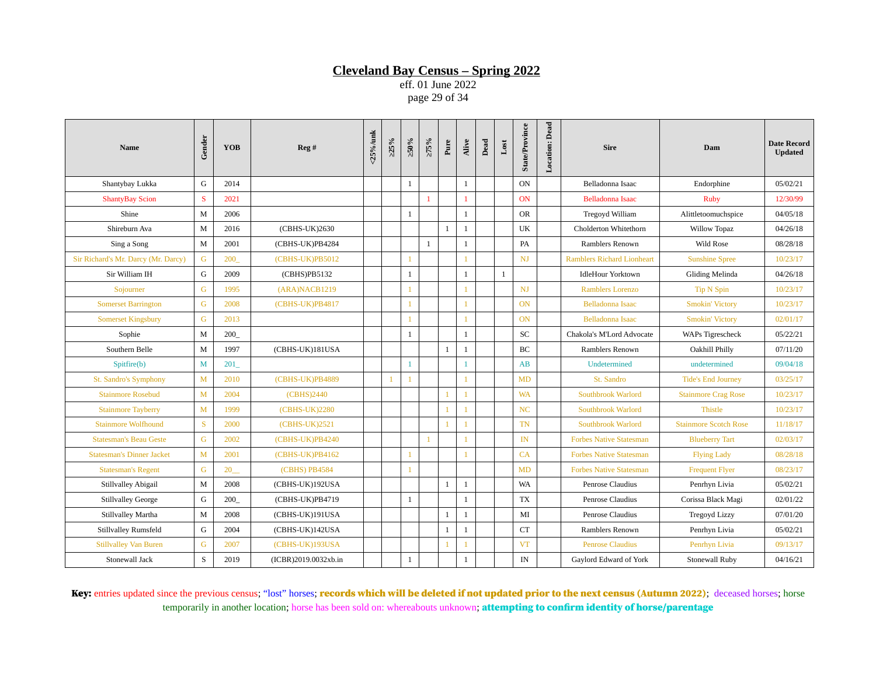eff. 01 June 2022 page 29 of 34

| <b>Name</b>                         | Gender       | <b>YOB</b> | Reg#                 | <25%/unk | $>25\%$ | $\approx 0.95$ | $>75\%$        | Pure         | Alive        | Dead | $_{\rm Lost}$ | <b>State/Province</b> | <b>Location: Dead</b> | <b>Sire</b>                       | Dam                          | <b>Date Record</b><br><b>Updated</b> |
|-------------------------------------|--------------|------------|----------------------|----------|---------|----------------|----------------|--------------|--------------|------|---------------|-----------------------|-----------------------|-----------------------------------|------------------------------|--------------------------------------|
| Shantybay Lukka                     | G            | 2014       |                      |          |         | $\mathbf{1}$   |                |              | $\mathbf{1}$ |      |               | <b>ON</b>             |                       | Belladonna Isaac                  | Endorphine                   | 05/02/21                             |
| <b>ShantyBay Scion</b>              | S            | 2021       |                      |          |         |                | $\mathbf{1}$   |              | 1            |      |               | <b>ON</b>             |                       | Belladonna Isaac                  | <b>Ruby</b>                  | 12/30/99                             |
| Shine                               | M            | 2006       |                      |          |         | 1              |                |              | $\mathbf{1}$ |      |               | <b>OR</b>             |                       | Tregoyd William                   | Alittletoomuchspice          | 04/05/18                             |
| Shireburn Ava                       | M            | 2016       | (CBHS-UK)2630        |          |         |                |                | $\mathbf{1}$ | 1            |      |               | UK                    |                       | Cholderton Whitethorn             | <b>Willow Topaz</b>          | 04/26/18                             |
| Sing a Song                         | M            | 2001       | (CBHS-UK)PB4284      |          |         |                | $\mathbf{1}$   |              | $\mathbf{1}$ |      |               | PA                    |                       | Ramblers Renown                   | Wild Rose                    | 08/28/18                             |
| Sir Richard's Mr. Darcy (Mr. Darcy) | G            | 200        | (CBHS-UK)PB5012      |          |         |                |                |              |              |      |               | NJ                    |                       | <b>Ramblers Richard Lionheart</b> | <b>Sunshine Spree</b>        | 10/23/17                             |
| Sir William IH                      | G            | 2009       | (CBHS)PB5132         |          |         | -1             |                |              | $\mathbf{1}$ |      | 1             |                       |                       | <b>IdleHour Yorktown</b>          | Gliding Melinda              | 04/26/18                             |
| Sojourner                           | G            | 1995       | (ARA) NACB1219       |          |         |                |                |              |              |      |               | <b>NJ</b>             |                       | Ramblers Lorenzo                  | <b>Tip N Spin</b>            | 10/23/17                             |
| <b>Somerset Barrington</b>          | G            | 2008       | (CBHS-UK)PB4817      |          |         |                |                |              | -1           |      |               | <b>ON</b>             |                       | <b>Belladonna Isaac</b>           | <b>Smokin' Victory</b>       | 10/23/17                             |
| <b>Somerset Kingsbury</b>           | G            | 2013       |                      |          |         |                |                |              |              |      |               | <b>ON</b>             |                       | Belladonna Isaac                  | <b>Smokin' Victory</b>       | 02/01/17                             |
| Sophie                              | M            | 200        |                      |          |         | 1              |                |              | $\mathbf{1}$ |      |               | SC                    |                       | Chakola's M'Lord Advocate         | WAPs Tigrescheck             | 05/22/21                             |
| Southern Belle                      | M            | 1997       | (CBHS-UK)181USA      |          |         |                |                | $\mathbf{1}$ | $\mathbf{1}$ |      |               | <b>BC</b>             |                       | Ramblers Renown                   | Oakhill Philly               | 07/11/20                             |
| Spitfire(b)                         | M            | 201        |                      |          |         | 1              |                |              | -1           |      |               | AB                    |                       | Undetermined                      | undetermined                 | 09/04/18                             |
| St. Sandro's Symphony               | M            | 2010       | (CBHS-UK)PB4889      |          |         |                |                |              |              |      |               | MD                    |                       | St. Sandro                        | <b>Tide's End Journey</b>    | 03/25/17                             |
| <b>Stainmore Rosebud</b>            | $\mathbf{M}$ | 2004       | (CBHS)2440           |          |         |                |                |              |              |      |               | <b>WA</b>             |                       | <b>Southbrook Warlord</b>         | <b>Stainmore Crag Rose</b>   | 10/23/17                             |
| <b>Stainmore Tayberry</b>           | M            | 1999       | (CBHS-UK)2280        |          |         |                |                |              |              |      |               | NC                    |                       | <b>Southbrook Warlord</b>         | <b>Thistle</b>               | 10/23/17                             |
| <b>Stainmore Wolfhound</b>          | <sup>S</sup> | 2000       | (CBHS-UK)2521        |          |         |                |                | 1            | 1            |      |               | <b>TN</b>             |                       | <b>Southbrook Warlord</b>         | <b>Stainmore Scotch Rose</b> | 11/18/17                             |
| <b>Statesman's Beau Geste</b>       | G            | 2002       | (CBHS-UK)PB4240      |          |         |                | $\overline{1}$ |              |              |      |               | IN                    |                       | <b>Forbes Native Statesman</b>    | <b>Blueberry Tart</b>        | 02/03/17                             |
| <b>Statesman's Dinner Jacket</b>    | $\mathbf{M}$ | 2001       | (CBHS-UK)PB4162      |          |         |                |                |              |              |      |               | CA                    |                       | <b>Forbes Native Statesman</b>    | <b>Flying Lady</b>           | 08/28/18                             |
| <b>Statesman's Regent</b>           | G            | 20         | <b>(CBHS) PB4584</b> |          |         | $\mathbf{1}$   |                |              |              |      |               | MD                    |                       | <b>Forbes Native Statesman</b>    | <b>Frequent Flyer</b>        | 08/23/17                             |
| <b>Stillvalley Abigail</b>          | M            | 2008       | (CBHS-UK)192USA      |          |         |                |                | 1            | $\mathbf{1}$ |      |               | <b>WA</b>             |                       | Penrose Claudius                  | Penrhyn Livia                | 05/02/21                             |
| <b>Stillvalley George</b>           | G            | 200        | (CBHS-UK)PB4719      |          |         | 1              |                |              | $\mathbf{1}$ |      |               | <b>TX</b>             |                       | Penrose Claudius                  | Corissa Black Magi           | 02/01/22                             |
| Stillvalley Martha                  | M            | 2008       | (CBHS-UK)191USA      |          |         |                |                | $\mathbf{1}$ | $\mathbf{1}$ |      |               | MI                    |                       | Penrose Claudius                  | <b>Tregoyd Lizzy</b>         | 07/01/20                             |
| Stillvalley Rumsfeld                | G            | 2004       | (CBHS-UK)142USA      |          |         |                |                | $\mathbf{1}$ | $\mathbf{1}$ |      |               | CT                    |                       | Ramblers Renown                   | Penrhyn Livia                | 05/02/21                             |
| <b>Stillvalley Van Buren</b>        | G            | 2007       | (CBHS-UK)193USA      |          |         |                |                |              |              |      |               | <b>VT</b>             |                       | <b>Penrose Claudius</b>           | Penrhyn Livia                | 09/13/17                             |
| Stonewall Jack                      | S            | 2019       | (ICBR)2019.0032xb.in |          |         | 1              |                |              | $\mathbf{1}$ |      |               | IN                    |                       | Gaylord Edward of York            | Stonewall Ruby               | 04/16/21                             |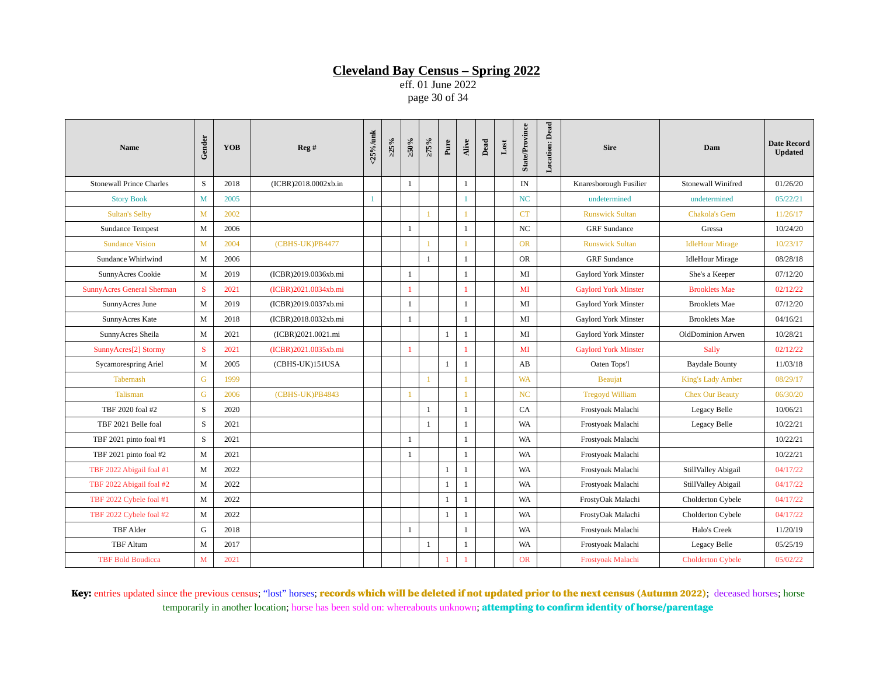eff. 01 June 2022 page 30 of 34

| Name                              | Gender      | YOB  | Reg #                | <25%/unk | >25% | $>50\%$      | >75%         | Pure         | Alive        | Dead | $_{\rm Lost}$ | <b>State/Province</b> | <b>Location: Dead</b> | <b>Sire</b>                 | Dam                        | <b>Date Record</b><br><b>Updated</b> |
|-----------------------------------|-------------|------|----------------------|----------|------|--------------|--------------|--------------|--------------|------|---------------|-----------------------|-----------------------|-----------------------------|----------------------------|--------------------------------------|
| <b>Stonewall Prince Charles</b>   | S           | 2018 | (ICBR)2018.0002xb.in |          |      | 1            |              |              | $\mathbf{1}$ |      |               | IN                    |                       | Knaresborough Fusilier      | <b>Stonewall Winifred</b>  | 01/26/20                             |
| <b>Story Book</b>                 | M           | 2005 |                      |          |      |              |              |              | 1            |      |               | <b>NC</b>             |                       | undetermined                | undetermined               | 05/22/21                             |
| <b>Sultan's Selby</b>             | M           | 2002 |                      |          |      |              | $\mathbf{1}$ |              |              |      |               | CT                    |                       | <b>Runswick Sultan</b>      | <b>Chakola's Gem</b>       | 11/26/17                             |
| Sundance Tempest                  | M           | 2006 |                      |          |      | 1            |              |              | 1            |      |               | <b>NC</b>             |                       | <b>GRF</b> Sundance         | Gressa                     | 10/24/20                             |
| <b>Sundance Vision</b>            | M           | 2004 | (CBHS-UK)PB4477      |          |      |              | $\mathbf{1}$ |              |              |      |               | <b>OR</b>             |                       | <b>Runswick Sultan</b>      | <b>IdleHour Mirage</b>     | 10/23/17                             |
| Sundance Whirlwind                | M           | 2006 |                      |          |      |              | $\mathbf{1}$ |              | $\mathbf{1}$ |      |               | <b>OR</b>             |                       | <b>GRF</b> Sundance         | <b>IdleHour Mirage</b>     | 08/28/18                             |
| SunnyAcres Cookie                 | M           | 2019 | (ICBR)2019.0036xb.mi |          |      | 1            |              |              | $\mathbf{1}$ |      |               | MI                    |                       | <b>Gaylord York Minster</b> | She's a Keeper             | 07/12/20                             |
| <b>SunnyAcres General Sherman</b> | S           | 2021 | (ICBR)2021.0034xb.mi |          |      |              |              |              |              |      |               | MI                    |                       | <b>Gaylord York Minster</b> | <b>Brooklets Mae</b>       | 02/12/22                             |
| SunnyAcres June                   | M           | 2019 | (ICBR)2019.0037xb.mi |          |      | 1            |              |              | $\mathbf{1}$ |      |               | MI                    |                       | <b>Gaylord York Minster</b> | <b>Brooklets Mae</b>       | 07/12/20                             |
| SunnyAcres Kate                   | M           | 2018 | (ICBR)2018.0032xb.mi |          |      | 1            |              |              | 1            |      |               | MI                    |                       | <b>Gaylord York Minster</b> | <b>Brooklets Mae</b>       | 04/16/21                             |
| SunnyAcres Sheila                 | M           | 2021 | (ICBR)2021.0021.mi   |          |      |              |              | 1            | 1            |      |               | MI                    |                       | <b>Gaylord York Minster</b> | OldDominion Arwen          | 10/28/21                             |
| SunnyAcres[2] Stormy              | S           | 2021 | (ICBR)2021.0035xb.mi |          |      | 1            |              |              |              |      |               | MI                    |                       | <b>Gaylord York Minster</b> | Sally                      | 02/12/22                             |
| <b>Sycamorespring Ariel</b>       | $\mathbf M$ | 2005 | (CBHS-UK)151USA      |          |      |              |              | $\mathbf{1}$ | 1            |      |               | AB                    |                       | Oaten Tops'l                | <b>Baydale Bounty</b>      | 11/03/18                             |
| <b>Tabernash</b>                  | G           | 1999 |                      |          |      |              | $\mathbf{1}$ |              |              |      |               | <b>WA</b>             |                       | <b>Beaujat</b>              | <b>King's Lady Amber</b>   | 08/29/17                             |
| <b>Talisman</b>                   | G           | 2006 | (CBHS-UK)PB4843      |          |      |              |              |              |              |      |               | <b>NC</b>             |                       | <b>Tregoyd William</b>      | <b>Chex Our Beauty</b>     | 06/30/20                             |
| TBF 2020 foal #2                  | S           | 2020 |                      |          |      |              | $\mathbf{1}$ |              | $\mathbf{1}$ |      |               | CA                    |                       | Frostyoak Malachi           | Legacy Belle               | 10/06/21                             |
| TBF 2021 Belle foal               | S           | 2021 |                      |          |      |              | $\mathbf{1}$ |              | $\mathbf{1}$ |      |               | <b>WA</b>             |                       | Frostyoak Malachi           | Legacy Belle               | 10/22/21                             |
| TBF 2021 pinto foal #1            | S           | 2021 |                      |          |      | 1            |              |              | $\mathbf{1}$ |      |               | WA                    |                       | Frostyoak Malachi           |                            | 10/22/21                             |
| TBF 2021 pinto foal #2            | M           | 2021 |                      |          |      | 1            |              |              | $\mathbf{1}$ |      |               | <b>WA</b>             |                       | Frostyoak Malachi           |                            | 10/22/21                             |
| TBF 2022 Abigail foal #1          | M           | 2022 |                      |          |      |              |              | 1            | 1            |      |               | <b>WA</b>             |                       | Frostyoak Malachi           | <b>StillValley Abigail</b> | 04/17/22                             |
| TBF 2022 Abigail foal #2          | M           | 2022 |                      |          |      |              |              | 1            | $\mathbf{1}$ |      |               | <b>WA</b>             |                       | Frostyoak Malachi           | <b>StillValley Abigail</b> | 04/17/22                             |
| TBF 2022 Cybele foal #1           | M           | 2022 |                      |          |      |              |              | 1            | 1            |      |               | WA                    |                       | FrostyOak Malachi           | Cholderton Cybele          | 04/17/22                             |
| TBF 2022 Cybele foal #2           | M           | 2022 |                      |          |      |              |              | $\mathbf{1}$ | $\mathbf{1}$ |      |               | WA                    |                       | FrostyOak Malachi           | Cholderton Cybele          | 04/17/22                             |
| <b>TBF</b> Alder                  | G           | 2018 |                      |          |      | $\mathbf{1}$ |              |              | $\mathbf{1}$ |      |               | <b>WA</b>             |                       | Frostyoak Malachi           | Halo's Creek               | 11/20/19                             |
| <b>TBF</b> Altum                  | M           | 2017 |                      |          |      |              | $\mathbf{1}$ |              | $\mathbf{1}$ |      |               | WA                    |                       | Frostyoak Malachi           | Legacy Belle               | 05/25/19                             |
| <b>TBF Bold Boudicca</b>          | M           | 2021 |                      |          |      |              |              |              |              |      |               | <b>OR</b>             |                       | Frostyoak Malachi           | <b>Cholderton Cybele</b>   | 05/02/22                             |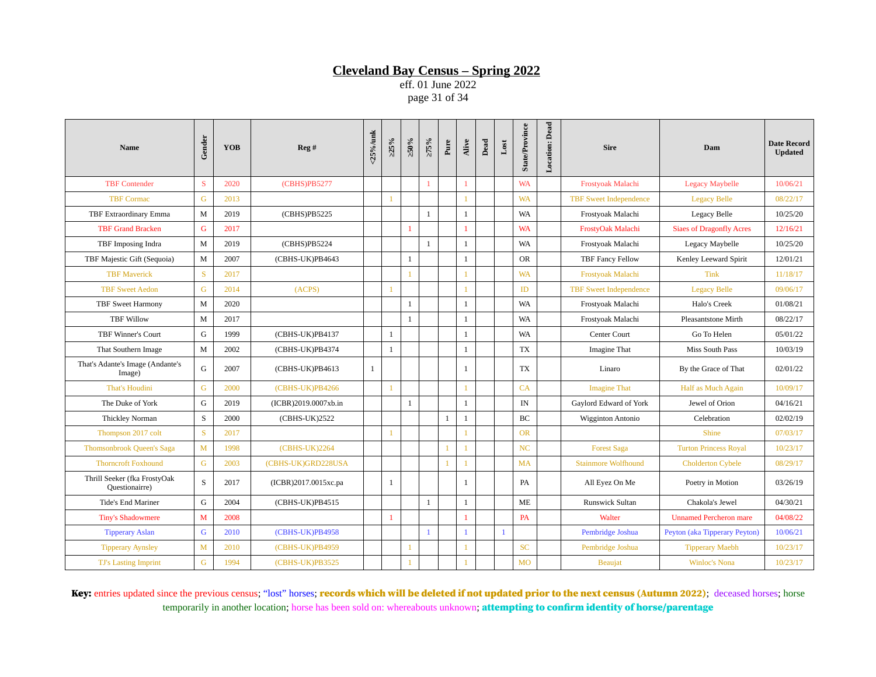eff. 01 June 2022 page 31 of 34

| <b>Name</b>                                    | Gender       | <b>YOB</b> | Reg#                 | <25%/unk | $>25\%$      | $\approx 0.95$ | $>75\%$      | Pure         | Alive        | Dead | $_{\rm Lost}$ | <b>State/Province</b> | <b>Location: Dead</b> | <b>Sire</b>                   | Dam                             | <b>Date Record</b><br><b>Updated</b> |
|------------------------------------------------|--------------|------------|----------------------|----------|--------------|----------------|--------------|--------------|--------------|------|---------------|-----------------------|-----------------------|-------------------------------|---------------------------------|--------------------------------------|
| <b>TBF Contender</b>                           | S            | 2020       | (CBHS)PB5277         |          |              |                | $\mathbf{1}$ |              | 1            |      |               | <b>WA</b>             |                       | Frostyoak Malachi             | <b>Legacy Maybelle</b>          | 10/06/21                             |
| <b>TBF Cormac</b>                              | G            | 2013       |                      |          |              |                |              |              |              |      |               | <b>WA</b>             |                       | <b>TBF Sweet Independence</b> | <b>Legacy Belle</b>             | 08/22/17                             |
| TBF Extraordinary Emma                         | M            | 2019       | (CBHS)PB5225         |          |              |                | $\mathbf{1}$ |              | $\mathbf{1}$ |      |               | WA                    |                       | Frostyoak Malachi             | Legacy Belle                    | 10/25/20                             |
| <b>TBF Grand Bracken</b>                       | G            | 2017       |                      |          |              | $\overline{1}$ |              |              | 1            |      |               | <b>WA</b>             |                       | FrostyOak Malachi             | <b>Siaes of Dragonfly Acres</b> | 12/16/21                             |
| TBF Imposing Indra                             | M            | 2019       | (CBHS)PB5224         |          |              |                | $\,1\,$      |              | $\mathbf{1}$ |      |               | <b>WA</b>             |                       | Frostyoak Malachi             | Legacy Maybelle                 | 10/25/20                             |
| TBF Majestic Gift (Sequoia)                    | M            | 2007       | (CBHS-UK)PB4643      |          |              | $\mathbf{1}$   |              |              | $\mathbf{1}$ |      |               | <b>OR</b>             |                       | <b>TBF Fancy Fellow</b>       | Kenley Leeward Spirit           | 12/01/21                             |
| <b>TBF Maverick</b>                            | S            | 2017       |                      |          |              | $\mathbf{1}$   |              |              | $\mathbf{1}$ |      |               | <b>WA</b>             |                       | Frostyoak Malachi             | <b>Tink</b>                     | 11/18/17                             |
| <b>TBF Sweet Aedon</b>                         | G            | 2014       | (ACPS)               |          |              |                |              |              | $\mathbf{1}$ |      |               | ID                    |                       | <b>TBF Sweet Independence</b> | <b>Legacy Belle</b>             | 09/06/17                             |
| <b>TBF Sweet Harmony</b>                       | $\mathbf{M}$ | 2020       |                      |          |              | $\mathbf{1}$   |              |              | $\mathbf{1}$ |      |               | WA                    |                       | Frostyoak Malachi             | Halo's Creek                    | 01/08/21                             |
| <b>TBF Willow</b>                              | M            | 2017       |                      |          |              | 1              |              |              | $\mathbf{1}$ |      |               | WA                    |                       | Frostyoak Malachi             | <b>Pleasantstone Mirth</b>      | 08/22/17                             |
| <b>TBF Winner's Court</b>                      | G            | 1999       | (CBHS-UK)PB4137      |          | $\mathbf{1}$ |                |              |              | $\mathbf{1}$ |      |               | <b>WA</b>             |                       | <b>Center Court</b>           | Go To Helen                     | 05/01/22                             |
| That Southern Image                            | $\mathbf{M}$ | 2002       | (CBHS-UK)PB4374      |          | $\mathbf{1}$ |                |              |              | $\mathbf{1}$ |      |               | <b>TX</b>             |                       | Imagine That                  | Miss South Pass                 | 10/03/19                             |
| That's Adante's Image (Andante's<br>Image)     | G            | 2007       | (CBHS-UK)PB4613      | 1        |              |                |              |              | 1            |      |               | TX                    |                       | Linaro                        | By the Grace of That            | 02/01/22                             |
| That's Houdini                                 | G            | 2000       | (CBHS-UK)PB4266      |          | $\mathbf{1}$ |                |              |              | $\mathbf{1}$ |      |               | CA                    |                       | <b>Imagine That</b>           | Half as Much Again              | 10/09/17                             |
| The Duke of York                               | G            | 2019       | (ICBR)2019.0007xb.in |          |              | $\mathbf{1}$   |              |              | $\mathbf{1}$ |      |               | IN                    |                       | Gaylord Edward of York        | Jewel of Orion                  | 04/16/21                             |
| Thickley Norman                                | S            | 2000       | (CBHS-UK)2522        |          |              |                |              | $\mathbf{1}$ | $\mathbf{1}$ |      |               | <b>BC</b>             |                       | Wigginton Antonio             | Celebration                     | 02/02/19                             |
| Thompson 2017 colt                             | S            | 2017       |                      |          | $\mathbf{1}$ |                |              |              | $\mathbf{1}$ |      |               | <b>OR</b>             |                       |                               | <b>Shine</b>                    | 07/03/17                             |
| Thomsonbrook Queen's Saga                      | M            | 1998       | (CBHS-UK)2264        |          |              |                |              |              |              |      |               | NC                    |                       | <b>Forest Saga</b>            | <b>Turton Princess Royal</b>    | 10/23/17                             |
| <b>Thorncroft Foxhound</b>                     | G            | 2003       | (CBHS-UK)GRD228USA   |          |              |                |              |              | $\mathbf{1}$ |      |               | <b>MA</b>             |                       | <b>Stainmore Wolfhound</b>    | <b>Cholderton Cybele</b>        | 08/29/17                             |
| Thrill Seeker (fka FrostyOak<br>Questionairre) | S            | 2017       | (ICBR)2017.0015xc.pa |          | $\mathbf{1}$ |                |              |              | $\mathbf{1}$ |      |               | <b>PA</b>             |                       | All Eyez On Me                | Poetry in Motion                | 03/26/19                             |
| <b>Tide's End Mariner</b>                      | G            | 2004       | (CBHS-UK)PB4515      |          |              |                | $\mathbf{1}$ |              | $\mathbf{1}$ |      |               | ME                    |                       | <b>Runswick Sultan</b>        | Chakola's Jewel                 | 04/30/21                             |
| <b>Tiny's Shadowmere</b>                       | M            | 2008       |                      |          |              |                |              |              | 1            |      |               | PA                    |                       | Walter                        | <b>Unnamed Percheron mare</b>   | 04/08/22                             |
| <b>Tipperary Aslan</b>                         | G            | 2010       | (CBHS-UK)PB4958      |          |              |                | $\mathbf{1}$ |              |              |      | $\mathbf{1}$  |                       |                       | Pembridge Joshua              | Peyton (aka Tipperary Peyton)   | 10/06/21                             |
| <b>Tipperary Aynsley</b>                       | $\mathbf{M}$ | 2010       | (CBHS-UK)PB4959      |          |              | $\mathbf{1}$   |              |              | $\mathbf{1}$ |      |               | <b>SC</b>             |                       | Pembridge Joshua              | <b>Tipperary Maebh</b>          | 10/23/17                             |
| <b>TJ's Lasting Imprint</b>                    | G            | 1994       | (CBHS-UK)PB3525      |          |              |                |              |              |              |      |               | <b>MO</b>             |                       | <b>Beaujat</b>                | <b>Winloc's Nona</b>            | 10/23/17                             |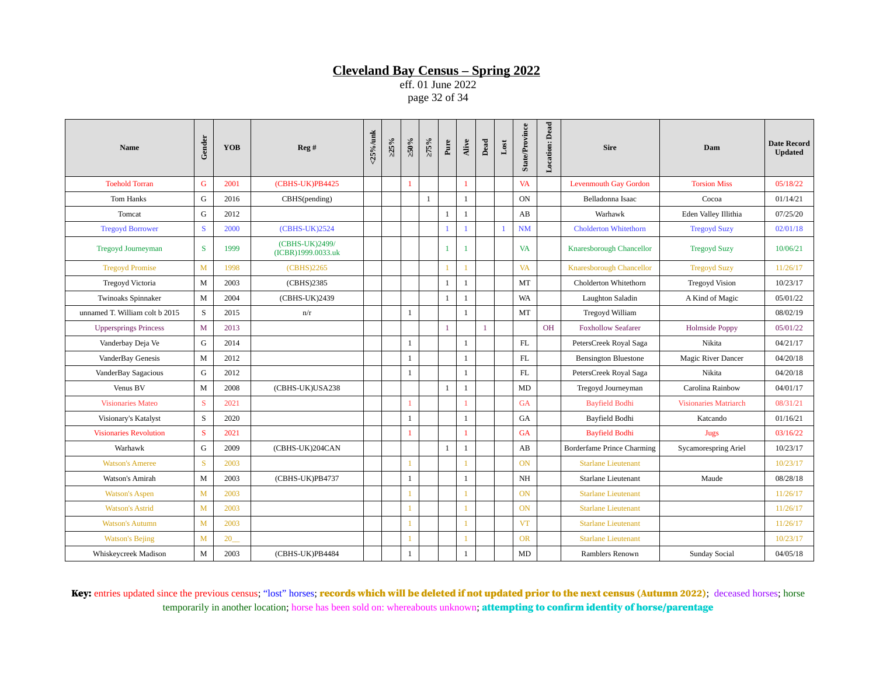eff. 01 June 2022 page 32 of 34

| <b>Name</b>                    | Gender       | <b>YOB</b> | Reg#                                 | <25%/unk | $>25\%$ | $\times 0.05$  | $>75\%$      | Pure         | Alive        | Dead         | $_{\rm Lost}$  | <b>State/Province</b> | Location: Dead | <b>Sire</b>                       | Dam                          | <b>Date Record</b><br><b>Updated</b> |
|--------------------------------|--------------|------------|--------------------------------------|----------|---------|----------------|--------------|--------------|--------------|--------------|----------------|-----------------------|----------------|-----------------------------------|------------------------------|--------------------------------------|
| <b>Toehold Torran</b>          | $\mathsf G$  | 2001       | (CBHS-UK)PB4425                      |          |         | $\mathbf{1}$   |              |              | 1            |              |                | <b>VA</b>             |                | <b>Levenmouth Gay Gordon</b>      | <b>Torsion Miss</b>          | 05/18/22                             |
| <b>Tom Hanks</b>               | G            | 2016       | CBHS(pending)                        |          |         |                | $\mathbf{1}$ |              | $\mathbf{1}$ |              |                | <b>ON</b>             |                | Belladonna Isaac                  | Cocoa                        | 01/14/21                             |
| Tomcat                         | G            | 2012       |                                      |          |         |                |              | $\mathbf{1}$ | $\mathbf{1}$ |              |                | AB                    |                | Warhawk                           | Eden Valley Illithia         | 07/25/20                             |
| <b>Tregoyd Borrower</b>        | S            | 2000       | (CBHS-UK)2524                        |          |         |                |              | 1            | $\mathbf{1}$ |              | $\overline{1}$ | NM                    |                | <b>Cholderton Whitethorn</b>      | <b>Tregoyd Suzy</b>          | 02/01/18                             |
| Tregoyd Journeyman             | S            | 1999       | (CBHS-UK)2499/<br>(ICBR)1999.0033.uk |          |         |                |              | $\mathbf{1}$ | $\mathbf{1}$ |              |                | <b>VA</b>             |                | Knaresborough Chancellor          | <b>Tregoyd Suzy</b>          | 10/06/21                             |
| <b>Tregoyd Promise</b>         | $\mathbf{M}$ | 1998       | (CBHS)2265                           |          |         |                |              |              |              |              |                | <b>VA</b>             |                | <b>Knaresborough Chancellor</b>   | <b>Tregoyd Suzy</b>          | 11/26/17                             |
| <b>Tregoyd Victoria</b>        | M            | 2003       | (CBHS)2385                           |          |         |                |              | $\mathbf{1}$ | $\mathbf{1}$ |              |                | MT                    |                | Cholderton Whitethorn             | <b>Tregoyd Vision</b>        | 10/23/17                             |
| Twinoaks Spinnaker             | M            | 2004       | (CBHS-UK)2439                        |          |         |                |              | $\mathbf{1}$ | 1            |              |                | WA                    |                | Laughton Saladin                  | A Kind of Magic              | 05/01/22                             |
| unnamed T. William colt b 2015 | S            | 2015       | n/r                                  |          |         | 1              |              |              | $\mathbf{1}$ |              |                | MT                    |                | Tregoyd William                   |                              | 08/02/19                             |
| <b>Uppersprings Princess</b>   | M            | 2013       |                                      |          |         |                |              | $\mathbf{1}$ |              | $\mathbf{1}$ |                |                       | <b>OH</b>      | <b>Foxhollow Seafarer</b>         | <b>Holmside Poppy</b>        | 05/01/22                             |
| Vanderbay Deja Ve              | G            | 2014       |                                      |          |         | 1              |              |              | $\mathbf{1}$ |              |                | FL                    |                | PetersCreek Royal Saga            | Nikita                       | 04/21/17                             |
| VanderBay Genesis              | M            | 2012       |                                      |          |         | 1              |              |              | $\mathbf{1}$ |              |                | FL                    |                | <b>Bensington Bluestone</b>       | <b>Magic River Dancer</b>    | 04/20/18                             |
| VanderBay Sagacious            | G            | 2012       |                                      |          |         | $\mathbf{1}$   |              |              | $\mathbf{1}$ |              |                | FL                    |                | PetersCreek Royal Saga            | Nikita                       | 04/20/18                             |
| Venus BV                       | M            | 2008       | (CBHS-UK)USA238                      |          |         |                |              | $\mathbf{1}$ | $\mathbf{1}$ |              |                | MD                    |                | Tregoyd Journeyman                | Carolina Rainbow             | 04/01/17                             |
| <b>Visionaries Mateo</b>       | ${\bf S}$    | 2021       |                                      |          |         | $\overline{1}$ |              |              | $\mathbf{1}$ |              |                | <b>GA</b>             |                | <b>Bayfield Bodhi</b>             | <b>Visionaries Matriarch</b> | 08/31/21                             |
| Visionary's Katalyst           | S            | 2020       |                                      |          |         | $\mathbf{1}$   |              |              | $\mathbf{1}$ |              |                | GA                    |                | Bayfield Bodhi                    | Katcando                     | 01/16/21                             |
| <b>Visionaries Revolution</b>  | S            | 2021       |                                      |          |         | 1              |              |              | 1            |              |                | <b>GA</b>             |                | <b>Bayfield Bodhi</b>             | Jugs                         | 03/16/22                             |
| Warhawk                        | G            | 2009       | (CBHS-UK)204CAN                      |          |         |                |              | $\mathbf{1}$ | $\mathbf{1}$ |              |                | AB                    |                | <b>Borderfame Prince Charming</b> | <b>Sycamorespring Ariel</b>  | 10/23/17                             |
| <b>Watson's Ameree</b>         | S            | 2003       |                                      |          |         |                |              |              |              |              |                | <b>ON</b>             |                | <b>Starlane Lieutenant</b>        |                              | 10/23/17                             |
| <b>Watson's Amirah</b>         | M            | 2003       | (CBHS-UK)PB4737                      |          |         | 1              |              |              | $\mathbf{1}$ |              |                | NH                    |                | Starlane Lieutenant               | Maude                        | 08/28/18                             |
| <b>Watson's Aspen</b>          | M            | 2003       |                                      |          |         |                |              |              | $\mathbf{1}$ |              |                | <b>ON</b>             |                | <b>Starlane Lieutenant</b>        |                              | 11/26/17                             |
| <b>Watson's Astrid</b>         | $\mathbf{M}$ | 2003       |                                      |          |         | $\mathbf{1}$   |              |              | $\mathbf{1}$ |              |                | <b>ON</b>             |                | <b>Starlane Lieutenant</b>        |                              | 11/26/17                             |
| <b>Watson's Autumn</b>         | M            | 2003       |                                      |          |         | $\mathbf{1}$   |              |              | $\mathbf{1}$ |              |                | <b>VT</b>             |                | <b>Starlane Lieutenant</b>        |                              | 11/26/17                             |
| <b>Watson's Bejing</b>         | $\mathbf{M}$ | 20         |                                      |          |         |                |              |              | $\mathbf{1}$ |              |                | <b>OR</b>             |                | <b>Starlane Lieutenant</b>        |                              | 10/23/17                             |
| Whiskeycreek Madison           | M            | 2003       | (CBHS-UK)PB4484                      |          |         | $\mathbf{1}$   |              |              | $\mathbf{1}$ |              |                | MD                    |                | Ramblers Renown                   | Sunday Social                | 04/05/18                             |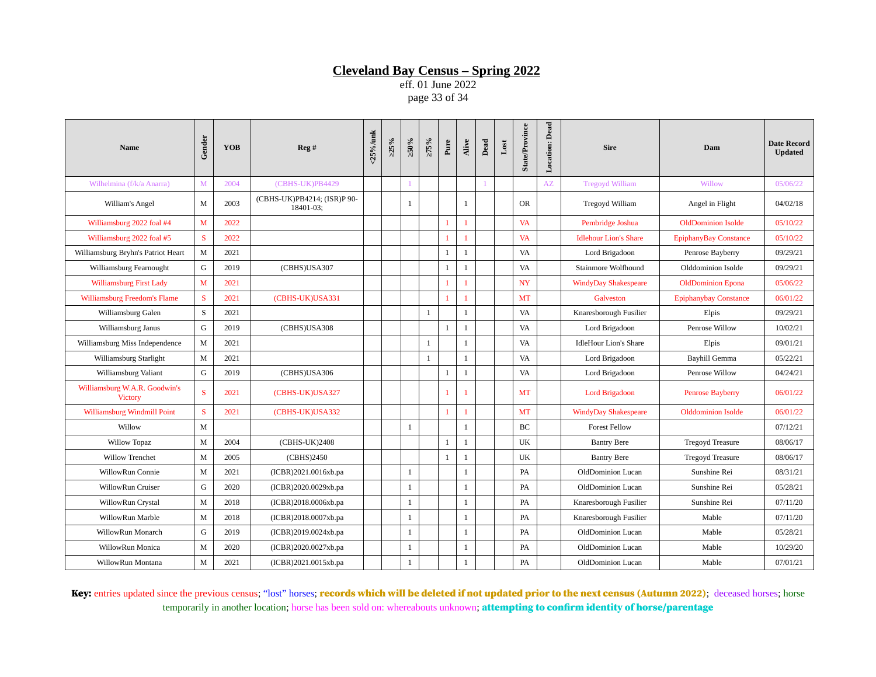eff. 01 June 2022 page 33 of 34

| <b>Name</b>                                     | Gender       | <b>YOB</b> | Reg #                                    | <25%/unk | $>25\%$ | $\approx 0.95$ | $>75\%$      | Pure           | Alive        | $_{\rm Dead}$ | $_{\rm Lost}$ | <b>State/Province</b> | <b>Location: Dead</b> | <b>Sire</b>                  | Dam                          | <b>Date Record</b><br><b>Updated</b> |
|-------------------------------------------------|--------------|------------|------------------------------------------|----------|---------|----------------|--------------|----------------|--------------|---------------|---------------|-----------------------|-----------------------|------------------------------|------------------------------|--------------------------------------|
| Wilhelmina (f/k/a Anarra)                       | M            | 2004       | (CBHS-UK)PB4429                          |          |         |                |              |                |              |               |               |                       | AZ                    | <b>Tregoyd William</b>       | Willow                       | 05/06/22                             |
| William's Angel                                 | M            | 2003       | (CBHS-UK)PB4214; (ISR)P 90-<br>18401-03: |          |         | $\mathbf{1}$   |              |                | $\mathbf{1}$ |               |               | <b>OR</b>             |                       | Tregoyd William              | Angel in Flight              | 04/02/18                             |
| Williamsburg 2022 foal #4                       | M            | 2022       |                                          |          |         |                |              | 1              |              |               |               | <b>VA</b>             |                       | Pembridge Joshua             | <b>OldDominion Isolde</b>    | 05/10/22                             |
| Williamsburg 2022 foal #5                       | S            | 2022       |                                          |          |         |                |              | $\overline{1}$ | 1            |               |               | <b>VA</b>             |                       | <b>Idlehour Lion's Share</b> | <b>EpiphanyBay Constance</b> | 05/10/22                             |
| Williamsburg Bryhn's Patriot Heart              | M            | 2021       |                                          |          |         |                |              | $\mathbf{1}$   | $\mathbf{1}$ |               |               | VA                    |                       | Lord Brigadoon               | Penrose Bayberry             | 09/29/21                             |
| Williamsburg Fearnought                         | G            | 2019       | (CBHS)USA307                             |          |         |                |              | $\mathbf{1}$   | $\mathbf{1}$ |               |               | VA                    |                       | Stainmore Wolfhound          | Olddominion Isolde           | 09/29/21                             |
| <b>Williamsburg First Lady</b>                  | $\mathbf{M}$ | 2021       |                                          |          |         |                |              | 1              | $\mathbf{1}$ |               |               | <b>NY</b>             |                       | <b>WindyDay Shakespeare</b>  | <b>OldDominion Epona</b>     | 05/06/22                             |
| Williamsburg Freedom's Flame                    | ${\bf S}$    | 2021       | (CBHS-UK)USA331                          |          |         |                |              | 1              | $\mathbf{1}$ |               |               | MT                    |                       | Galveston                    | <b>Epiphanybay Constance</b> | 06/01/22                             |
| Williamsburg Galen                              | S            | 2021       |                                          |          |         |                | $\mathbf{1}$ |                | $\mathbf{1}$ |               |               | VA                    |                       | Knaresborough Fusilier       | Elpis                        | 09/29/21                             |
| Williamsburg Janus                              | G            | 2019       | (CBHS)USA308                             |          |         |                |              | $\mathbf{1}$   | 1            |               |               | VA                    |                       | Lord Brigadoon               | Penrose Willow               | 10/02/21                             |
| Williamsburg Miss Independence                  | M            | 2021       |                                          |          |         |                | $\mathbf{1}$ |                | $\mathbf{1}$ |               |               | VA                    |                       | <b>IdleHour Lion's Share</b> | Elpis                        | 09/01/21                             |
| Williamsburg Starlight                          | M            | 2021       |                                          |          |         |                | $\mathbf{1}$ |                | $\mathbf{1}$ |               |               | VA                    |                       | Lord Brigadoon               | Bayhill Gemma                | 05/22/21                             |
| Williamsburg Valiant                            | G            | 2019       | (CBHS)USA306                             |          |         |                |              | $\mathbf{1}$   | $\mathbf{1}$ |               |               | VA                    |                       | Lord Brigadoon               | Penrose Willow               | 04/24/21                             |
| Williamsburg W.A.R. Goodwin's<br><b>Victory</b> | S            | 2021       | (CBHS-UK)USA327                          |          |         |                |              | $\overline{1}$ |              |               |               | MT                    |                       | <b>Lord Brigadoon</b>        | <b>Penrose Bayberry</b>      | 06/01/22                             |
| Williamsburg Windmill Point                     | S            | 2021       | (CBHS-UK)USA332                          |          |         |                |              | $\overline{1}$ | $\mathbf{1}$ |               |               | MT                    |                       | <b>WindyDay Shakespeare</b>  | <b>Olddominion Isolde</b>    | 06/01/22                             |
| Willow                                          | M            |            |                                          |          |         | <sup>1</sup>   |              |                | $\mathbf{1}$ |               |               | <b>BC</b>             |                       | <b>Forest Fellow</b>         |                              | 07/12/21                             |
| <b>Willow Topaz</b>                             | M            | 2004       | (CBHS-UK)2408                            |          |         |                |              | $\mathbf{1}$   | $\mathbf{1}$ |               |               | UK                    |                       | <b>Bantry Bere</b>           | <b>Tregoyd Treasure</b>      | 08/06/17                             |
| <b>Willow Trenchet</b>                          | M            | 2005       | (CBHS)2450                               |          |         |                |              | $\mathbf{1}$   | 1            |               |               | UK                    |                       | <b>Bantry Bere</b>           | <b>Tregoyd Treasure</b>      | 08/06/17                             |
| WillowRun Connie                                | M            | 2021       | (ICBR)2021.0016xb.pa                     |          |         | 1              |              |                | $\mathbf{1}$ |               |               | PA                    |                       | OldDominion Lucan            | Sunshine Rei                 | 08/31/21                             |
| WillowRun Cruiser                               | G            | 2020       | (ICBR)2020.0029xb.pa                     |          |         | <sup>1</sup>   |              |                | $\mathbf{1}$ |               |               | PA                    |                       | OldDominion Lucan            | Sunshine Rei                 | 05/28/21                             |
| WillowRun Crystal                               | M            | 2018       | (ICBR)2018.0006xb.pa                     |          |         | 1              |              |                | $\mathbf{1}$ |               |               | PA                    |                       | Knaresborough Fusilier       | Sunshine Rei                 | 07/11/20                             |
| WillowRun Marble                                | M            | 2018       | (ICBR)2018.0007xb.pa                     |          |         | -1             |              |                | $\mathbf{1}$ |               |               | PA                    |                       | Knaresborough Fusilier       | Mable                        | 07/11/20                             |
| WillowRun Monarch                               | G            | 2019       | (ICBR)2019.0024xb.pa                     |          |         | 1              |              |                | $\mathbf{1}$ |               |               | PA                    |                       | OldDominion Lucan            | Mable                        | 05/28/21                             |
| WillowRun Monica                                | M            | 2020       | (ICBR)2020.0027xb.pa                     |          |         | $\mathbf{1}$   |              |                | $\mathbf{1}$ |               |               | PA                    |                       | OldDominion Lucan            | Mable                        | 10/29/20                             |
| WillowRun Montana                               | $\mathbf M$  | 2021       | (ICBR)2021.0015xb.pa                     |          |         | $\mathbf{1}$   |              |                | $\mathbf{1}$ |               |               | PA                    |                       | OldDominion Lucan            | Mable                        | 07/01/21                             |